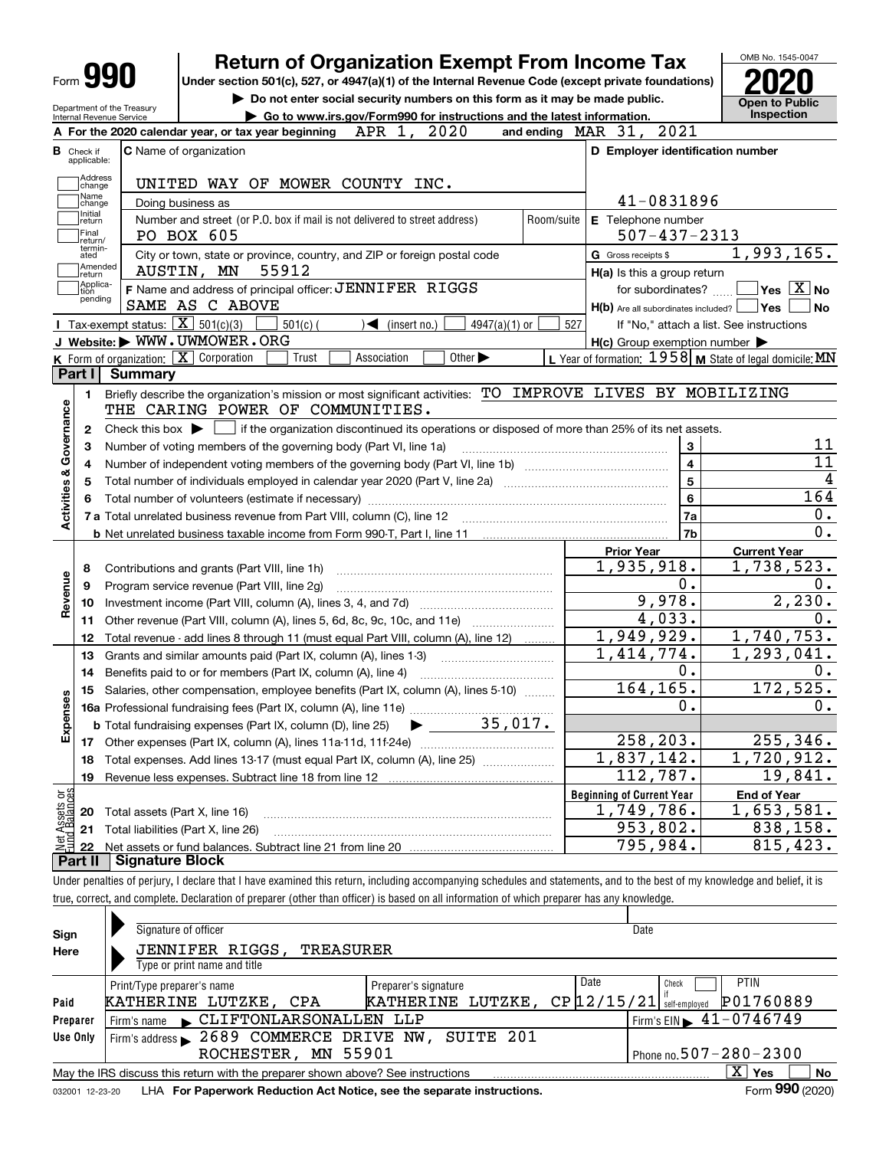| IT 1<br>Form |  |
|--------------|--|
|--------------|--|

Department of the Treasury Internal Revenue Service

# **Return of Organization Exempt From Income Tax**

**Under section 501(c), 527, or 4947(a)(1) of the Internal Revenue Code (except private foundations) 2020**

**| Do not enter social security numbers on this form as it may be made public.**



| Debartment of the Treasury<br>Go to www.irs.gov/Form990 for instructions and the latest information.<br>Internal Revenue Service                             |                                                           | Inspection                               |
|--------------------------------------------------------------------------------------------------------------------------------------------------------------|-----------------------------------------------------------|------------------------------------------|
| 2020<br>APR<br>1.<br>A For the 2020 calendar year, or tax year beginning                                                                                     | and ending MAR 31, 2021                                   |                                          |
| <b>C</b> Name of organization<br><b>B</b> Check if<br>applicable:                                                                                            | D Employer identification number                          |                                          |
| Address<br>UNITED WAY OF MOWER COUNTY INC.<br>change                                                                                                         |                                                           |                                          |
| Name<br>Doing business as<br>change                                                                                                                          | 41-0831896                                                |                                          |
| Initial<br>Number and street (or P.O. box if mail is not delivered to street address)<br>return                                                              | E Telephone number<br>Room/suite                          |                                          |
| Final<br>PO BOX 605<br>return/                                                                                                                               | $507 - 437 - 2313$                                        |                                          |
| termin-<br>City or town, state or province, country, and ZIP or foreign postal code<br>ated                                                                  | G Gross receipts \$                                       | 1,993,165.                               |
| Amended<br>AUSTIN, MN<br>55912<br>return                                                                                                                     | H(a) Is this a group return                               |                                          |
| Applica-<br>F Name and address of principal officer: JENNIFER RIGGS<br>tion                                                                                  | for subordinates?                                         | $\blacksquare$ Yes $\boxed{\text{X}}$ No |
| pending<br>SAME AS C ABOVE                                                                                                                                   | $H(b)$ Are all subordinates included? $\Box$ Yes $\Box$   | l No                                     |
| Tax-exempt status: $\overline{X}$ 501(c)(3)<br>$\blacktriangleleft$ (insert no.)<br>$501(c)$ (<br>$4947(a)(1)$ or                                            | 527<br>If "No," attach a list. See instructions           |                                          |
| J Website: WWW.UWMOWER.ORG                                                                                                                                   | $H(c)$ Group exemption number $\blacktriangleright$       |                                          |
| K Form of organization: $\boxed{\mathbf{X}}$ Corporation<br>Other $\blacktriangleright$<br>Trust<br>Association                                              | L Year of formation: $1958$ M State of legal domicile: MN |                                          |
| Part I<br>Summary                                                                                                                                            |                                                           |                                          |
| Briefly describe the organization's mission or most significant activities: TO IMPROVE LIVES BY MOBILIZING<br>1.                                             |                                                           |                                          |
| Activities & Governance<br>THE CARING POWER OF COMMUNITIES.                                                                                                  |                                                           |                                          |
| Check this box $\triangleright$ $\blacksquare$ if the organization discontinued its operations or disposed of more than 25% of its net assets.<br>2          |                                                           |                                          |
| з                                                                                                                                                            | 3                                                         | 11                                       |
| 4                                                                                                                                                            | $\overline{\mathbf{4}}$                                   | 11                                       |
| 5                                                                                                                                                            | 5                                                         | $\overline{4}$                           |
|                                                                                                                                                              | 6                                                         | 164                                      |
|                                                                                                                                                              | l 7a                                                      | $0$ .                                    |
|                                                                                                                                                              | 7b                                                        | $0$ .                                    |
|                                                                                                                                                              | <b>Prior Year</b><br>1,935,918.                           | <b>Current Year</b>                      |
| Contributions and grants (Part VIII, line 1h)<br>8                                                                                                           | 0.                                                        | 1,738,523.<br>$0$ .                      |
| Revenue<br>Program service revenue (Part VIII, line 2g)<br>9                                                                                                 | 9,978.                                                    | $\overline{2,230}$ .                     |
| 10                                                                                                                                                           | 4,033.                                                    | $0$ .                                    |
| Other revenue (Part VIII, column (A), lines 5, 6d, 8c, 9c, 10c, and 11e)<br>11                                                                               | 1,949,929.                                                | 1,740,753.                               |
| Total revenue - add lines 8 through 11 (must equal Part VIII, column (A), line 12)<br>12<br>Grants and similar amounts paid (Part IX, column (A), lines 1-3) | 1,414,774.                                                | 1,293,041.                               |
| 13<br>Benefits paid to or for members (Part IX, column (A), line 4)                                                                                          | 0.                                                        | $0$ .                                    |
| 14<br>Salaries, other compensation, employee benefits (Part IX, column (A), lines 5-10)<br>15                                                                | 164, 165.                                                 | 172,525.                                 |
|                                                                                                                                                              | 0.                                                        | $0$ .                                    |
| <b>b</b> Total fundraising expenses (Part IX, column (D), line 25) $\triangleright$ 35, 017.                                                                 |                                                           |                                          |
| Expenses                                                                                                                                                     | 258, 203.                                                 | 255, 346.                                |
| 18 Total expenses. Add lines 13-17 (must equal Part IX, column (A), line 25)                                                                                 | 1,837,142.                                                | 1,720,912.                               |
| 19 Revenue less expenses. Subtract line 18 from line 12                                                                                                      | 112,787.                                                  | 19,841.                                  |
|                                                                                                                                                              | <b>Beginning of Current Year</b>                          | <b>End of Year</b>                       |
| Total assets (Part X, line 16)<br>20                                                                                                                         | 1,749,786.                                                | 1,653,581.                               |
| Total liabilities (Part X, line 26)<br>21                                                                                                                    | 953,802.                                                  | 838,158.                                 |
| Net Assets or<br>Fund Balances<br>22                                                                                                                         | 795,984.                                                  | 815,423.                                 |
| <b>Signature Block</b><br>Part II                                                                                                                            |                                                           |                                          |

Under penalties of perjury, I declare that I have examined this return, including accompanying schedules and statements, and to the best of my knowledge and belief, it is true, correct, and complete. Declaration of preparer (other than officer) is based on all information of which preparer has any knowledge.

| Sign            | Signature of officer                                                            | Date                                            |
|-----------------|---------------------------------------------------------------------------------|-------------------------------------------------|
| Here            | JENNIFER RIGGS,<br><b>TREASURER</b>                                             |                                                 |
|                 | Type or print name and title                                                    |                                                 |
|                 | Preparer's signature<br>Print/Type preparer's name                              | Date<br><b>PTIN</b><br>Check                    |
| Paid            | LUTZKE,<br>KATHERINE LUTZKE, CPA<br>KATHERINE                                   | P01760889<br>$CP$ [12/15/21]<br>. self-emploved |
| Preparer        | CLIFTONLARSONALLEN LLP<br>Firm's name                                           | $1$ Firm's EIN $\blacktriangleright$ 41-0746749 |
| Use Only        | Firm's address > 2689 COMMERCE DRIVE NW, SUITE 201                              |                                                 |
|                 | ROCHESTER, MN 55901                                                             | Phone no. $507 - 280 - 2300$                    |
|                 | May the IRS discuss this return with the preparer shown above? See instructions | $\mathbf{X}$<br>No<br>Yes                       |
| 032001 12-23-20 | LHA For Paperwork Reduction Act Notice, see the separate instructions.          | Form 990 (2020)                                 |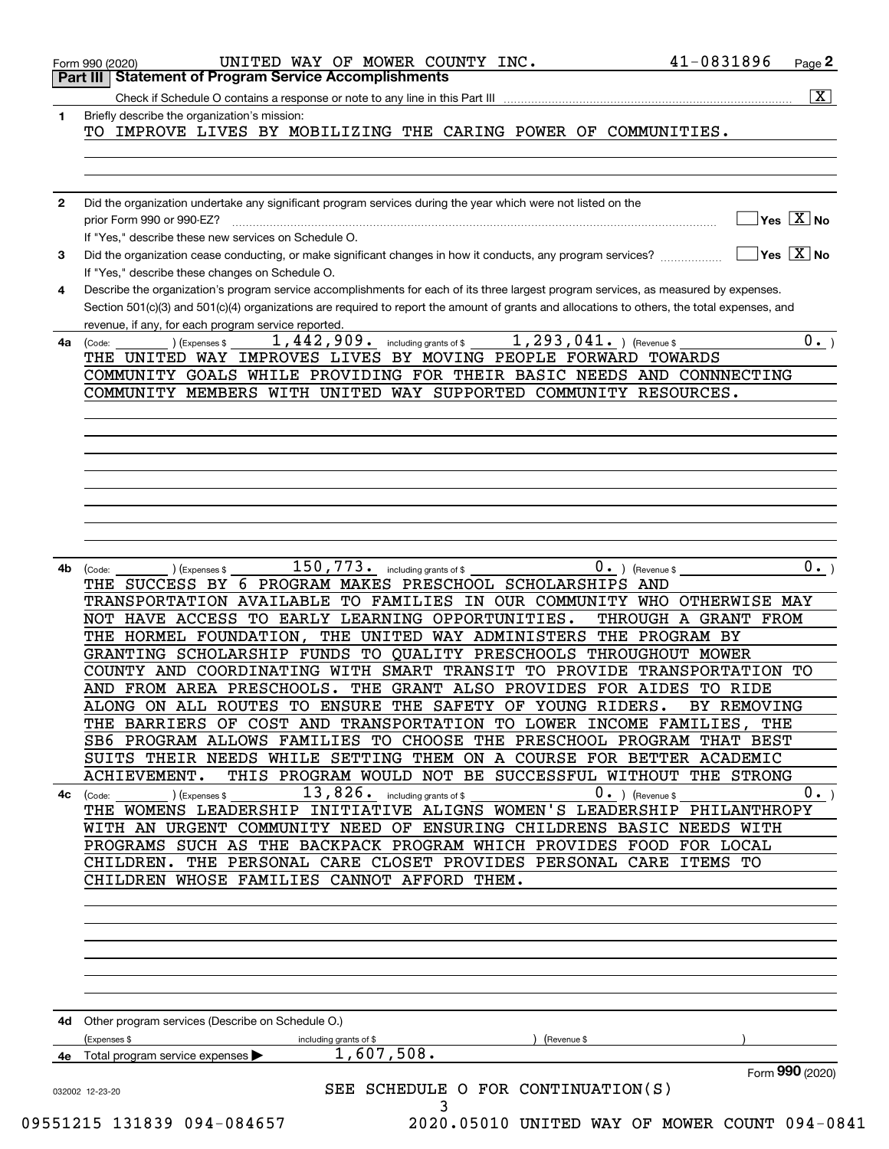|    | $\overline{\mathbf{x}}$                                                                                                                                                                                                                                                                                                                                                                                                                                                                                                                                                                                                                                                                                                                                                                                           |
|----|-------------------------------------------------------------------------------------------------------------------------------------------------------------------------------------------------------------------------------------------------------------------------------------------------------------------------------------------------------------------------------------------------------------------------------------------------------------------------------------------------------------------------------------------------------------------------------------------------------------------------------------------------------------------------------------------------------------------------------------------------------------------------------------------------------------------|
| 1  | Briefly describe the organization's mission:<br>TO IMPROVE LIVES BY MOBILIZING THE CARING POWER OF COMMUNITIES.                                                                                                                                                                                                                                                                                                                                                                                                                                                                                                                                                                                                                                                                                                   |
|    |                                                                                                                                                                                                                                                                                                                                                                                                                                                                                                                                                                                                                                                                                                                                                                                                                   |
| 2  | Did the organization undertake any significant program services during the year which were not listed on the<br>$\sqrt{}$ Yes $\sqrt{X}$ No<br>prior Form 990 or 990-EZ?<br>If "Yes," describe these new services on Schedule O.                                                                                                                                                                                                                                                                                                                                                                                                                                                                                                                                                                                  |
| 3  | $\overline{\mathsf{Yes} \mathrel{\hspace{0.5pt}\mathsf{X}}}$ No<br>Did the organization cease conducting, or make significant changes in how it conducts, any program services?<br>If "Yes," describe these changes on Schedule O.                                                                                                                                                                                                                                                                                                                                                                                                                                                                                                                                                                                |
| 4  | Describe the organization's program service accomplishments for each of its three largest program services, as measured by expenses.<br>Section 501(c)(3) and 501(c)(4) organizations are required to report the amount of grants and allocations to others, the total expenses, and<br>revenue, if any, for each program service reported.                                                                                                                                                                                                                                                                                                                                                                                                                                                                       |
| 4a | $1, 293, 041.$ (Revenue \$<br>1,442,909.<br>0.<br>including grants of \$<br>(Expenses \$<br>(Code:<br>THE UNITED WAY IMPROVES LIVES BY MOVING PEOPLE FORWARD TOWARDS<br>COMMUNITY GOALS WHILE PROVIDING FOR THEIR BASIC NEEDS AND CONNNECTING<br>COMMUNITY MEMBERS WITH UNITED WAY SUPPORTED COMMUNITY RESOURCES.                                                                                                                                                                                                                                                                                                                                                                                                                                                                                                 |
|    |                                                                                                                                                                                                                                                                                                                                                                                                                                                                                                                                                                                                                                                                                                                                                                                                                   |
|    |                                                                                                                                                                                                                                                                                                                                                                                                                                                                                                                                                                                                                                                                                                                                                                                                                   |
|    | 150,773.<br>$0 \cdot$ <sub>-</sub> )                                                                                                                                                                                                                                                                                                                                                                                                                                                                                                                                                                                                                                                                                                                                                                              |
|    | THE SUCCESS BY 6 PROGRAM MAKES PRESCHOOL SCHOLARSHIPS AND<br>TRANSPORTATION AVAILABLE TO FAMILIES IN OUR COMMUNITY WHO OTHERWISE MAY<br>NOT HAVE ACCESS TO EARLY LEARNING OPPORTUNITIES.<br>THROUGH A GRANT FROM<br>THE HORMEL FOUNDATION, THE UNITED WAY ADMINISTERS THE PROGRAM BY<br>GRANTING SCHOLARSHIP FUNDS TO QUALITY PRESCHOOLS THROUGHOUT MOWER<br>COUNTY AND COORDINATING WITH SMART TRANSIT TO PROVIDE TRANSPORTATION TO<br>AND FROM AREA PRESCHOOLS. THE GRANT ALSO PROVIDES FOR AIDES TO RIDE<br>ALONG ON ALL ROUTES TO ENSURE THE SAFETY OF YOUNG RIDERS.<br>BY REMOVING<br>THE BARRIERS OF COST AND TRANSPORTATION TO LOWER INCOME FAMILIES, THE<br>SB6 PROGRAM ALLOWS FAMILIES TO CHOOSE THE PRESCHOOL PROGRAM THAT BEST<br>SUITS THEIR NEEDS WHILE SETTING THEM ON A COURSE FOR BETTER ACADEMIC |
|    |                                                                                                                                                                                                                                                                                                                                                                                                                                                                                                                                                                                                                                                                                                                                                                                                                   |
| 4c | THIS PROGRAM WOULD NOT BE SUCCESSFUL WITHOUT THE STRONG<br><b>ACHIEVEMENT.</b><br>13,826.<br>$0.$ ) (Revenue \$<br>including grants of \$<br>) (Expenses \$<br>(Code:<br>THE WOMENS LEADERSHIP INITIATIVE ALIGNS WOMEN'S LEADERSHIP PHILANTHROPY<br>WITH AN URGENT COMMUNITY NEED OF ENSURING CHILDRENS BASIC NEEDS WITH<br>PROGRAMS SUCH AS THE BACKPACK PROGRAM WHICH PROVIDES FOOD FOR LOCAL<br>CHILDREN. THE PERSONAL CARE CLOSET PROVIDES PERSONAL CARE ITEMS TO<br>CHILDREN WHOSE FAMILIES CANNOT AFFORD THEM.                                                                                                                                                                                                                                                                                              |
|    |                                                                                                                                                                                                                                                                                                                                                                                                                                                                                                                                                                                                                                                                                                                                                                                                                   |
| 4d | Other program services (Describe on Schedule O.)                                                                                                                                                                                                                                                                                                                                                                                                                                                                                                                                                                                                                                                                                                                                                                  |
|    | $0 \cdot$ )<br>Expenses \$<br>including grants of \$<br>(Revenue \$<br>1,607,508.<br>Total program service expenses                                                                                                                                                                                                                                                                                                                                                                                                                                                                                                                                                                                                                                                                                               |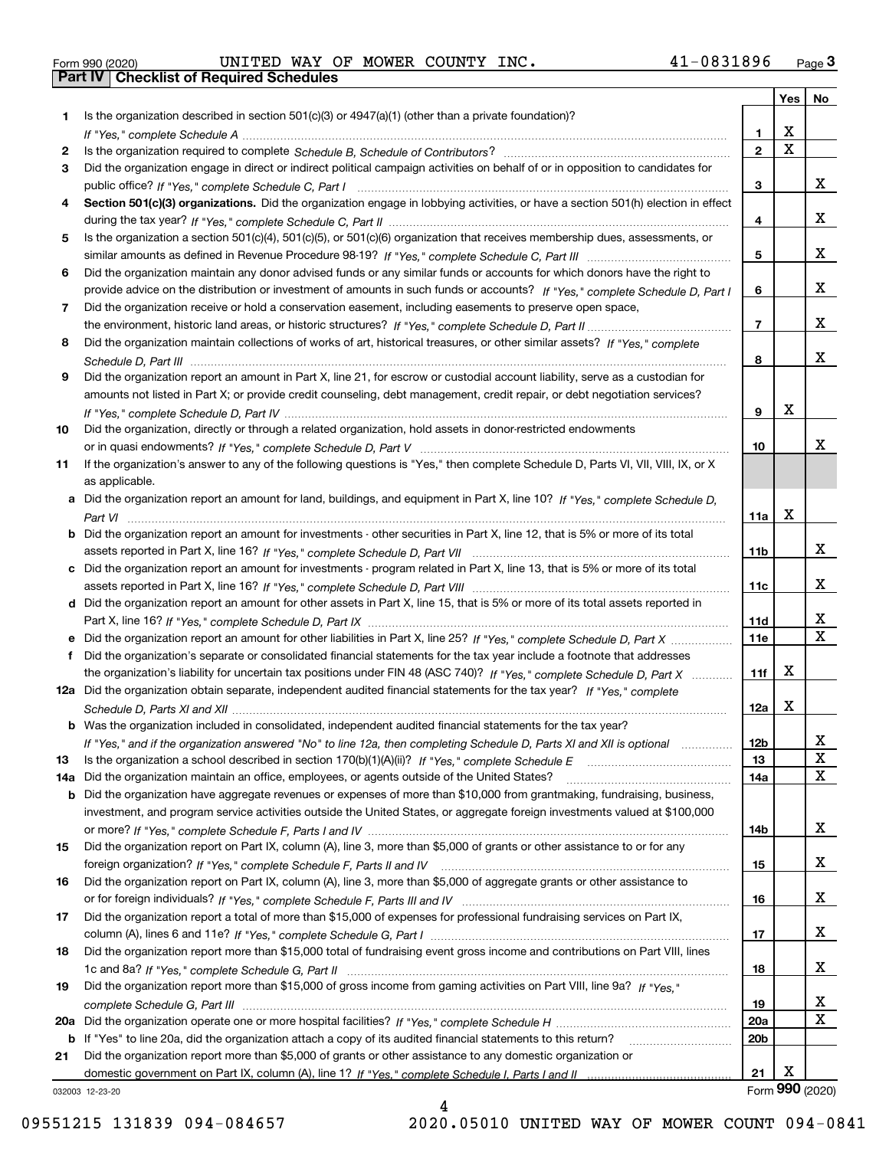| Form 990 (2020) |  |  |
|-----------------|--|--|

Form 990 (2020) UNITED WAY OF MOWER COUNTY INC 41-0831896 <sub>Page</sub> 3<br>Part IV | Checklist of Required Schedules

|     |                                                                                                                                                                                                                                           |                   | Yes                   | No                      |
|-----|-------------------------------------------------------------------------------------------------------------------------------------------------------------------------------------------------------------------------------------------|-------------------|-----------------------|-------------------------|
| 1.  | Is the organization described in section $501(c)(3)$ or $4947(a)(1)$ (other than a private foundation)?                                                                                                                                   |                   |                       |                         |
|     |                                                                                                                                                                                                                                           | 1.                | х                     |                         |
| 2   |                                                                                                                                                                                                                                           | $\mathbf 2$       | $\overline{\text{x}}$ |                         |
| 3   | Did the organization engage in direct or indirect political campaign activities on behalf of or in opposition to candidates for                                                                                                           |                   |                       |                         |
|     |                                                                                                                                                                                                                                           | 3                 |                       | x                       |
| 4   | Section 501(c)(3) organizations. Did the organization engage in lobbying activities, or have a section 501(h) election in effect                                                                                                          |                   |                       |                         |
|     |                                                                                                                                                                                                                                           | 4                 |                       | x                       |
| 5   | Is the organization a section 501(c)(4), 501(c)(5), or 501(c)(6) organization that receives membership dues, assessments, or                                                                                                              |                   |                       |                         |
|     |                                                                                                                                                                                                                                           | 5                 |                       | x                       |
| 6   | Did the organization maintain any donor advised funds or any similar funds or accounts for which donors have the right to                                                                                                                 | 6                 |                       | x                       |
| 7   | provide advice on the distribution or investment of amounts in such funds or accounts? If "Yes," complete Schedule D, Part I<br>Did the organization receive or hold a conservation easement, including easements to preserve open space, |                   |                       |                         |
|     |                                                                                                                                                                                                                                           | $\overline{7}$    |                       | x                       |
| 8   | Did the organization maintain collections of works of art, historical treasures, or other similar assets? If "Yes," complete                                                                                                              |                   |                       |                         |
|     |                                                                                                                                                                                                                                           | 8                 |                       | x                       |
| 9   | Did the organization report an amount in Part X, line 21, for escrow or custodial account liability, serve as a custodian for                                                                                                             |                   |                       |                         |
|     | amounts not listed in Part X; or provide credit counseling, debt management, credit repair, or debt negotiation services?                                                                                                                 |                   |                       |                         |
|     |                                                                                                                                                                                                                                           | 9                 | X                     |                         |
| 10  | Did the organization, directly or through a related organization, hold assets in donor-restricted endowments                                                                                                                              |                   |                       |                         |
|     |                                                                                                                                                                                                                                           | 10                |                       | х                       |
| 11  | If the organization's answer to any of the following questions is "Yes," then complete Schedule D, Parts VI, VII, VIII, IX, or X                                                                                                          |                   |                       |                         |
|     | as applicable.                                                                                                                                                                                                                            |                   |                       |                         |
|     | a Did the organization report an amount for land, buildings, and equipment in Part X, line 10? If "Yes," complete Schedule D,                                                                                                             |                   |                       |                         |
|     |                                                                                                                                                                                                                                           | 11a               | X                     |                         |
|     | <b>b</b> Did the organization report an amount for investments - other securities in Part X, line 12, that is 5% or more of its total                                                                                                     |                   |                       |                         |
|     |                                                                                                                                                                                                                                           | 11b               |                       | x                       |
|     | c Did the organization report an amount for investments - program related in Part X, line 13, that is 5% or more of its total                                                                                                             |                   |                       | x                       |
|     | d Did the organization report an amount for other assets in Part X, line 15, that is 5% or more of its total assets reported in                                                                                                           | 11c               |                       |                         |
|     |                                                                                                                                                                                                                                           |                   |                       | X                       |
|     |                                                                                                                                                                                                                                           | 11d<br><b>11e</b> |                       | $\overline{\mathtt{x}}$ |
| f   | Did the organization's separate or consolidated financial statements for the tax year include a footnote that addresses                                                                                                                   |                   |                       |                         |
|     | the organization's liability for uncertain tax positions under FIN 48 (ASC 740)? If "Yes," complete Schedule D, Part X                                                                                                                    | 11f               | х                     |                         |
|     | 12a Did the organization obtain separate, independent audited financial statements for the tax year? If "Yes," complete                                                                                                                   |                   |                       |                         |
|     |                                                                                                                                                                                                                                           | 12a               | X                     |                         |
|     | <b>b</b> Was the organization included in consolidated, independent audited financial statements for the tax year?                                                                                                                        |                   |                       |                         |
|     | If "Yes," and if the organization answered "No" to line 12a, then completing Schedule D, Parts XI and XII is optional                                                                                                                     | 12b               |                       | X,                      |
| 13  |                                                                                                                                                                                                                                           | 13                |                       | $\mathbf X$             |
| 14a | Did the organization maintain an office, employees, or agents outside of the United States?                                                                                                                                               | 14a               |                       | $\overline{\mathbf{x}}$ |
|     | b Did the organization have aggregate revenues or expenses of more than \$10,000 from grantmaking, fundraising, business,                                                                                                                 |                   |                       |                         |
|     | investment, and program service activities outside the United States, or aggregate foreign investments valued at \$100,000                                                                                                                |                   |                       |                         |
|     |                                                                                                                                                                                                                                           | 14b               |                       | x                       |
| 15  | Did the organization report on Part IX, column (A), line 3, more than \$5,000 of grants or other assistance to or for any                                                                                                                 |                   |                       | X                       |
| 16  | Did the organization report on Part IX, column (A), line 3, more than \$5,000 of aggregate grants or other assistance to                                                                                                                  | 15                |                       |                         |
|     |                                                                                                                                                                                                                                           | 16                |                       | X                       |
| 17  | Did the organization report a total of more than \$15,000 of expenses for professional fundraising services on Part IX,                                                                                                                   |                   |                       |                         |
|     |                                                                                                                                                                                                                                           | 17                |                       | X                       |
| 18  | Did the organization report more than \$15,000 total of fundraising event gross income and contributions on Part VIII, lines                                                                                                              |                   |                       |                         |
|     |                                                                                                                                                                                                                                           | 18                |                       | x                       |
| 19  | Did the organization report more than \$15,000 of gross income from gaming activities on Part VIII, line 9a? If "Yes."                                                                                                                    |                   |                       |                         |
|     |                                                                                                                                                                                                                                           | 19                |                       | x                       |
|     |                                                                                                                                                                                                                                           | <b>20a</b>        |                       | $\mathbf X$             |
|     | b If "Yes" to line 20a, did the organization attach a copy of its audited financial statements to this return?                                                                                                                            | 20 <sub>b</sub>   |                       |                         |
| 21  | Did the organization report more than \$5,000 of grants or other assistance to any domestic organization or                                                                                                                               |                   |                       |                         |
|     |                                                                                                                                                                                                                                           | 21                | х                     |                         |
|     | 032003 12-23-20                                                                                                                                                                                                                           |                   |                       | Form 990 (2020)         |

4

032003 12-23-20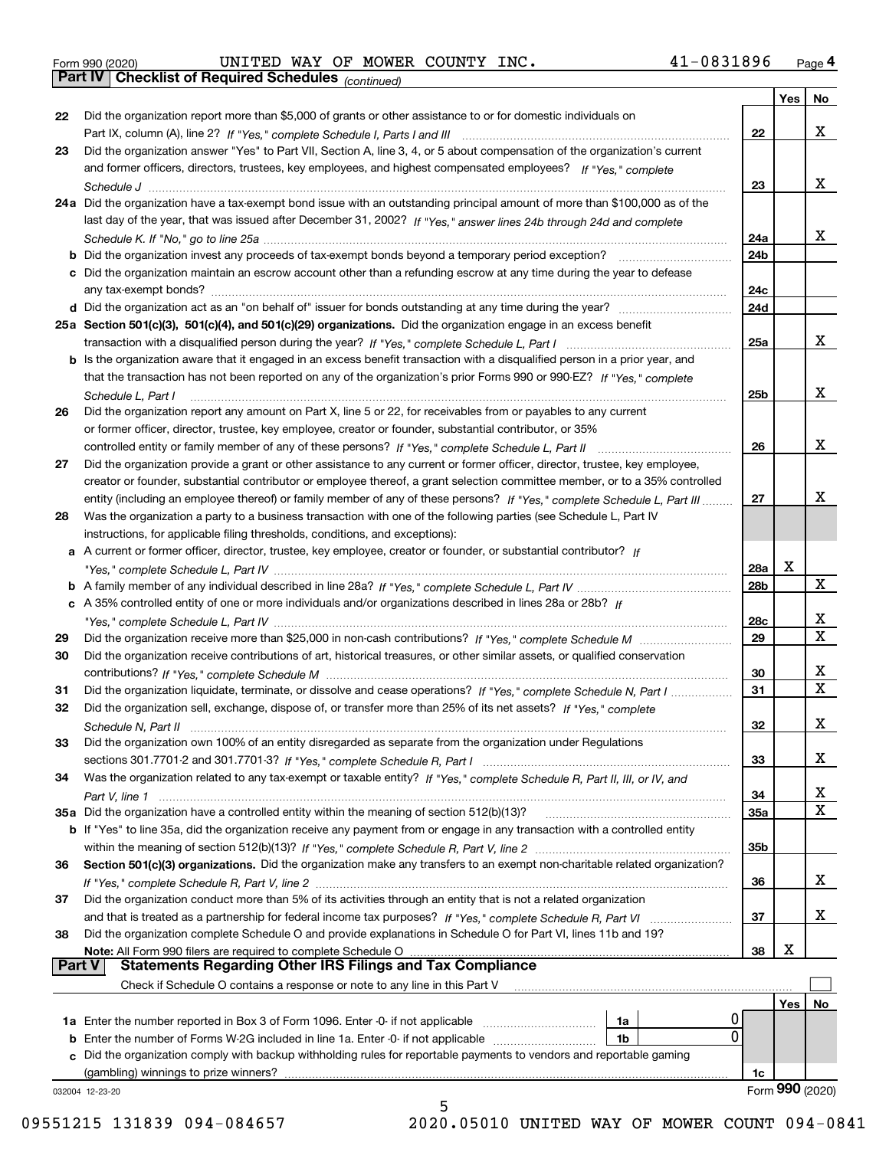|  | Form 990 (2020) |
|--|-----------------|
|  |                 |

Form 990 (2020) UNITED WAY OF MOWER COUNTY INC 41-0831896 <sub>Page</sub> 4<br>**Part IV | Checklist of Required Schedules** <sub>(continued)</sub>

*(continued)*

|               |                                                                                                                                                                                                                                                         |                 | Yes | No              |
|---------------|---------------------------------------------------------------------------------------------------------------------------------------------------------------------------------------------------------------------------------------------------------|-----------------|-----|-----------------|
| 22            | Did the organization report more than \$5,000 of grants or other assistance to or for domestic individuals on                                                                                                                                           |                 |     |                 |
|               |                                                                                                                                                                                                                                                         | 22              |     | x               |
| 23            | Did the organization answer "Yes" to Part VII, Section A, line 3, 4, or 5 about compensation of the organization's current                                                                                                                              |                 |     |                 |
|               | and former officers, directors, trustees, key employees, and highest compensated employees? If "Yes." complete                                                                                                                                          |                 |     |                 |
|               |                                                                                                                                                                                                                                                         | 23              |     | x               |
|               | 24a Did the organization have a tax-exempt bond issue with an outstanding principal amount of more than \$100,000 as of the                                                                                                                             |                 |     |                 |
|               | last day of the year, that was issued after December 31, 2002? If "Yes," answer lines 24b through 24d and complete                                                                                                                                      |                 |     |                 |
|               |                                                                                                                                                                                                                                                         | 24a             |     | x               |
|               | <b>b</b> Did the organization invest any proceeds of tax-exempt bonds beyond a temporary period exception?                                                                                                                                              | 24b             |     |                 |
|               | c Did the organization maintain an escrow account other than a refunding escrow at any time during the year to defease                                                                                                                                  |                 |     |                 |
|               | any tax-exempt bonds?                                                                                                                                                                                                                                   | 24c             |     |                 |
|               |                                                                                                                                                                                                                                                         | 24d             |     |                 |
|               | 25a Section 501(c)(3), 501(c)(4), and 501(c)(29) organizations. Did the organization engage in an excess benefit                                                                                                                                        |                 |     |                 |
|               |                                                                                                                                                                                                                                                         | 25a             |     | x               |
|               | b Is the organization aware that it engaged in an excess benefit transaction with a disqualified person in a prior year, and                                                                                                                            |                 |     |                 |
|               | that the transaction has not been reported on any of the organization's prior Forms 990 or 990-EZ? If "Yes," complete                                                                                                                                   |                 |     |                 |
|               | Schedule L, Part I                                                                                                                                                                                                                                      | 25 <sub>b</sub> |     | х               |
| 26            | Did the organization report any amount on Part X, line 5 or 22, for receivables from or payables to any current                                                                                                                                         |                 |     |                 |
|               | or former officer, director, trustee, key employee, creator or founder, substantial contributor, or 35%                                                                                                                                                 |                 |     |                 |
|               | controlled entity or family member of any of these persons? If "Yes," complete Schedule L, Part II                                                                                                                                                      | 26              |     | х               |
| 27            | Did the organization provide a grant or other assistance to any current or former officer, director, trustee, key employee,                                                                                                                             |                 |     |                 |
|               |                                                                                                                                                                                                                                                         |                 |     |                 |
|               | creator or founder, substantial contributor or employee thereof, a grant selection committee member, or to a 35% controlled<br>entity (including an employee thereof) or family member of any of these persons? If "Yes," complete Schedule L, Part III | 27              |     | х               |
| 28            | Was the organization a party to a business transaction with one of the following parties (see Schedule L, Part IV                                                                                                                                       |                 |     |                 |
|               |                                                                                                                                                                                                                                                         |                 |     |                 |
|               | instructions, for applicable filing thresholds, conditions, and exceptions):<br>a A current or former officer, director, trustee, key employee, creator or founder, or substantial contributor? If                                                      |                 |     |                 |
|               |                                                                                                                                                                                                                                                         | 28a             | х   |                 |
|               |                                                                                                                                                                                                                                                         | 28b             |     | x               |
|               |                                                                                                                                                                                                                                                         |                 |     |                 |
|               | c A 35% controlled entity of one or more individuals and/or organizations described in lines 28a or 28b? If                                                                                                                                             |                 |     | х               |
|               |                                                                                                                                                                                                                                                         | 28c<br>29       |     | X               |
| 29            |                                                                                                                                                                                                                                                         |                 |     |                 |
| 30            | Did the organization receive contributions of art, historical treasures, or other similar assets, or qualified conservation                                                                                                                             |                 |     | х               |
|               |                                                                                                                                                                                                                                                         | 30<br>31        |     | X               |
| 31            | Did the organization liquidate, terminate, or dissolve and cease operations? If "Yes," complete Schedule N, Part I                                                                                                                                      |                 |     |                 |
| 32            | Did the organization sell, exchange, dispose of, or transfer more than 25% of its net assets? If "Yes," complete                                                                                                                                        |                 |     | х               |
|               |                                                                                                                                                                                                                                                         | 32              |     |                 |
| 33            | Did the organization own 100% of an entity disregarded as separate from the organization under Regulations                                                                                                                                              |                 |     |                 |
|               |                                                                                                                                                                                                                                                         | 33              |     | x               |
| 34            | Was the organization related to any tax-exempt or taxable entity? If "Yes," complete Schedule R, Part II, III, or IV, and                                                                                                                               |                 |     |                 |
|               |                                                                                                                                                                                                                                                         | 34              |     | x<br>x          |
|               | 35a Did the organization have a controlled entity within the meaning of section 512(b)(13)?                                                                                                                                                             | 35a             |     |                 |
|               | b If "Yes" to line 35a, did the organization receive any payment from or engage in any transaction with a controlled entity                                                                                                                             |                 |     |                 |
|               |                                                                                                                                                                                                                                                         | 35b             |     |                 |
| 36            | Section 501(c)(3) organizations. Did the organization make any transfers to an exempt non-charitable related organization?                                                                                                                              |                 |     |                 |
|               |                                                                                                                                                                                                                                                         | 36              |     | x               |
| 37            | Did the organization conduct more than 5% of its activities through an entity that is not a related organization                                                                                                                                        |                 |     | x               |
|               | and that is treated as a partnership for federal income tax purposes? If "Yes," complete Schedule R, Part VI                                                                                                                                            | 37              |     |                 |
| 38            | Did the organization complete Schedule O and provide explanations in Schedule O for Part VI, lines 11b and 19?                                                                                                                                          |                 | х   |                 |
| <b>Part V</b> | Note: All Form 990 filers are required to complete Schedule O<br><b>Statements Regarding Other IRS Filings and Tax Compliance</b>                                                                                                                       | 38              |     |                 |
|               | Check if Schedule O contains a response or note to any line in this Part V                                                                                                                                                                              |                 |     |                 |
|               |                                                                                                                                                                                                                                                         |                 | Yes | No              |
|               | 1a Enter the number reported in Box 3 of Form 1096. Enter -0- if not applicable<br>1a                                                                                                                                                                   |                 |     |                 |
|               | 0<br><b>b</b> Enter the number of Forms W-2G included in line 1a. Enter -0- if not applicable<br>1b                                                                                                                                                     |                 |     |                 |
|               | Did the organization comply with backup withholding rules for reportable payments to vendors and reportable gaming                                                                                                                                      |                 |     |                 |
|               | (gambling) winnings to prize winners?                                                                                                                                                                                                                   | 1c              |     |                 |
|               | 032004 12-23-20                                                                                                                                                                                                                                         |                 |     | Form 990 (2020) |
|               | 5                                                                                                                                                                                                                                                       |                 |     |                 |

 <sup>09551215 131839 094-084657 2020.05010</sup> UNITED WAY OF MOWER COUNT 094-0841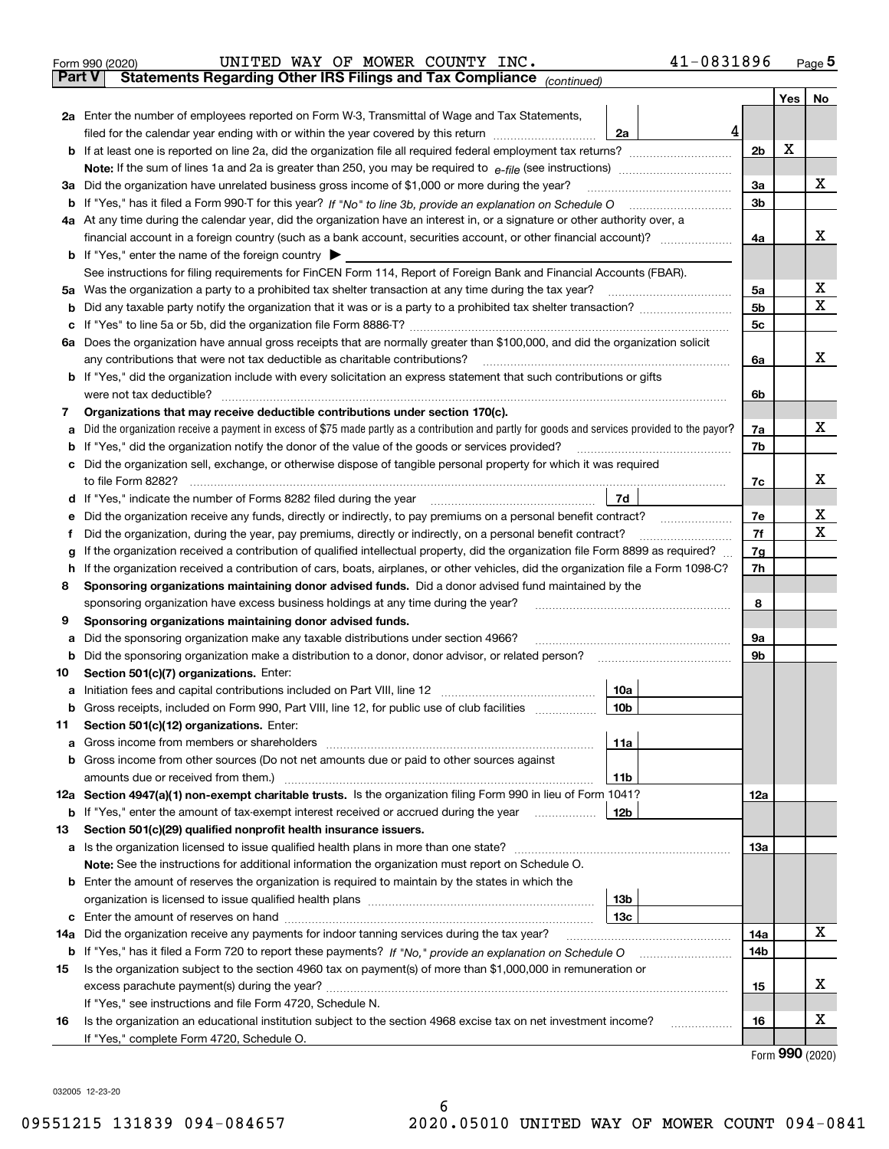|        | UNITED WAY OF MOWER COUNTY INC.<br>41-0831896                                                                                                   |                |            |             |
|--------|-------------------------------------------------------------------------------------------------------------------------------------------------|----------------|------------|-------------|
| Part V | Form 990 (2020)<br>Statements Regarding Other IRS Filings and Tax Compliance (continued)                                                        |                |            | Page 5      |
|        |                                                                                                                                                 |                | <b>Yes</b> | No          |
|        |                                                                                                                                                 |                |            |             |
|        | <b>2a</b> Enter the number of employees reported on Form W-3, Transmittal of Wage and Tax Statements,<br>4                                      |                |            |             |
|        | filed for the calendar year ending with or within the year covered by this return<br>2a                                                         | 2 <sub>b</sub> | X          |             |
|        | <b>Note:</b> If the sum of lines 1a and 2a is greater than 250, you may be required to $e$ -file (see instructions)                             |                |            |             |
|        | 3a Did the organization have unrelated business gross income of \$1,000 or more during the year?                                                | За             |            | х           |
|        | b If "Yes," has it filed a Form 990-T for this year? If "No" to line 3b, provide an explanation on Schedule O                                   | 3 <sub>b</sub> |            |             |
|        | 4a At any time during the calendar year, did the organization have an interest in, or a signature or other authority over, a                    |                |            |             |
|        |                                                                                                                                                 | 4a             |            | x           |
|        | <b>b</b> If "Yes," enter the name of the foreign country $\triangleright$                                                                       |                |            |             |
|        | See instructions for filing requirements for FinCEN Form 114, Report of Foreign Bank and Financial Accounts (FBAR).                             |                |            |             |
|        | 5a Was the organization a party to a prohibited tax shelter transaction at any time during the tax year?                                        | 5а             |            | х           |
| b      |                                                                                                                                                 | 5 <sub>b</sub> |            | $\mathbf x$ |
| с      |                                                                                                                                                 | 5c             |            |             |
| 6a     | Does the organization have annual gross receipts that are normally greater than \$100,000, and did the organization solicit                     |                |            |             |
|        | any contributions that were not tax deductible as charitable contributions?                                                                     | 6a             |            | x           |
|        | <b>b</b> If "Yes," did the organization include with every solicitation an express statement that such contributions or gifts                   |                |            |             |
|        | were not tax deductible?                                                                                                                        | 6b             |            |             |
| 7      | Organizations that may receive deductible contributions under section 170(c).                                                                   |                |            |             |
| а      | Did the organization receive a payment in excess of \$75 made partly as a contribution and partly for goods and services provided to the payor? | 7a             |            | х           |
|        | If "Yes," did the organization notify the donor of the value of the goods or services provided?                                                 | 7b             |            |             |
|        | c Did the organization sell, exchange, or otherwise dispose of tangible personal property for which it was required                             |                |            |             |
|        | to file Form 8282?                                                                                                                              | 7c             |            | x           |
|        | 7d<br>If "Yes," indicate the number of Forms 8282 filed during the year                                                                         |                |            |             |
|        | Did the organization receive any funds, directly or indirectly, to pay premiums on a personal benefit contract?                                 | 7e             |            | х           |
| Ť.     | Did the organization, during the year, pay premiums, directly or indirectly, on a personal benefit contract?                                    | 7f             |            | $\mathbf X$ |
| g      | If the organization received a contribution of qualified intellectual property, did the organization file Form 8899 as required?                | 7g             |            |             |
|        | h If the organization received a contribution of cars, boats, airplanes, or other vehicles, did the organization file a Form 1098-C?            | 7h             |            |             |
| 8      | Sponsoring organizations maintaining donor advised funds. Did a donor advised fund maintained by the                                            |                |            |             |
|        | sponsoring organization have excess business holdings at any time during the year?                                                              | 8              |            |             |
| 9      | Sponsoring organizations maintaining donor advised funds.                                                                                       |                |            |             |
|        | a Did the sponsoring organization make any taxable distributions under section 4966?                                                            | 9а             |            |             |
| b      | Did the sponsoring organization make a distribution to a donor, donor advisor, or related person?                                               | 9b             |            |             |
| 10     | Section 501(c)(7) organizations. Enter:                                                                                                         |                |            |             |
| а      | 10a                                                                                                                                             |                |            |             |
| b      | Gross receipts, included on Form 990, Part VIII, line 12, for public use of club facilities<br>10b                                              |                |            |             |
| 11     | Section 501(c)(12) organizations. Enter:                                                                                                        |                |            |             |
| а      | Gross income from members or shareholders<br>11a                                                                                                |                |            |             |
|        | <b>b</b> Gross income from other sources (Do not net amounts due or paid to other sources against                                               |                |            |             |
|        | amounts due or received from them.)<br>11b                                                                                                      |                |            |             |
|        | 12a Section 4947(a)(1) non-exempt charitable trusts. Is the organization filing Form 990 in lieu of Form 1041?                                  | 12a            |            |             |

|     | If "Yes," enter the amount of tax-exempt interest received or accrued during the year                           | 12b             |                 |   |
|-----|-----------------------------------------------------------------------------------------------------------------|-----------------|-----------------|---|
| 13. | Section 501(c)(29) qualified nonprofit health insurance issuers.                                                |                 |                 |   |
| a   | Is the organization licensed to issue qualified health plans in more than one state?                            |                 | 13а             |   |
|     | <b>Note:</b> See the instructions for additional information the organization must report on Schedule O.        |                 |                 |   |
|     | <b>b</b> Enter the amount of reserves the organization is required to maintain by the states in which the       |                 |                 |   |
|     |                                                                                                                 | 13 <sub>b</sub> |                 |   |
|     |                                                                                                                 | 13с             |                 |   |
| 14a | Did the organization receive any payments for indoor tanning services during the tax year?                      |                 | 14a             | х |
| b   | If "Yes," has it filed a Form 720 to report these payments? If "No," provide an explanation on Schedule O       |                 | 14 <sub>b</sub> |   |
| 15  | Is the organization subject to the section 4960 tax on payment(s) of more than \$1,000,000 in remuneration or   |                 |                 |   |
|     | excess parachute payment(s) during the year?                                                                    |                 | 15              | х |
|     | If "Yes," see instructions and file Form 4720, Schedule N.                                                      |                 |                 |   |
| 16  | Is the organization an educational institution subject to the section 4968 excise tax on net investment income? |                 | 16              | х |
|     | If "Yes," complete Form 4720, Schedule O.                                                                       |                 |                 |   |

6

Form (2020) **990**

032005 12-23-20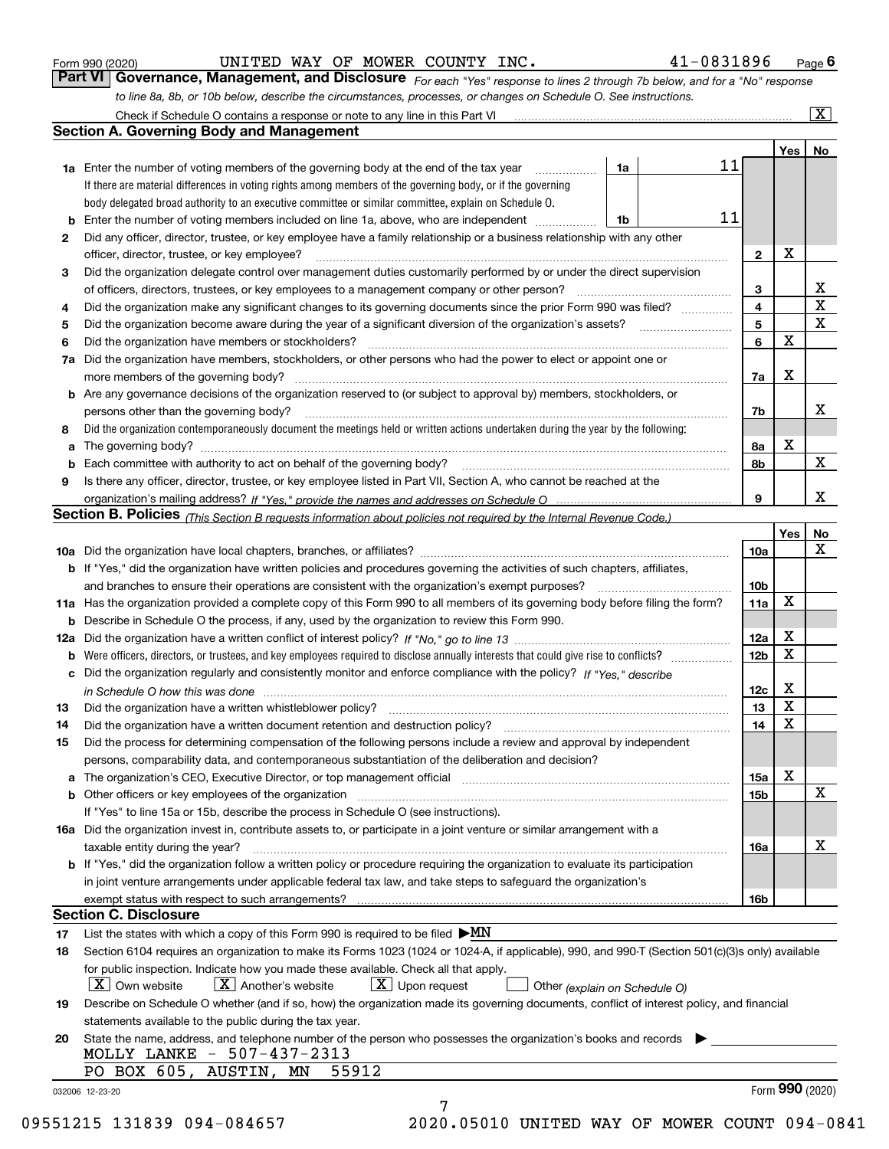|  | Form 990 (2020) |
|--|-----------------|
|  |                 |

UNITED WAY OF MOWER COUNTY INC. 41-0831896

*For each "Yes" response to lines 2 through 7b below, and for a "No" response to line 8a, 8b, or 10b below, describe the circumstances, processes, or changes on Schedule O. See instructions.* Form 990 (2020) **CONVICTED WAY OF MOWER COUNTY INC.** All-0831896 Page 6<br>**Part VI Governance, Management, and Disclosure** For each "Yes" response to lines 2 through 7b below, and for a "No" response

|    |                                                                                                                                                                            |    |  |    |                 | Yes   No        |                              |
|----|----------------------------------------------------------------------------------------------------------------------------------------------------------------------------|----|--|----|-----------------|-----------------|------------------------------|
|    | <b>1a</b> Enter the number of voting members of the governing body at the end of the tax year <i>manumum</i>                                                               | 1a |  | 11 |                 |                 |                              |
|    | If there are material differences in voting rights among members of the governing body, or if the governing                                                                |    |  |    |                 |                 |                              |
|    | body delegated broad authority to an executive committee or similar committee, explain on Schedule O.                                                                      |    |  | 11 |                 |                 |                              |
|    |                                                                                                                                                                            | 1b |  |    |                 |                 |                              |
| 2  | Did any officer, director, trustee, or key employee have a family relationship or a business relationship with any other                                                   |    |  |    |                 |                 |                              |
|    | officer, director, trustee, or key employee?                                                                                                                               |    |  |    | $\mathbf{2}$    | X               |                              |
| 3  | Did the organization delegate control over management duties customarily performed by or under the direct supervision                                                      |    |  |    | 3               |                 |                              |
|    |                                                                                                                                                                            |    |  |    |                 |                 | X<br>$\overline{\textbf{x}}$ |
| 4  | Did the organization make any significant changes to its governing documents since the prior Form 990 was filed?                                                           |    |  |    | 4               |                 | $\mathbf{x}$                 |
| 5  |                                                                                                                                                                            |    |  |    | 5               | $\mathbf X$     |                              |
| 6  | Did the organization have members or stockholders?                                                                                                                         |    |  |    | 6               |                 |                              |
|    | 7a Did the organization have members, stockholders, or other persons who had the power to elect or appoint one or                                                          |    |  |    |                 |                 |                              |
|    |                                                                                                                                                                            |    |  |    | 7a              | Х               |                              |
|    | <b>b</b> Are any governance decisions of the organization reserved to (or subject to approval by) members, stockholders, or                                                |    |  |    |                 |                 |                              |
|    | persons other than the governing body?                                                                                                                                     |    |  |    | 7b              |                 | Х                            |
| 8  | Did the organization contemporaneously document the meetings held or written actions undertaken during the year by the following:                                          |    |  |    |                 |                 |                              |
| a  |                                                                                                                                                                            |    |  |    | 8a              | X               |                              |
|    |                                                                                                                                                                            |    |  |    | 8b              |                 | X                            |
| 9  | Is there any officer, director, trustee, or key employee listed in Part VII, Section A, who cannot be reached at the                                                       |    |  |    |                 |                 |                              |
|    |                                                                                                                                                                            |    |  |    | 9               |                 | X                            |
|    | Section B. Policies <sub>(This</sub> Section B requests information about policies not required by the Internal Revenue Code.)                                             |    |  |    |                 |                 |                              |
|    |                                                                                                                                                                            |    |  |    |                 | Yes             | <b>No</b>                    |
|    |                                                                                                                                                                            |    |  |    | 10a             |                 | X                            |
|    | <b>b</b> If "Yes," did the organization have written policies and procedures governing the activities of such chapters, affiliates,                                        |    |  |    |                 |                 |                              |
|    |                                                                                                                                                                            |    |  |    | 10 <sub>b</sub> |                 |                              |
|    | 11a Has the organization provided a complete copy of this Form 990 to all members of its governing body before filing the form?                                            |    |  |    | 11a             | X               |                              |
|    | <b>b</b> Describe in Schedule O the process, if any, used by the organization to review this Form 990.                                                                     |    |  |    |                 |                 |                              |
|    |                                                                                                                                                                            |    |  |    | 12a             | X               |                              |
| b  |                                                                                                                                                                            |    |  |    | 12 <sub>b</sub> | X               |                              |
|    | c Did the organization regularly and consistently monitor and enforce compliance with the policy? If "Yes," describe                                                       |    |  |    |                 |                 |                              |
|    | in Schedule O how this was done encourance and the control of the control of the control of the control of the                                                             |    |  |    | 12c             | X               |                              |
| 13 |                                                                                                                                                                            |    |  |    | 13              | $\mathbf X$     |                              |
| 14 | Did the organization have a written document retention and destruction policy? manufactured and the organization have a written document retention and destruction policy? |    |  |    | 14              | $\mathbf X$     |                              |
| 15 | Did the process for determining compensation of the following persons include a review and approval by independent                                                         |    |  |    |                 |                 |                              |
|    | persons, comparability data, and contemporaneous substantiation of the deliberation and decision?                                                                          |    |  |    |                 |                 |                              |
|    |                                                                                                                                                                            |    |  |    | 15a             | X               |                              |
|    | <b>b</b> Other officers or key employees of the organization                                                                                                               |    |  |    | 15 <sub>b</sub> |                 | X                            |
|    | If "Yes" to line 15a or 15b, describe the process in Schedule O (see instructions).                                                                                        |    |  |    |                 |                 |                              |
|    | 16a Did the organization invest in, contribute assets to, or participate in a joint venture or similar arrangement with a                                                  |    |  |    |                 |                 |                              |
|    | taxable entity during the year?                                                                                                                                            |    |  |    | 16a             |                 | х                            |
|    | <b>b</b> If "Yes," did the organization follow a written policy or procedure requiring the organization to evaluate its participation                                      |    |  |    |                 |                 |                              |
|    | in joint venture arrangements under applicable federal tax law, and take steps to safeguard the organization's                                                             |    |  |    |                 |                 |                              |
|    | exempt status with respect to such arrangements?                                                                                                                           |    |  |    | <b>16b</b>      |                 |                              |
|    | <b>Section C. Disclosure</b>                                                                                                                                               |    |  |    |                 |                 |                              |
| 17 | List the states with which a copy of this Form 990 is required to be filed $\blacktriangleright MN$                                                                        |    |  |    |                 |                 |                              |
| 18 | Section 6104 requires an organization to make its Forms 1023 (1024 or 1024-A, if applicable), 990, and 990-T (Section 501(c)(3)s only) available                           |    |  |    |                 |                 |                              |
|    | for public inspection. Indicate how you made these available. Check all that apply.                                                                                        |    |  |    |                 |                 |                              |
|    | $X$ Upon request<br>$ X $ Own website<br>$X$ Another's website<br>Other (explain on Schedule O)                                                                            |    |  |    |                 |                 |                              |
| 19 | Describe on Schedule O whether (and if so, how) the organization made its governing documents, conflict of interest policy, and financial                                  |    |  |    |                 |                 |                              |
|    | statements available to the public during the tax year.                                                                                                                    |    |  |    |                 |                 |                              |
| 20 | State the name, address, and telephone number of the person who possesses the organization's books and records                                                             |    |  |    |                 |                 |                              |
|    | MOLLY LANKE - 507-437-2313                                                                                                                                                 |    |  |    |                 |                 |                              |
|    | PO BOX 605, AUSTIN, MN<br>55912                                                                                                                                            |    |  |    |                 |                 |                              |
|    | 032006 12-23-20                                                                                                                                                            |    |  |    |                 | Form 990 (2020) |                              |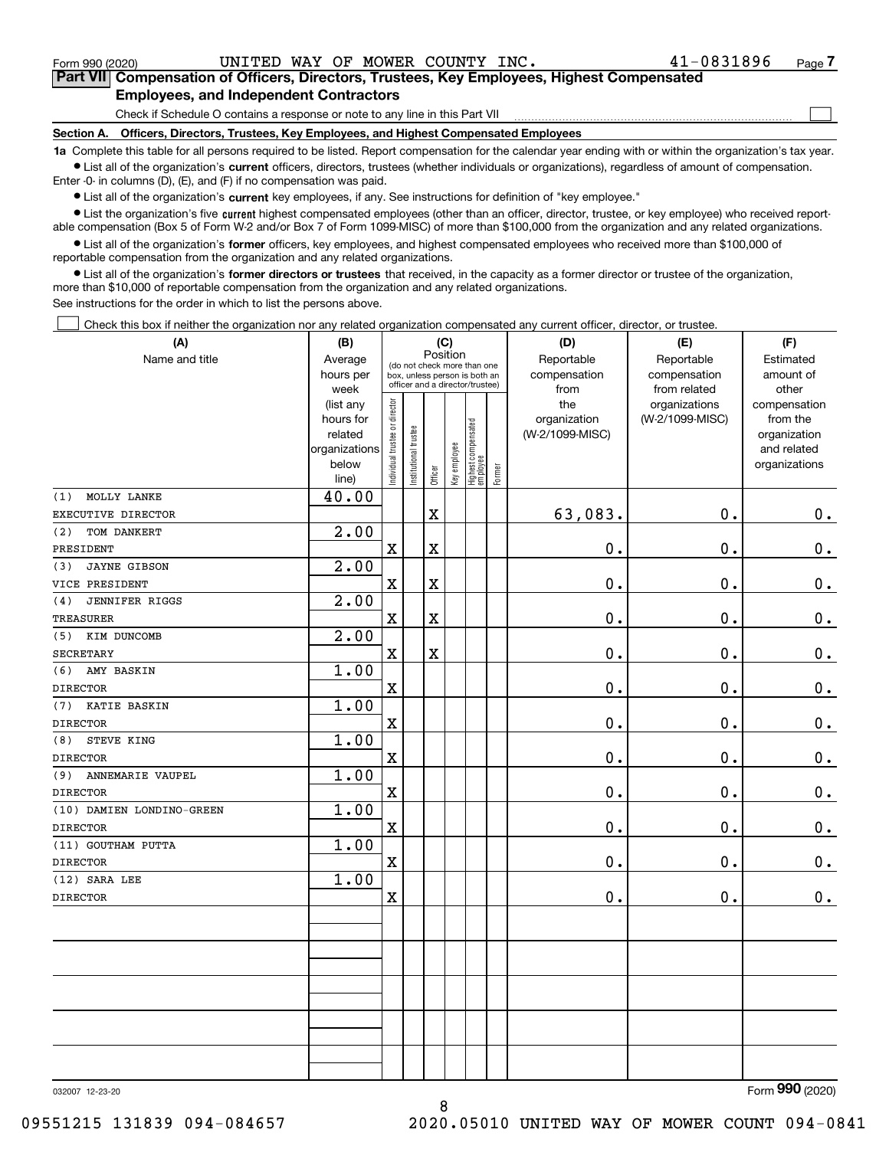$\mathcal{L}^{\text{max}}$ 

# **7Part VII Compensation of Officers, Directors, Trustees, Key Employees, Highest Compensated Employees, and Independent Contractors**

Check if Schedule O contains a response or note to any line in this Part VII

**Section A. Officers, Directors, Trustees, Key Employees, and Highest Compensated Employees**

**1a**  Complete this table for all persons required to be listed. Report compensation for the calendar year ending with or within the organization's tax year. **•** List all of the organization's current officers, directors, trustees (whether individuals or organizations), regardless of amount of compensation.

Enter -0- in columns (D), (E), and (F) if no compensation was paid.

 $\bullet$  List all of the organization's  $\,$ current key employees, if any. See instructions for definition of "key employee."

**•** List the organization's five current highest compensated employees (other than an officer, director, trustee, or key employee) who received reportable compensation (Box 5 of Form W-2 and/or Box 7 of Form 1099-MISC) of more than \$100,000 from the organization and any related organizations.

**•** List all of the organization's former officers, key employees, and highest compensated employees who received more than \$100,000 of reportable compensation from the organization and any related organizations.

**former directors or trustees**  ¥ List all of the organization's that received, in the capacity as a former director or trustee of the organization, more than \$10,000 of reportable compensation from the organization and any related organizations.

See instructions for the order in which to list the persons above.

Check this box if neither the organization nor any related organization compensated any current officer, director, or trustee.  $\mathcal{L}^{\text{max}}$ 

| (A)                          | (B)               |                               |                                                                  |             | (C)          |                                  |           | (D)             | (E)             | (F)           |
|------------------------------|-------------------|-------------------------------|------------------------------------------------------------------|-------------|--------------|----------------------------------|-----------|-----------------|-----------------|---------------|
| Name and title               | Average           |                               | Position<br>(do not check more than one                          |             | Reportable   | Reportable                       | Estimated |                 |                 |               |
|                              | hours per         |                               | box, unless person is both an<br>officer and a director/trustee) |             | compensation | compensation                     | amount of |                 |                 |               |
|                              | week              |                               |                                                                  |             |              |                                  |           | from            | from related    | other         |
|                              | (list any         |                               |                                                                  |             |              |                                  |           | the             | organizations   | compensation  |
|                              | hours for         |                               |                                                                  |             |              |                                  |           | organization    | (W-2/1099-MISC) | from the      |
|                              | related           |                               |                                                                  |             |              |                                  |           | (W-2/1099-MISC) |                 | organization  |
|                              | organizations     |                               |                                                                  |             |              |                                  |           |                 |                 | and related   |
|                              | below<br>line)    | ndividual trustee or director | Institutional trustee                                            | Officer     | Key employee | Highest compensated<br> employee | Former    |                 |                 | organizations |
| MOLLY LANKE<br>(1)           | 40.00             |                               |                                                                  |             |              |                                  |           |                 |                 |               |
| EXECUTIVE DIRECTOR           |                   |                               |                                                                  | $\rm X$     |              |                                  |           | 63,083.         | 0.              | 0.            |
| (2)<br>TOM DANKERT           | 2.00              |                               |                                                                  |             |              |                                  |           |                 |                 |               |
| PRESIDENT                    |                   | Χ                             |                                                                  | X           |              |                                  |           | 0.              | 0.              | $\mathbf 0$ . |
| <b>JAYNE GIBSON</b><br>(3)   | 2.00              |                               |                                                                  |             |              |                                  |           |                 |                 |               |
| VICE PRESIDENT               |                   | $\mathbf X$                   |                                                                  | $\mathbf X$ |              |                                  |           | 0.              | 0.              | $\mathbf 0$ . |
| <b>JENNIFER RIGGS</b><br>(4) | 2.00              |                               |                                                                  |             |              |                                  |           |                 |                 |               |
| <b>TREASURER</b>             |                   | X                             |                                                                  | $\mathbf X$ |              |                                  |           | 0.              | 0.              | $\mathbf 0$ . |
| KIM DUNCOMB<br>(5)           | $\overline{2.00}$ |                               |                                                                  |             |              |                                  |           |                 |                 |               |
| <b>SECRETARY</b>             |                   | $\mathbf x$                   |                                                                  | X           |              |                                  |           | 0.              | 0.              | $0_{.}$       |
| AMY BASKIN<br>(6)            | 1.00              |                               |                                                                  |             |              |                                  |           |                 |                 |               |
| <b>DIRECTOR</b>              |                   | $\rm X$                       |                                                                  |             |              |                                  |           | 0.              | 0.              | $\mathbf 0$ . |
| KATIE BASKIN<br>(7)          | 1.00              |                               |                                                                  |             |              |                                  |           |                 |                 |               |
| <b>DIRECTOR</b>              |                   | $\overline{\textbf{X}}$       |                                                                  |             |              |                                  |           | 0.              | 0.              | $\mathbf 0$ . |
| (8)<br>STEVE KING            | 1.00              |                               |                                                                  |             |              |                                  |           |                 |                 |               |
| <b>DIRECTOR</b>              |                   | $\overline{\mathbf{X}}$       |                                                                  |             |              |                                  |           | 0.              | 0.              | $\mathbf 0$ . |
| ANNEMARIE VAUPEL<br>(9)      | 1.00              |                               |                                                                  |             |              |                                  |           |                 |                 |               |
| <b>DIRECTOR</b>              |                   | $\overline{\textbf{X}}$       |                                                                  |             |              |                                  |           | 0.              | 0.              | 0.            |
| (10) DAMIEN LONDINO-GREEN    | 1.00              |                               |                                                                  |             |              |                                  |           |                 |                 |               |
| <b>DIRECTOR</b>              |                   | X                             |                                                                  |             |              |                                  |           | 0.              | 0.              | $\mathbf 0$ . |
| (11) GOUTHAM PUTTA           | 1.00              |                               |                                                                  |             |              |                                  |           |                 |                 |               |
| <b>DIRECTOR</b>              |                   | $\overline{\textbf{X}}$       |                                                                  |             |              |                                  |           | 0.              | 0.              | $\mathbf 0$ . |
| (12) SARA LEE                | 1.00              |                               |                                                                  |             |              |                                  |           |                 |                 |               |
| <b>DIRECTOR</b>              |                   | X                             |                                                                  |             |              |                                  |           | 0.              | 0.              | 0.            |
|                              |                   |                               |                                                                  |             |              |                                  |           |                 |                 |               |
|                              |                   |                               |                                                                  |             |              |                                  |           |                 |                 |               |
|                              |                   |                               |                                                                  |             |              |                                  |           |                 |                 |               |
|                              |                   |                               |                                                                  |             |              |                                  |           |                 |                 |               |
|                              |                   |                               |                                                                  |             |              |                                  |           |                 |                 |               |
|                              |                   |                               |                                                                  |             |              |                                  |           |                 |                 |               |
|                              |                   |                               |                                                                  |             |              |                                  |           |                 |                 |               |
|                              |                   |                               |                                                                  |             |              |                                  |           |                 |                 |               |
|                              |                   |                               |                                                                  |             |              |                                  |           |                 |                 |               |

8

032007 12-23-20

Form (2020) **990**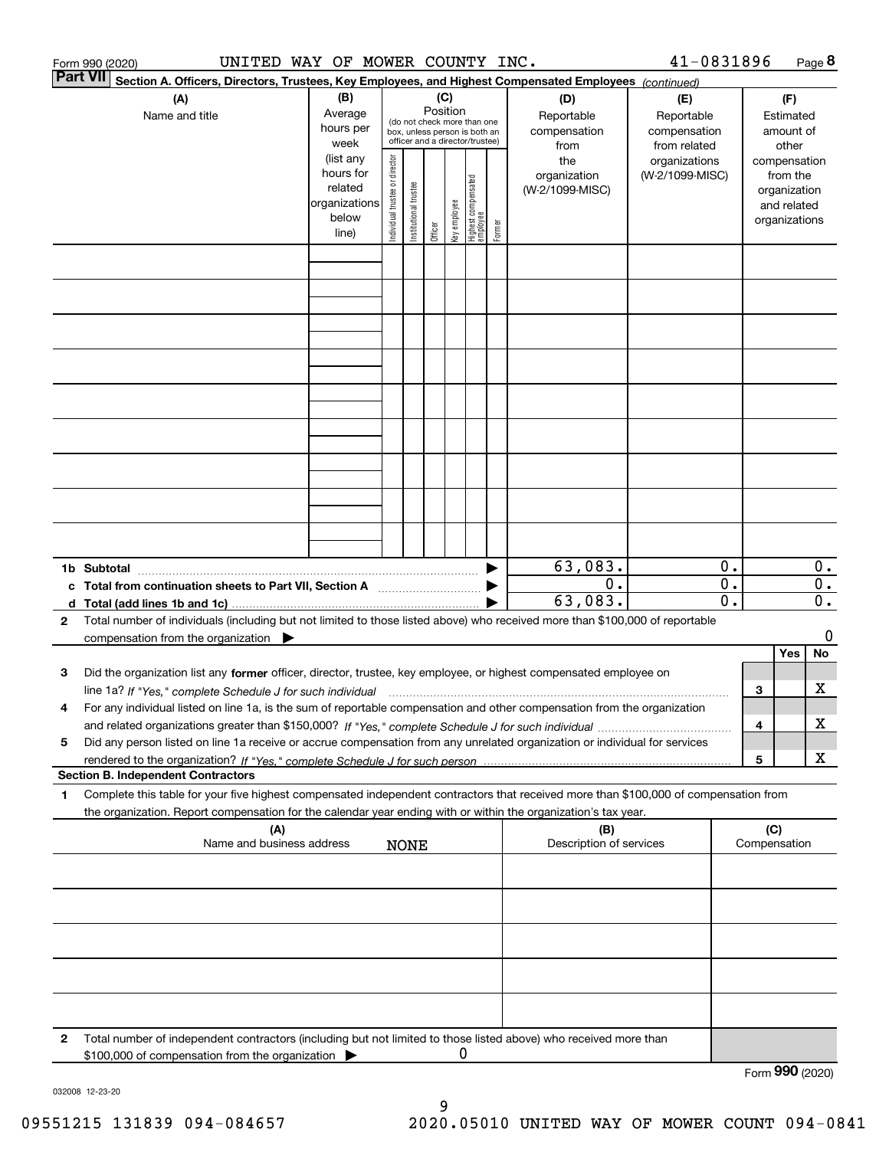| 41-0831896<br>UNITED WAY OF MOWER COUNTY INC.<br>Form 990 (2020) |                                                                                                                                                                                                                                                                      |                                                                      |                                                                                                                                                                                                                    |                                                                                                                    |  |  |  |  |                                                                          |                                                   |                                      | Page 8                                 |              |                                      |
|------------------------------------------------------------------|----------------------------------------------------------------------------------------------------------------------------------------------------------------------------------------------------------------------------------------------------------------------|----------------------------------------------------------------------|--------------------------------------------------------------------------------------------------------------------------------------------------------------------------------------------------------------------|--------------------------------------------------------------------------------------------------------------------|--|--|--|--|--------------------------------------------------------------------------|---------------------------------------------------|--------------------------------------|----------------------------------------|--------------|--------------------------------------|
|                                                                  | Part VII<br>Section A. Officers, Directors, Trustees, Key Employees, and Highest Compensated Employees (continued)                                                                                                                                                   |                                                                      |                                                                                                                                                                                                                    |                                                                                                                    |  |  |  |  |                                                                          |                                                   |                                      |                                        |              |                                      |
|                                                                  | (A)<br>Name and title                                                                                                                                                                                                                                                | (B)<br>Average<br>hours per<br>week                                  |                                                                                                                                                                                                                    | (C)<br>Position<br>(do not check more than one<br>box, unless person is both an<br>officer and a director/trustee) |  |  |  |  | (D)<br>Reportable<br>compensation<br>from                                | (E)<br>Reportable<br>compensation<br>from related |                                      | (F)<br>Estimated<br>amount of<br>other |              |                                      |
|                                                                  |                                                                                                                                                                                                                                                                      | (list any<br>hours for<br>related<br>organizations<br>below<br>line) | Individual trustee or director<br>the<br>organizations<br>organization<br>(W-2/1099-MISC)<br>Highest compensated<br>employee<br>trustee<br>(W-2/1099-MISC)<br>Key employee<br>Institutional t<br>Former<br>Officer |                                                                                                                    |  |  |  |  | compensation<br>from the<br>organization<br>and related<br>organizations |                                                   |                                      |                                        |              |                                      |
|                                                                  |                                                                                                                                                                                                                                                                      |                                                                      |                                                                                                                                                                                                                    |                                                                                                                    |  |  |  |  |                                                                          |                                                   |                                      |                                        |              |                                      |
|                                                                  |                                                                                                                                                                                                                                                                      |                                                                      |                                                                                                                                                                                                                    |                                                                                                                    |  |  |  |  |                                                                          |                                                   |                                      |                                        |              |                                      |
|                                                                  |                                                                                                                                                                                                                                                                      |                                                                      |                                                                                                                                                                                                                    |                                                                                                                    |  |  |  |  |                                                                          |                                                   |                                      |                                        |              |                                      |
|                                                                  |                                                                                                                                                                                                                                                                      |                                                                      |                                                                                                                                                                                                                    |                                                                                                                    |  |  |  |  |                                                                          |                                                   |                                      |                                        |              |                                      |
|                                                                  |                                                                                                                                                                                                                                                                      |                                                                      |                                                                                                                                                                                                                    |                                                                                                                    |  |  |  |  |                                                                          |                                                   |                                      |                                        |              |                                      |
|                                                                  |                                                                                                                                                                                                                                                                      |                                                                      |                                                                                                                                                                                                                    |                                                                                                                    |  |  |  |  |                                                                          |                                                   |                                      |                                        |              |                                      |
|                                                                  |                                                                                                                                                                                                                                                                      |                                                                      |                                                                                                                                                                                                                    |                                                                                                                    |  |  |  |  |                                                                          |                                                   |                                      |                                        |              |                                      |
|                                                                  |                                                                                                                                                                                                                                                                      |                                                                      |                                                                                                                                                                                                                    |                                                                                                                    |  |  |  |  |                                                                          |                                                   |                                      |                                        |              |                                      |
|                                                                  |                                                                                                                                                                                                                                                                      |                                                                      |                                                                                                                                                                                                                    |                                                                                                                    |  |  |  |  | 63,083.                                                                  |                                                   | 0.                                   |                                        |              | $0$ .                                |
|                                                                  | 1b Subtotal<br>c Total from continuation sheets to Part VII, Section A <b>manual</b> contains the Total from continuum                                                                                                                                               |                                                                      |                                                                                                                                                                                                                    |                                                                                                                    |  |  |  |  | $0$ .<br>63,083.                                                         |                                                   | $\overline{0}$ .<br>$\overline{0}$ . |                                        |              | $\overline{0}$ .<br>$\overline{0}$ . |
| 2                                                                | Total number of individuals (including but not limited to those listed above) who received more than \$100,000 of reportable<br>compensation from the organization $\blacktriangleright$                                                                             |                                                                      |                                                                                                                                                                                                                    |                                                                                                                    |  |  |  |  |                                                                          |                                                   |                                      |                                        |              | 0                                    |
|                                                                  |                                                                                                                                                                                                                                                                      |                                                                      |                                                                                                                                                                                                                    |                                                                                                                    |  |  |  |  |                                                                          |                                                   |                                      |                                        | Yes          | No                                   |
| з                                                                | Did the organization list any former officer, director, trustee, key employee, or highest compensated employee on<br>line 1a? If "Yes," complete Schedule J for such individual manufactured contained and the 1a? If "Yes," complete Schedule J for such individual |                                                                      |                                                                                                                                                                                                                    |                                                                                                                    |  |  |  |  |                                                                          |                                                   |                                      | З                                      |              | x                                    |
| 4                                                                | For any individual listed on line 1a, is the sum of reportable compensation and other compensation from the organization                                                                                                                                             |                                                                      |                                                                                                                                                                                                                    |                                                                                                                    |  |  |  |  |                                                                          |                                                   |                                      | 4                                      |              | x                                    |
| 5                                                                | Did any person listed on line 1a receive or accrue compensation from any unrelated organization or individual for services<br><b>Section B. Independent Contractors</b>                                                                                              |                                                                      |                                                                                                                                                                                                                    |                                                                                                                    |  |  |  |  |                                                                          |                                                   |                                      | 5                                      |              | x                                    |
| 1                                                                | Complete this table for your five highest compensated independent contractors that received more than \$100,000 of compensation from<br>the organization. Report compensation for the calendar year ending with or within the organization's tax year.               |                                                                      |                                                                                                                                                                                                                    |                                                                                                                    |  |  |  |  |                                                                          |                                                   |                                      |                                        |              |                                      |
|                                                                  | (A)<br>Name and business address                                                                                                                                                                                                                                     |                                                                      |                                                                                                                                                                                                                    | <b>NONE</b>                                                                                                        |  |  |  |  | (B)<br>Description of services                                           |                                                   |                                      | (C)                                    | Compensation |                                      |
|                                                                  |                                                                                                                                                                                                                                                                      |                                                                      |                                                                                                                                                                                                                    |                                                                                                                    |  |  |  |  |                                                                          |                                                   |                                      |                                        |              |                                      |
|                                                                  |                                                                                                                                                                                                                                                                      |                                                                      |                                                                                                                                                                                                                    |                                                                                                                    |  |  |  |  |                                                                          |                                                   |                                      |                                        |              |                                      |
|                                                                  |                                                                                                                                                                                                                                                                      |                                                                      |                                                                                                                                                                                                                    |                                                                                                                    |  |  |  |  |                                                                          |                                                   |                                      |                                        |              |                                      |
|                                                                  |                                                                                                                                                                                                                                                                      |                                                                      |                                                                                                                                                                                                                    |                                                                                                                    |  |  |  |  |                                                                          |                                                   |                                      |                                        |              |                                      |
|                                                                  |                                                                                                                                                                                                                                                                      |                                                                      |                                                                                                                                                                                                                    |                                                                                                                    |  |  |  |  |                                                                          |                                                   |                                      |                                        |              |                                      |
| 2                                                                | Total number of independent contractors (including but not limited to those listed above) who received more than<br>\$100,000 of compensation from the organization                                                                                                  |                                                                      |                                                                                                                                                                                                                    |                                                                                                                    |  |  |  |  |                                                                          |                                                   |                                      |                                        | റററ          |                                      |

032008 12-23-20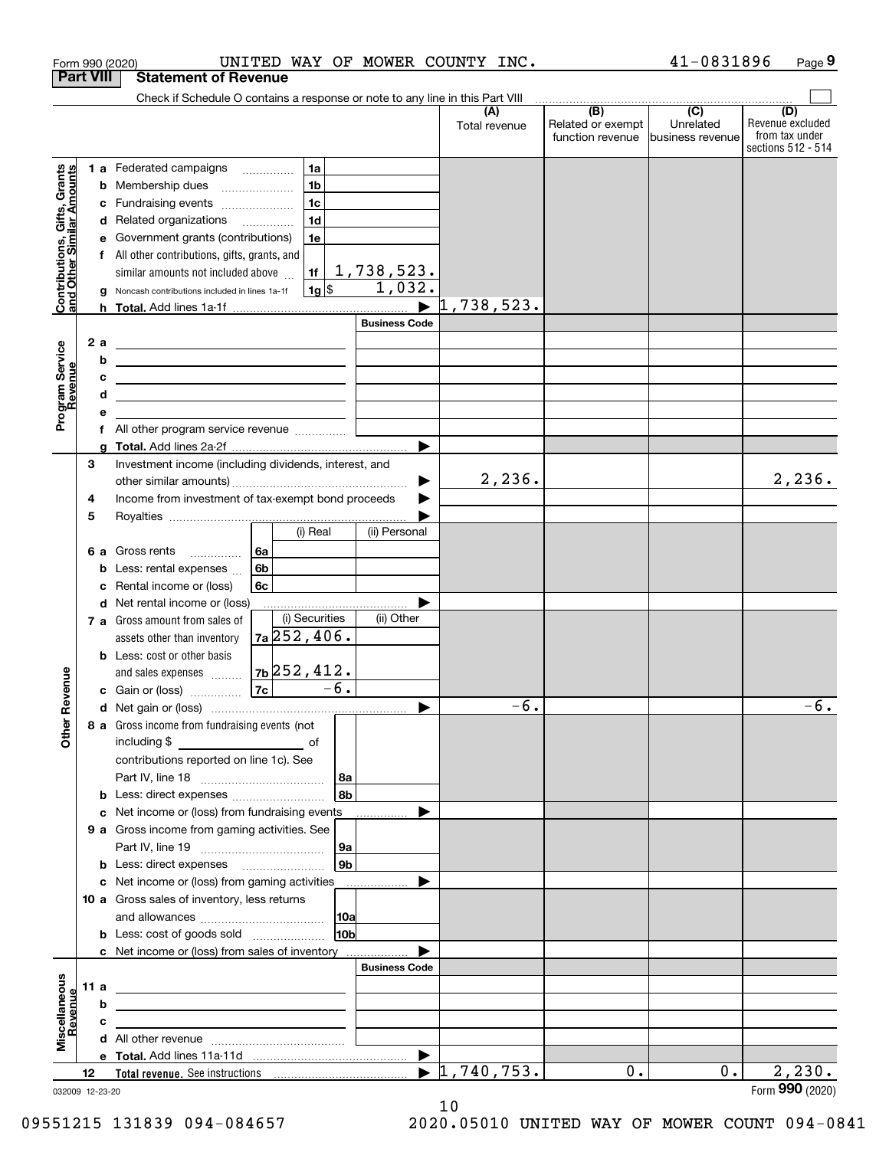|                                                           |        |     | Form 990 (2020)                                                                                                      |                |                        |                      | UNITED WAY OF MOWER COUNTY INC.  |                                              | 41-0831896                                        | Page 9                                                          |
|-----------------------------------------------------------|--------|-----|----------------------------------------------------------------------------------------------------------------------|----------------|------------------------|----------------------|----------------------------------|----------------------------------------------|---------------------------------------------------|-----------------------------------------------------------------|
| <b>Part VIII</b>                                          |        |     | <b>Statement of Revenue</b>                                                                                          |                |                        |                      |                                  |                                              |                                                   |                                                                 |
|                                                           |        |     | Check if Schedule O contains a response or note to any line in this Part VIII                                        |                |                        |                      |                                  |                                              |                                                   |                                                                 |
|                                                           |        |     |                                                                                                                      |                |                        |                      | (A)<br>Total revenue             | (B)<br>Related or exempt<br>function revenue | $\overline{(C)}$<br>Unrelated<br>business revenue | (D)<br>Revenue excluded<br>from tax under<br>sections 512 - 514 |
|                                                           |        |     | 1 a Federated campaigns                                                                                              | 1a             |                        |                      |                                  |                                              |                                                   |                                                                 |
| Contributions, Gifts, Grants<br>and Other Similar Amounts |        |     | <b>b</b> Membership dues                                                                                             | 1 <sub>b</sub> |                        |                      |                                  |                                              |                                                   |                                                                 |
|                                                           |        |     | c Fundraising events                                                                                                 | 1 <sub>c</sub> |                        |                      |                                  |                                              |                                                   |                                                                 |
|                                                           |        |     | d Related organizations                                                                                              | 1 <sub>d</sub> |                        |                      |                                  |                                              |                                                   |                                                                 |
|                                                           |        |     | e Government grants (contributions)                                                                                  | 1e             |                        |                      |                                  |                                              |                                                   |                                                                 |
|                                                           |        |     | f All other contributions, gifts, grants, and                                                                        |                |                        |                      |                                  |                                              |                                                   |                                                                 |
|                                                           |        |     | similar amounts not included above                                                                                   | 1f             |                        | 1,738,523.           |                                  |                                              |                                                   |                                                                 |
|                                                           |        |     | g Noncash contributions included in lines 1a-1f                                                                      | 1g             |                        | 1,032.               |                                  |                                              |                                                   |                                                                 |
|                                                           |        |     |                                                                                                                      |                |                        |                      | $\blacktriangleright$ 1,738,523. |                                              |                                                   |                                                                 |
|                                                           |        |     |                                                                                                                      |                |                        | <b>Business Code</b> |                                  |                                              |                                                   |                                                                 |
|                                                           |        | 2 a | <u> 1989 - Johann Barbara, martin amerikan basar dan berasal dalam basa dalam basar dalam basar dalam basa dalam</u> |                |                        |                      |                                  |                                              |                                                   |                                                                 |
| Program Service<br>Revenue                                |        | b   |                                                                                                                      |                |                        |                      |                                  |                                              |                                                   |                                                                 |
| evenue                                                    |        | c   | <u> 1989 - Johann Stein, mars an deutscher Stein († 1989)</u>                                                        |                |                        |                      |                                  |                                              |                                                   |                                                                 |
|                                                           |        | d   | the control of the control of the control of the control of the control of the control of                            |                |                        |                      |                                  |                                              |                                                   |                                                                 |
|                                                           |        | е   |                                                                                                                      |                |                        |                      |                                  |                                              |                                                   |                                                                 |
|                                                           |        |     |                                                                                                                      |                |                        |                      |                                  |                                              |                                                   |                                                                 |
|                                                           |        | a   |                                                                                                                      |                |                        |                      |                                  |                                              |                                                   |                                                                 |
|                                                           | 3      |     | Investment income (including dividends, interest, and                                                                |                |                        |                      | 2,236.                           |                                              |                                                   | 2,236.                                                          |
|                                                           |        |     | Income from investment of tax-exempt bond proceeds                                                                   |                |                        | ▶                    |                                  |                                              |                                                   |                                                                 |
|                                                           | 4<br>5 |     |                                                                                                                      |                |                        |                      |                                  |                                              |                                                   |                                                                 |
|                                                           |        |     |                                                                                                                      | (i) Real       |                        | (ii) Personal        |                                  |                                              |                                                   |                                                                 |
|                                                           |        | 6а  | Gross rents                                                                                                          | 6а             |                        |                      |                                  |                                              |                                                   |                                                                 |
|                                                           |        | b   | Less: rental expenses                                                                                                | 6b             |                        |                      |                                  |                                              |                                                   |                                                                 |
|                                                           |        | с   | Rental income or (loss)                                                                                              | 6c             |                        |                      |                                  |                                              |                                                   |                                                                 |
|                                                           |        |     | d Net rental income or (loss)                                                                                        |                |                        |                      |                                  |                                              |                                                   |                                                                 |
|                                                           |        |     | 7 a Gross amount from sales of                                                                                       | (i) Securities |                        | (ii) Other           |                                  |                                              |                                                   |                                                                 |
|                                                           |        |     | assets other than inventory                                                                                          | $7a$ 252, 406. |                        |                      |                                  |                                              |                                                   |                                                                 |
|                                                           |        |     | <b>b</b> Less: cost or other basis                                                                                   |                |                        |                      |                                  |                                              |                                                   |                                                                 |
|                                                           |        |     | and sales expenses                                                                                                   | $7b$ 252, 412. |                        |                      |                                  |                                              |                                                   |                                                                 |
| venue                                                     |        |     | <b>c</b> Gain or (loss) $\ldots$                                                                                     | 7c             | $-6.$                  |                      |                                  |                                              |                                                   |                                                                 |
|                                                           |        |     |                                                                                                                      |                |                        |                      | $\overline{-6}$ .                |                                              |                                                   | -6.                                                             |
| Other R                                                   |        |     | 8 a Gross income from fundraising events (not                                                                        |                |                        |                      |                                  |                                              |                                                   |                                                                 |
|                                                           |        |     | including \$                                                                                                         |                |                        |                      |                                  |                                              |                                                   |                                                                 |
|                                                           |        |     | contributions reported on line 1c). See                                                                              |                |                        |                      |                                  |                                              |                                                   |                                                                 |
|                                                           |        |     |                                                                                                                      |                |                        |                      |                                  |                                              |                                                   |                                                                 |
|                                                           |        |     |                                                                                                                      |                | 8b                     |                      |                                  |                                              |                                                   |                                                                 |
|                                                           |        |     | c Net income or (loss) from fundraising events                                                                       |                |                        |                      |                                  |                                              |                                                   |                                                                 |
|                                                           |        |     | 9 a Gross income from gaming activities. See                                                                         |                |                        |                      |                                  |                                              |                                                   |                                                                 |
|                                                           |        |     |                                                                                                                      |                | 9a                     |                      |                                  |                                              |                                                   |                                                                 |
|                                                           |        |     | <b>b</b> Less: direct expenses <i>manually contained</i>                                                             |                | 9b                     |                      |                                  |                                              |                                                   |                                                                 |
|                                                           |        |     | c Net income or (loss) from gaming activities                                                                        |                |                        |                      |                                  |                                              |                                                   |                                                                 |
|                                                           |        |     | 10 a Gross sales of inventory, less returns                                                                          |                |                        |                      |                                  |                                              |                                                   |                                                                 |
|                                                           |        |     |                                                                                                                      |                | 10a<br>10 <sub>b</sub> |                      |                                  |                                              |                                                   |                                                                 |
|                                                           |        |     |                                                                                                                      |                |                        |                      |                                  |                                              |                                                   |                                                                 |
|                                                           |        |     | c Net income or (loss) from sales of inventory                                                                       |                |                        | <b>Business Code</b> |                                  |                                              |                                                   |                                                                 |
|                                                           | 11a    |     |                                                                                                                      |                |                        |                      |                                  |                                              |                                                   |                                                                 |
|                                                           |        | b   | <u> 1980 - Jan Sterling von Berger (* 1950)</u>                                                                      |                |                        |                      |                                  |                                              |                                                   |                                                                 |
|                                                           |        | с   |                                                                                                                      |                |                        |                      |                                  |                                              |                                                   |                                                                 |
| Miscellaneous<br>Revenue                                  |        |     |                                                                                                                      |                |                        |                      |                                  |                                              |                                                   |                                                                 |
|                                                           |        |     |                                                                                                                      |                |                        | ▶                    |                                  |                                              |                                                   |                                                                 |
|                                                           | 12     |     |                                                                                                                      |                |                        |                      | $\sqrt{1,740,753}$ .             | 0.                                           | 0.                                                | 2,230.                                                          |
| 032009 12-23-20                                           |        |     |                                                                                                                      |                |                        |                      |                                  |                                              |                                                   | Form 990 (2020)                                                 |

10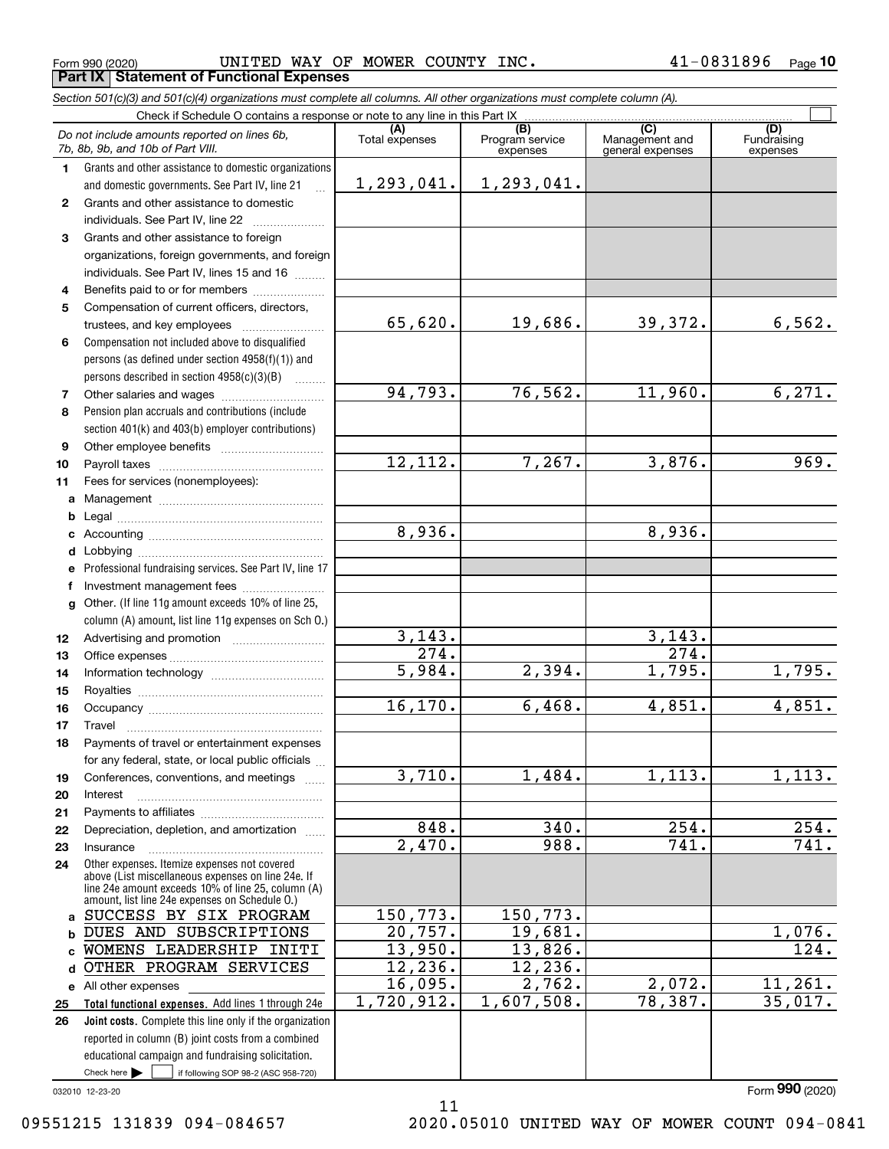<code>Form</code> 990 (2020) UNITED WAY OF MOWER COUNTY  $INC.$   $41\text{--}0831896$   $_\text{Page}$ **Part IX Statement of Functional Expenses**

*Section 501(c)(3) and 501(c)(4) organizations must complete all columns. All other organizations must complete column (A).*

|                  | Check if Schedule O contains a response or note to any line in this Part IX                                                                                                                                |                       |                                    |                                           |                                |
|------------------|------------------------------------------------------------------------------------------------------------------------------------------------------------------------------------------------------------|-----------------------|------------------------------------|-------------------------------------------|--------------------------------|
|                  | Do not include amounts reported on lines 6b,<br>7b, 8b, 9b, and 10b of Part VIII.                                                                                                                          | (A)<br>Total expenses | (B)<br>Program service<br>expenses | (C)<br>Management and<br>general expenses | (D)<br>Fundraising<br>expenses |
| $\mathbf{1}$     | Grants and other assistance to domestic organizations                                                                                                                                                      |                       |                                    |                                           |                                |
|                  | and domestic governments. See Part IV, line 21<br>$\ddotsc$                                                                                                                                                | 1,293,041.            | 1,293,041.                         |                                           |                                |
| $\mathbf{2}$     | Grants and other assistance to domestic                                                                                                                                                                    |                       |                                    |                                           |                                |
|                  | individuals. See Part IV, line 22                                                                                                                                                                          |                       |                                    |                                           |                                |
| 3                | Grants and other assistance to foreign                                                                                                                                                                     |                       |                                    |                                           |                                |
|                  | organizations, foreign governments, and foreign                                                                                                                                                            |                       |                                    |                                           |                                |
|                  | individuals. See Part IV, lines 15 and 16                                                                                                                                                                  |                       |                                    |                                           |                                |
| 4                |                                                                                                                                                                                                            |                       |                                    |                                           |                                |
| 5                | Compensation of current officers, directors,                                                                                                                                                               |                       |                                    |                                           |                                |
|                  |                                                                                                                                                                                                            | 65,620.               | 19,686.                            | 39,372.                                   | 6,562.                         |
| 6                | Compensation not included above to disqualified                                                                                                                                                            |                       |                                    |                                           |                                |
|                  | persons (as defined under section 4958(f)(1)) and                                                                                                                                                          |                       |                                    |                                           |                                |
|                  | persons described in section 4958(c)(3)(B)                                                                                                                                                                 | 94,793.               | 76, 562.                           | 11,960.                                   | 6, 271.                        |
| 7<br>8           | Pension plan accruals and contributions (include                                                                                                                                                           |                       |                                    |                                           |                                |
|                  | section 401(k) and 403(b) employer contributions)                                                                                                                                                          |                       |                                    |                                           |                                |
| 9                |                                                                                                                                                                                                            |                       |                                    |                                           |                                |
| 10               |                                                                                                                                                                                                            | 12, 112.              | 7,267.                             | 3,876.                                    | 969.                           |
| 11               | Fees for services (nonemployees):                                                                                                                                                                          |                       |                                    |                                           |                                |
|                  |                                                                                                                                                                                                            |                       |                                    |                                           |                                |
| b                |                                                                                                                                                                                                            |                       |                                    |                                           |                                |
| c                |                                                                                                                                                                                                            | 8,936.                |                                    | 8,936.                                    |                                |
| d                |                                                                                                                                                                                                            |                       |                                    |                                           |                                |
| е                | Professional fundraising services. See Part IV, line 17                                                                                                                                                    |                       |                                    |                                           |                                |
| f                |                                                                                                                                                                                                            |                       |                                    |                                           |                                |
|                  | g Other. (If line 11g amount exceeds 10% of line 25,                                                                                                                                                       |                       |                                    |                                           |                                |
|                  | column (A) amount, list line 11g expenses on Sch O.)                                                                                                                                                       |                       |                                    |                                           |                                |
| 12 <sup>12</sup> |                                                                                                                                                                                                            | 3,143.                |                                    | 3,143.                                    |                                |
| 13               |                                                                                                                                                                                                            | 274.<br>5,984.        |                                    | 274.<br>1,795.                            | 1,795.                         |
| 14               |                                                                                                                                                                                                            |                       | 2,394.                             |                                           |                                |
| 15               |                                                                                                                                                                                                            | 16, 170.              | 6,468.                             | 4,851.                                    | 4,851.                         |
| 16<br>17         | Travel                                                                                                                                                                                                     |                       |                                    |                                           |                                |
| 18               | Payments of travel or entertainment expenses                                                                                                                                                               |                       |                                    |                                           |                                |
|                  | for any federal, state, or local public officials                                                                                                                                                          |                       |                                    |                                           |                                |
| 19               | Conferences, conventions, and meetings                                                                                                                                                                     | 3,710.                | 1,484.                             | 1, 113.                                   | 1,113.                         |
| 20               | Interest                                                                                                                                                                                                   |                       |                                    |                                           |                                |
| 21               |                                                                                                                                                                                                            |                       |                                    |                                           |                                |
| 22               | Depreciation, depletion, and amortization                                                                                                                                                                  | 848.                  | 340.                               | 254.                                      | 254.                           |
| 23               | Insurance                                                                                                                                                                                                  | $\overline{2,470}$ .  | 988.                               | $\overline{741}$ .                        | 741.                           |
| 24               | Other expenses. Itemize expenses not covered<br>above (List miscellaneous expenses on line 24e. If<br>line 24e amount exceeds 10% of line 25, column (A)<br>amount, list line 24e expenses on Schedule O.) |                       |                                    |                                           |                                |
| a                | SUCCESS BY SIX PROGRAM                                                                                                                                                                                     | 150,773.              | 150, 773.                          |                                           |                                |
| b                | DUES AND SUBSCRIPTIONS                                                                                                                                                                                     | 20, 757.              | 19,681.                            |                                           | 1,076.                         |
| C                | WOMENS LEADERSHIP INITI                                                                                                                                                                                    | 13,950.               | 13,826.                            |                                           | 124.                           |
| d                | OTHER PROGRAM SERVICES                                                                                                                                                                                     | 12,236.               | 12,236.                            |                                           |                                |
| е                | All other expenses                                                                                                                                                                                         | 16,095.               | 2,762.                             | 2,072.                                    | 11, 261.                       |
| 25               | Total functional expenses. Add lines 1 through 24e                                                                                                                                                         | 1,720,912.            | 1,607,508.                         | $\overline{78,387}$ .                     | 35,017.                        |
| 26               | Joint costs. Complete this line only if the organization                                                                                                                                                   |                       |                                    |                                           |                                |
|                  | reported in column (B) joint costs from a combined                                                                                                                                                         |                       |                                    |                                           |                                |
|                  | educational campaign and fundraising solicitation.                                                                                                                                                         |                       |                                    |                                           |                                |
|                  | Check here $\blacktriangleright$<br>if following SOP 98-2 (ASC 958-720)                                                                                                                                    |                       |                                    |                                           |                                |

032010 12-23-20

### 09551215 131839 094-084657 2020.05010 UNITED WAY OF MOWER COUNT 094-0841

11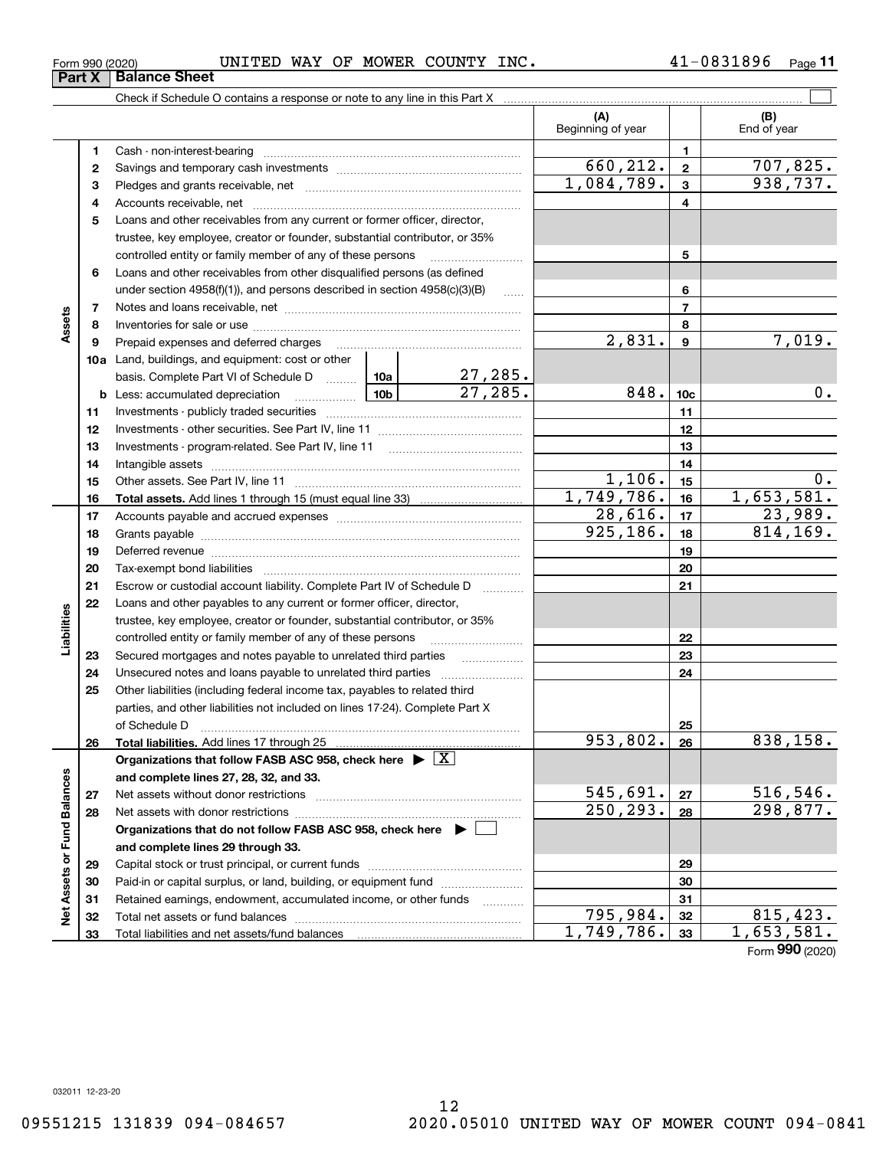| Form 990 (2020) | UNITED | WAY<br>ΟF | <b>MOWER</b> | <b>COUNTY</b> | INC. | 1896<br>0831 | $P$ age |
|-----------------|--------|-----------|--------------|---------------|------|--------------|---------|
|-----------------|--------|-----------|--------------|---------------|------|--------------|---------|

|                             |              |                                                                                                                                                                                                                                |           |                       | (A)<br>Beginning of year |                 | (B)<br>End of year     |
|-----------------------------|--------------|--------------------------------------------------------------------------------------------------------------------------------------------------------------------------------------------------------------------------------|-----------|-----------------------|--------------------------|-----------------|------------------------|
|                             | 1            |                                                                                                                                                                                                                                |           |                       |                          | 1               |                        |
|                             | $\mathbf{2}$ |                                                                                                                                                                                                                                | 660,212.  | $\mathbf{2}$          | 707,825.                 |                 |                        |
|                             | 3            |                                                                                                                                                                                                                                |           | 1,084,789.            | 3                        | 938,737.        |                        |
|                             | 4            |                                                                                                                                                                                                                                |           | 4                     |                          |                 |                        |
|                             | 5            | Loans and other receivables from any current or former officer, director,                                                                                                                                                      |           |                       |                          |                 |                        |
|                             |              | trustee, key employee, creator or founder, substantial contributor, or 35%                                                                                                                                                     |           |                       |                          |                 |                        |
|                             |              | controlled entity or family member of any of these persons                                                                                                                                                                     |           |                       |                          | 5               |                        |
|                             | 6            | Loans and other receivables from other disqualified persons (as defined                                                                                                                                                        |           |                       |                          |                 |                        |
|                             |              | under section $4958(f)(1)$ , and persons described in section $4958(c)(3)(B)$                                                                                                                                                  |           | $\ldots$              |                          | 6               |                        |
|                             | 7            |                                                                                                                                                                                                                                |           |                       |                          | $\overline{7}$  |                        |
| Assets                      | 8            |                                                                                                                                                                                                                                |           |                       |                          | 8               |                        |
|                             | 9            |                                                                                                                                                                                                                                |           |                       | $\overline{2,831}$ .     | 9               | 7,019.                 |
|                             |              | <b>10a</b> Land, buildings, and equipment: cost or other                                                                                                                                                                       |           |                       |                          |                 |                        |
|                             |              | basis. Complete Part VI of Schedule D  10a                                                                                                                                                                                     |           | 27,285.               |                          |                 |                        |
|                             |              | $\frac{1}{10b}$ 10b<br><b>b</b> Less: accumulated depreciation                                                                                                                                                                 |           | $\overline{27.285}$ . | 848.                     | 10 <sub>c</sub> | $0$ .                  |
|                             | 11           |                                                                                                                                                                                                                                |           |                       |                          | 11              |                        |
|                             | 12           |                                                                                                                                                                                                                                |           |                       | 12                       |                 |                        |
|                             | 13           |                                                                                                                                                                                                                                |           |                       | 13                       |                 |                        |
|                             | 14           |                                                                                                                                                                                                                                |           | 14                    |                          |                 |                        |
|                             | 15           |                                                                                                                                                                                                                                |           | 1,106.                | 15                       | $0$ .           |                        |
|                             | 16           |                                                                                                                                                                                                                                |           |                       | 1,749,786.               | 16              | 1,653,581.             |
|                             | 17           |                                                                                                                                                                                                                                |           |                       | 28,616.                  | 17              | 23,989.                |
|                             | 18           |                                                                                                                                                                                                                                | 925, 186. | 18                    | 814, 169.                |                 |                        |
|                             | 19           | Deferred revenue manual contracts and contracts are contracted and contract and contract are contracted and contract are contracted and contract are contracted and contract are contracted and contract are contracted and co |           | 19                    |                          |                 |                        |
|                             | 20           |                                                                                                                                                                                                                                |           |                       | 20                       |                 |                        |
|                             | 21           | Escrow or custodial account liability. Complete Part IV of Schedule D                                                                                                                                                          |           |                       | 21                       |                 |                        |
|                             | 22           | Loans and other payables to any current or former officer, director,                                                                                                                                                           |           |                       |                          |                 |                        |
| Liabilities                 |              | trustee, key employee, creator or founder, substantial contributor, or 35%                                                                                                                                                     |           |                       |                          |                 |                        |
|                             |              | controlled entity or family member of any of these persons                                                                                                                                                                     |           |                       |                          | 22              |                        |
|                             | 23           | Secured mortgages and notes payable to unrelated third parties                                                                                                                                                                 |           |                       |                          | 23              |                        |
|                             | 24           |                                                                                                                                                                                                                                |           |                       |                          | 24              |                        |
|                             | 25           | Other liabilities (including federal income tax, payables to related third                                                                                                                                                     |           |                       |                          |                 |                        |
|                             |              | parties, and other liabilities not included on lines 17-24). Complete Part X                                                                                                                                                   |           |                       |                          |                 |                        |
|                             |              | of Schedule D                                                                                                                                                                                                                  |           |                       |                          | 25              |                        |
|                             | 26           |                                                                                                                                                                                                                                |           |                       | 953,802.                 | 26              | 838,158.               |
|                             |              | Organizations that follow FASB ASC 958, check here $\blacktriangleright \boxed{X}$                                                                                                                                             |           |                       |                          |                 |                        |
|                             |              | and complete lines 27, 28, 32, and 33.                                                                                                                                                                                         |           |                       |                          |                 |                        |
|                             | 27           |                                                                                                                                                                                                                                |           |                       | 545,691.                 | 27              | 516, 546.              |
|                             | 28           |                                                                                                                                                                                                                                |           |                       | 250,293.                 | 28              | $\overline{298,877}$ . |
|                             |              | Organizations that do not follow FASB ASC 958, check here $\blacktriangleright$                                                                                                                                                |           |                       |                          |                 |                        |
|                             |              | and complete lines 29 through 33.                                                                                                                                                                                              |           |                       |                          |                 |                        |
|                             | 29           |                                                                                                                                                                                                                                |           |                       |                          | 29              |                        |
|                             | 30           | Paid-in or capital surplus, or land, building, or equipment fund                                                                                                                                                               |           |                       |                          | 30              |                        |
| Net Assets or Fund Balances | 31           | Retained earnings, endowment, accumulated income, or other funds                                                                                                                                                               |           |                       | 795,984.                 | 31              | 815,423.               |
|                             | 32           |                                                                                                                                                                                                                                |           |                       | 1,749,786.               | 32<br>33        | 1,653,581.             |
|                             | 33           | Total liabilities and net assets/fund balances                                                                                                                                                                                 |           |                       |                          |                 | Form 990 (2020)        |
|                             |              |                                                                                                                                                                                                                                |           |                       |                          |                 |                        |

**Part X Balance Sheet**

 $\overline{\phantom{0}}$ 

 $\overline{\phantom{0}}$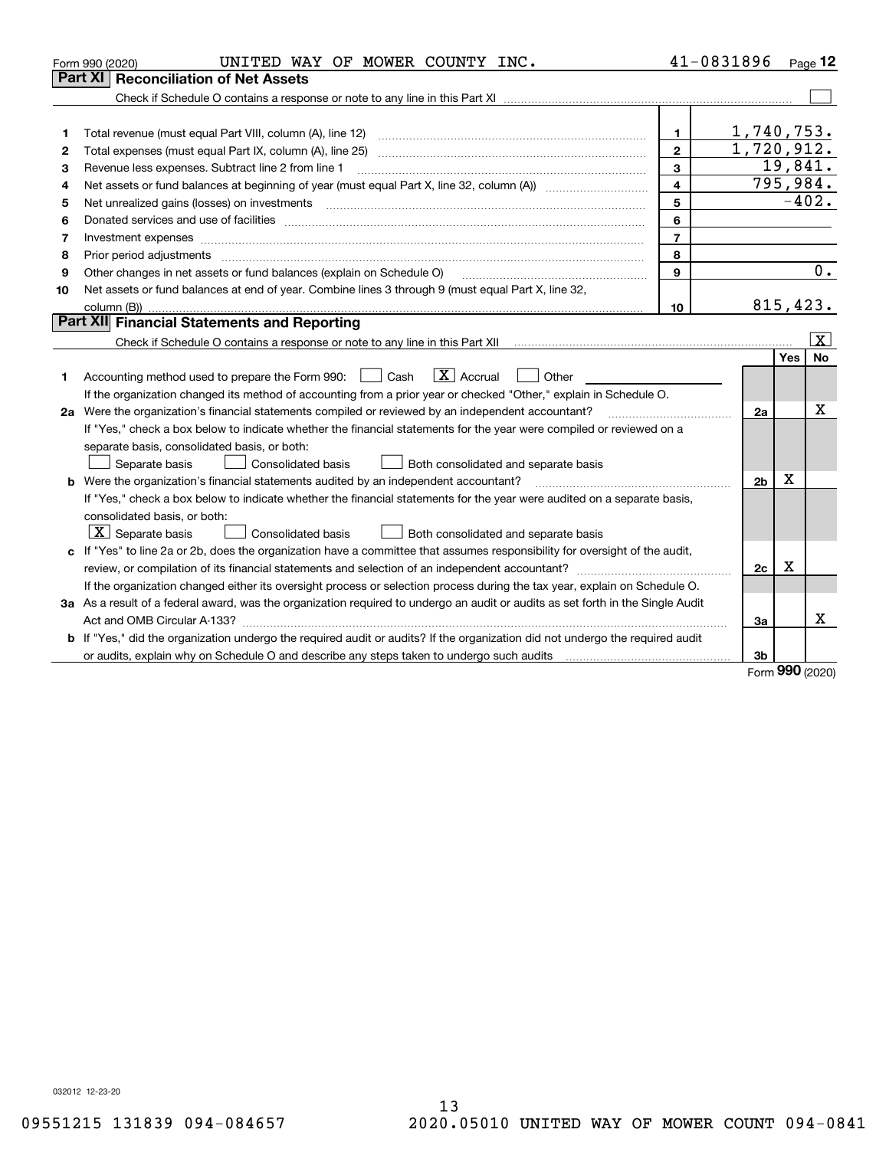|    | UNITED WAY OF MOWER COUNTY INC.<br>Form 990 (2020)                                                                                                                              |                | 41-0831896     |                        | Page $12$ |
|----|---------------------------------------------------------------------------------------------------------------------------------------------------------------------------------|----------------|----------------|------------------------|-----------|
|    | Part XI<br><b>Reconciliation of Net Assets</b>                                                                                                                                  |                |                |                        |           |
|    |                                                                                                                                                                                 |                |                |                        |           |
|    |                                                                                                                                                                                 |                |                |                        |           |
| 1  |                                                                                                                                                                                 | 1              | 1,740,753.     |                        |           |
| 2  |                                                                                                                                                                                 | $\overline{2}$ | 1,720,912.     |                        |           |
| 3  | Revenue less expenses. Subtract line 2 from line 1                                                                                                                              | 3              |                | 19,841.                |           |
| 4  |                                                                                                                                                                                 | 4              |                | $\overline{795,984}$ . |           |
| 5  |                                                                                                                                                                                 | 5              |                |                        | $-402.$   |
| 6  |                                                                                                                                                                                 | 6              |                |                        |           |
| 7  | Investment expenses                                                                                                                                                             | $\overline{7}$ |                |                        |           |
| 8  |                                                                                                                                                                                 | 8              |                |                        |           |
| 9  | Other changes in net assets or fund balances (explain on Schedule O)                                                                                                            | $\mathbf{9}$   |                |                        | 0.        |
| 10 | Net assets or fund balances at end of year. Combine lines 3 through 9 (must equal Part X, line 32,                                                                              |                |                |                        |           |
|    |                                                                                                                                                                                 | 10             |                | 815,423.               |           |
|    | <b>Part XII</b> Financial Statements and Reporting                                                                                                                              |                |                |                        |           |
|    | Check if Schedule O contains a response or note to any line in this Part XII must consumed the containmal contains and contains a response or note to any line in this Part XII |                |                |                        | X         |
|    |                                                                                                                                                                                 |                |                | Yes                    | No        |
| 1  | $\boxed{\text{X}}$ Accrual<br>Accounting method used to prepare the Form 990: <u>I</u> Cash<br>Other                                                                            |                |                |                        |           |
|    | If the organization changed its method of accounting from a prior year or checked "Other," explain in Schedule O.                                                               |                |                |                        |           |
|    | 2a Were the organization's financial statements compiled or reviewed by an independent accountant?                                                                              |                | 2a             |                        | Χ         |
|    | If "Yes," check a box below to indicate whether the financial statements for the year were compiled or reviewed on a                                                            |                |                |                        |           |
|    | separate basis, consolidated basis, or both:                                                                                                                                    |                |                |                        |           |
|    | Both consolidated and separate basis<br>Separate basis<br>Consolidated basis                                                                                                    |                |                |                        |           |
|    | <b>b</b> Were the organization's financial statements audited by an independent accountant?                                                                                     |                | 2 <sub>b</sub> | X                      |           |
|    | If "Yes," check a box below to indicate whether the financial statements for the year were audited on a separate basis,                                                         |                |                |                        |           |
|    | consolidated basis, or both:                                                                                                                                                    |                |                |                        |           |
|    | $\boxed{\textbf{X}}$ Separate basis<br>Consolidated basis<br>Both consolidated and separate basis                                                                               |                |                |                        |           |
|    | c If "Yes" to line 2a or 2b, does the organization have a committee that assumes responsibility for oversight of the audit,                                                     |                |                |                        |           |
|    |                                                                                                                                                                                 |                | 2c             | х                      |           |
|    | If the organization changed either its oversight process or selection process during the tax year, explain on Schedule O.                                                       |                |                |                        |           |
|    | 3a As a result of a federal award, was the organization required to undergo an audit or audits as set forth in the Single Audit                                                 |                |                |                        |           |
|    |                                                                                                                                                                                 |                | За             |                        | x         |
|    | b If "Yes," did the organization undergo the required audit or audits? If the organization did not undergo the required audit                                                   |                |                |                        |           |
|    | or audits, explain why on Schedule O and describe any steps taken to undergo such audits [11] content to under                                                                  |                | 3b             |                        |           |
|    |                                                                                                                                                                                 |                |                | <b>nnn</b>             |           |

Form (2020) **990**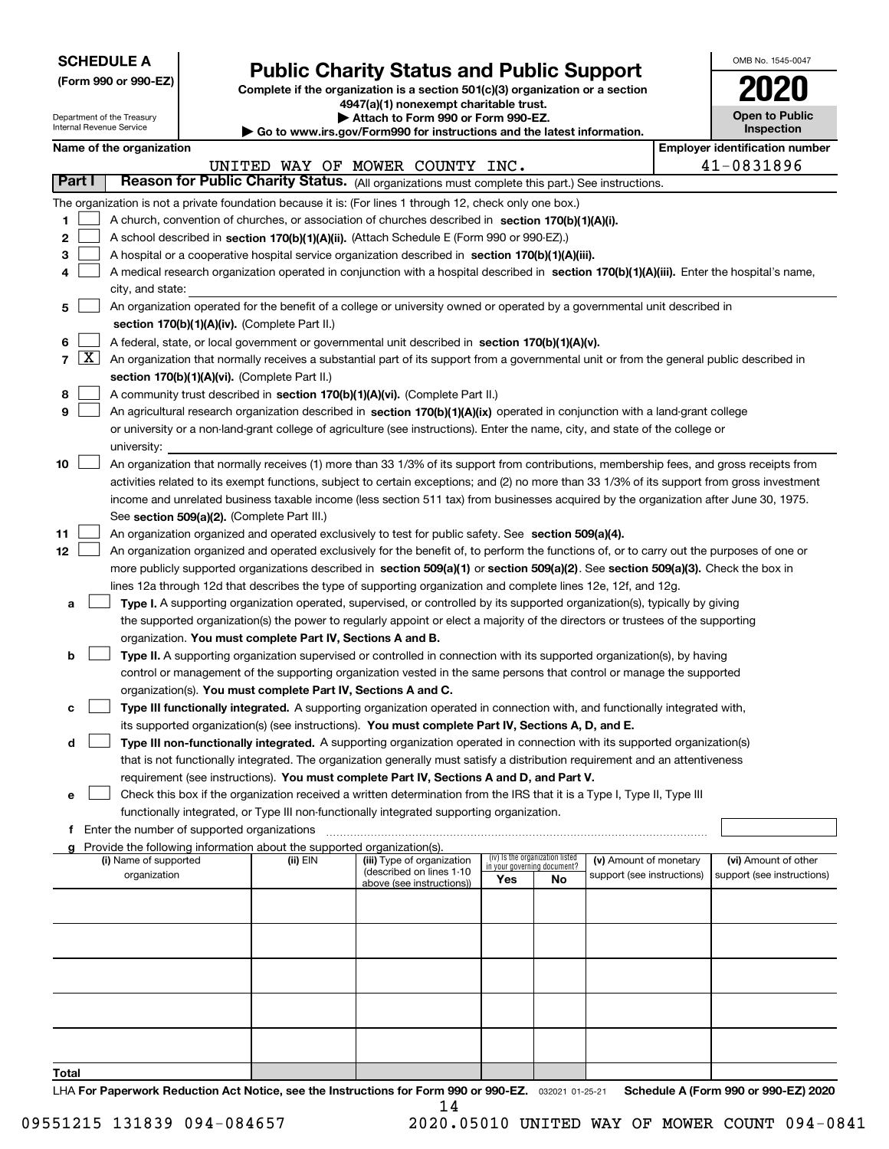| <b>SCHEDULE A</b> |
|-------------------|
|-------------------|

Department of the Treasury Internal Revenue Service

**(Form 990 or 990-EZ)**

# **Public Charity Status and Public Support**

**Complete if the organization is a section 501(c)(3) organization or a section 4947(a)(1) nonexempt charitable trust. | Attach to Form 990 or Form 990-EZ.** 

| ▶ Go to www.irs.gov/Form990 for instructions and the latest information. |
|--------------------------------------------------------------------------|

| OMB No 1545-0047                    |
|-------------------------------------|
| 2020                                |
| <b>Open to Public</b><br>Inspection |

| Name of the organization |  |
|--------------------------|--|
|--------------------------|--|

|                | Name of the organization<br><b>Employer identification number</b> |                                                                                                                                                                                                                                                      |          |                                                        |                                                                |    |                            |  |                            |
|----------------|-------------------------------------------------------------------|------------------------------------------------------------------------------------------------------------------------------------------------------------------------------------------------------------------------------------------------------|----------|--------------------------------------------------------|----------------------------------------------------------------|----|----------------------------|--|----------------------------|
|                |                                                                   |                                                                                                                                                                                                                                                      |          | UNITED WAY OF MOWER COUNTY INC.                        |                                                                |    |                            |  | 41-0831896                 |
| Part I         |                                                                   | Reason for Public Charity Status. (All organizations must complete this part.) See instructions.                                                                                                                                                     |          |                                                        |                                                                |    |                            |  |                            |
|                |                                                                   | The organization is not a private foundation because it is: (For lines 1 through 12, check only one box.)                                                                                                                                            |          |                                                        |                                                                |    |                            |  |                            |
| 1              |                                                                   | A church, convention of churches, or association of churches described in section 170(b)(1)(A)(i).                                                                                                                                                   |          |                                                        |                                                                |    |                            |  |                            |
| 2              |                                                                   | A school described in section 170(b)(1)(A)(ii). (Attach Schedule E (Form 990 or 990-EZ).)                                                                                                                                                            |          |                                                        |                                                                |    |                            |  |                            |
| З              |                                                                   | A hospital or a cooperative hospital service organization described in section 170(b)(1)(A)(iii).                                                                                                                                                    |          |                                                        |                                                                |    |                            |  |                            |
|                |                                                                   | A medical research organization operated in conjunction with a hospital described in section 170(b)(1)(A)(iii). Enter the hospital's name,                                                                                                           |          |                                                        |                                                                |    |                            |  |                            |
|                |                                                                   | city, and state:                                                                                                                                                                                                                                     |          |                                                        |                                                                |    |                            |  |                            |
| 5              |                                                                   | An organization operated for the benefit of a college or university owned or operated by a governmental unit described in                                                                                                                            |          |                                                        |                                                                |    |                            |  |                            |
|                | section 170(b)(1)(A)(iv). (Complete Part II.)                     |                                                                                                                                                                                                                                                      |          |                                                        |                                                                |    |                            |  |                            |
| 6              |                                                                   | A federal, state, or local government or governmental unit described in section 170(b)(1)(A)(v).                                                                                                                                                     |          |                                                        |                                                                |    |                            |  |                            |
| $\overline{7}$ | $\lfloor x \rfloor$                                               | An organization that normally receives a substantial part of its support from a governmental unit or from the general public described in                                                                                                            |          |                                                        |                                                                |    |                            |  |                            |
|                |                                                                   | section 170(b)(1)(A)(vi). (Complete Part II.)                                                                                                                                                                                                        |          |                                                        |                                                                |    |                            |  |                            |
| 8              |                                                                   | A community trust described in section 170(b)(1)(A)(vi). (Complete Part II.)                                                                                                                                                                         |          |                                                        |                                                                |    |                            |  |                            |
| 9              |                                                                   | An agricultural research organization described in section 170(b)(1)(A)(ix) operated in conjunction with a land-grant college                                                                                                                        |          |                                                        |                                                                |    |                            |  |                            |
|                |                                                                   | or university or a non-land-grant college of agriculture (see instructions). Enter the name, city, and state of the college or                                                                                                                       |          |                                                        |                                                                |    |                            |  |                            |
|                |                                                                   | university:                                                                                                                                                                                                                                          |          |                                                        |                                                                |    |                            |  |                            |
| 10             |                                                                   | An organization that normally receives (1) more than 33 1/3% of its support from contributions, membership fees, and gross receipts from                                                                                                             |          |                                                        |                                                                |    |                            |  |                            |
|                |                                                                   | activities related to its exempt functions, subject to certain exceptions; and (2) no more than 33 1/3% of its support from gross investment                                                                                                         |          |                                                        |                                                                |    |                            |  |                            |
|                |                                                                   | income and unrelated business taxable income (less section 511 tax) from businesses acquired by the organization after June 30, 1975.                                                                                                                |          |                                                        |                                                                |    |                            |  |                            |
|                |                                                                   | See section 509(a)(2). (Complete Part III.)                                                                                                                                                                                                          |          |                                                        |                                                                |    |                            |  |                            |
| 11             |                                                                   | An organization organized and operated exclusively to test for public safety. See section 509(a)(4).                                                                                                                                                 |          |                                                        |                                                                |    |                            |  |                            |
| 12             |                                                                   | An organization organized and operated exclusively for the benefit of, to perform the functions of, or to carry out the purposes of one or                                                                                                           |          |                                                        |                                                                |    |                            |  |                            |
|                |                                                                   | more publicly supported organizations described in section 509(a)(1) or section 509(a)(2). See section 509(a)(3). Check the box in<br>lines 12a through 12d that describes the type of supporting organization and complete lines 12e, 12f, and 12g. |          |                                                        |                                                                |    |                            |  |                            |
| а              |                                                                   | Type I. A supporting organization operated, supervised, or controlled by its supported organization(s), typically by giving                                                                                                                          |          |                                                        |                                                                |    |                            |  |                            |
|                |                                                                   | the supported organization(s) the power to regularly appoint or elect a majority of the directors or trustees of the supporting                                                                                                                      |          |                                                        |                                                                |    |                            |  |                            |
|                |                                                                   | organization. You must complete Part IV, Sections A and B.                                                                                                                                                                                           |          |                                                        |                                                                |    |                            |  |                            |
| b              |                                                                   | Type II. A supporting organization supervised or controlled in connection with its supported organization(s), by having                                                                                                                              |          |                                                        |                                                                |    |                            |  |                            |
|                |                                                                   | control or management of the supporting organization vested in the same persons that control or manage the supported                                                                                                                                 |          |                                                        |                                                                |    |                            |  |                            |
|                |                                                                   | organization(s). You must complete Part IV, Sections A and C.                                                                                                                                                                                        |          |                                                        |                                                                |    |                            |  |                            |
|                |                                                                   | Type III functionally integrated. A supporting organization operated in connection with, and functionally integrated with,                                                                                                                           |          |                                                        |                                                                |    |                            |  |                            |
|                |                                                                   | its supported organization(s) (see instructions). You must complete Part IV, Sections A, D, and E.                                                                                                                                                   |          |                                                        |                                                                |    |                            |  |                            |
| d              |                                                                   | Type III non-functionally integrated. A supporting organization operated in connection with its supported organization(s)                                                                                                                            |          |                                                        |                                                                |    |                            |  |                            |
|                |                                                                   | that is not functionally integrated. The organization generally must satisfy a distribution requirement and an attentiveness                                                                                                                         |          |                                                        |                                                                |    |                            |  |                            |
|                |                                                                   | requirement (see instructions). You must complete Part IV, Sections A and D, and Part V.                                                                                                                                                             |          |                                                        |                                                                |    |                            |  |                            |
| е              |                                                                   | Check this box if the organization received a written determination from the IRS that it is a Type I, Type II, Type III                                                                                                                              |          |                                                        |                                                                |    |                            |  |                            |
|                |                                                                   | functionally integrated, or Type III non-functionally integrated supporting organization.                                                                                                                                                            |          |                                                        |                                                                |    |                            |  |                            |
| f.             |                                                                   | Enter the number of supported organizations                                                                                                                                                                                                          |          |                                                        |                                                                |    |                            |  |                            |
|                |                                                                   | g Provide the following information about the supported organization(s).                                                                                                                                                                             |          |                                                        |                                                                |    |                            |  |                            |
|                |                                                                   | (i) Name of supported<br>organization                                                                                                                                                                                                                | (ii) EIN | (iii) Type of organization<br>(described on lines 1-10 | (iv) Is the organization listed<br>in your governing document? |    | (v) Amount of monetary     |  | (vi) Amount of other       |
|                |                                                                   |                                                                                                                                                                                                                                                      |          | above (see instructions))                              | Yes                                                            | No | support (see instructions) |  | support (see instructions) |
|                |                                                                   |                                                                                                                                                                                                                                                      |          |                                                        |                                                                |    |                            |  |                            |
|                |                                                                   |                                                                                                                                                                                                                                                      |          |                                                        |                                                                |    |                            |  |                            |
|                |                                                                   |                                                                                                                                                                                                                                                      |          |                                                        |                                                                |    |                            |  |                            |
|                |                                                                   |                                                                                                                                                                                                                                                      |          |                                                        |                                                                |    |                            |  |                            |
|                |                                                                   |                                                                                                                                                                                                                                                      |          |                                                        |                                                                |    |                            |  |                            |
|                |                                                                   |                                                                                                                                                                                                                                                      |          |                                                        |                                                                |    |                            |  |                            |
|                |                                                                   |                                                                                                                                                                                                                                                      |          |                                                        |                                                                |    |                            |  |                            |
|                |                                                                   |                                                                                                                                                                                                                                                      |          |                                                        |                                                                |    |                            |  |                            |
|                |                                                                   |                                                                                                                                                                                                                                                      |          |                                                        |                                                                |    |                            |  |                            |
| Total          |                                                                   |                                                                                                                                                                                                                                                      |          |                                                        |                                                                |    |                            |  |                            |
|                |                                                                   |                                                                                                                                                                                                                                                      |          |                                                        |                                                                |    |                            |  |                            |

LHA For Paperwork Reduction Act Notice, see the Instructions for Form 990 or 990-EZ. <sub>032021</sub> o1-25-21 Schedule A (Form 990 or 990-EZ) 2020 14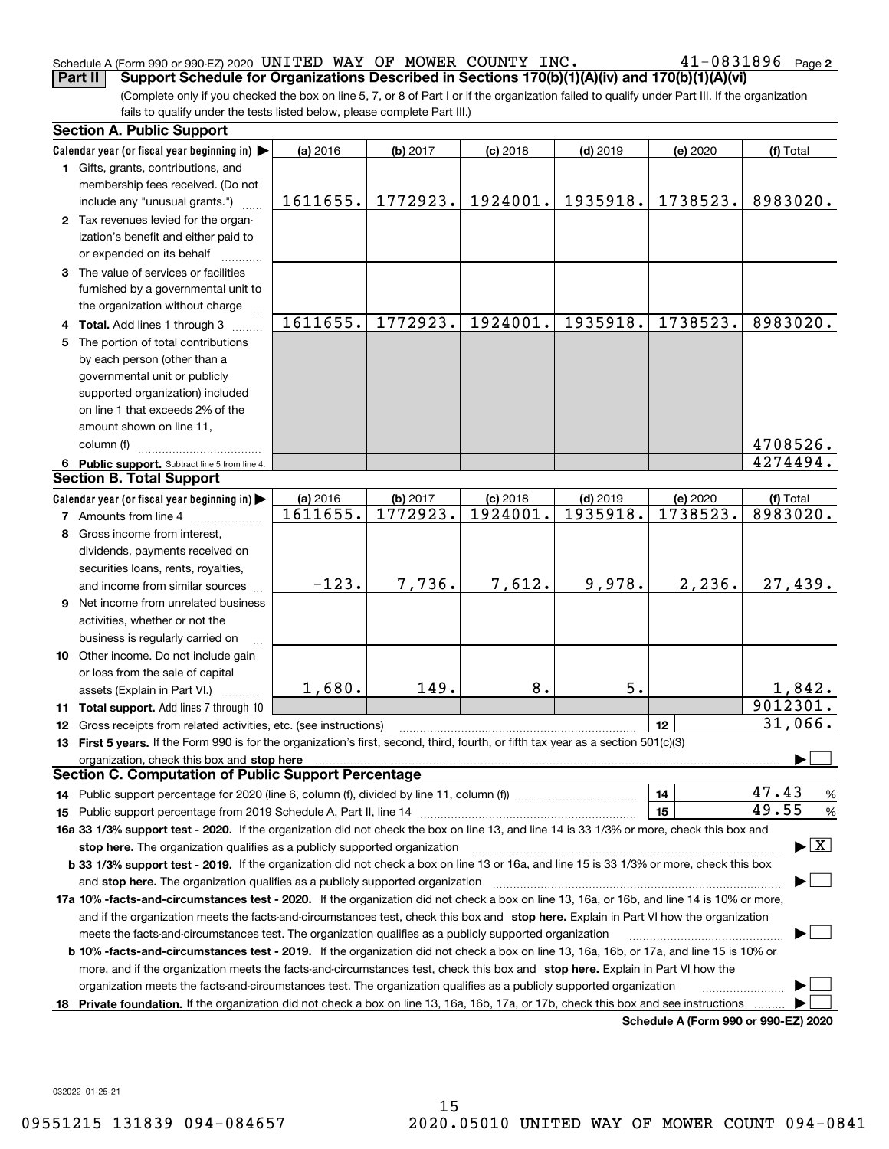### Schedule A (Form 990 or 990-EZ) 2020 <code>UNITED WAY OF MOWER COUNTY INC</code> .  $41\text{--}0831896$  <code>Page</code> **Part II Support Schedule for Organizations Described in Sections 170(b)(1)(A)(iv) and 170(b)(1)(A)(vi)**

(Complete only if you checked the box on line 5, 7, or 8 of Part I or if the organization failed to qualify under Part III. If the organization fails to qualify under the tests listed below, please complete Part III.)

|   | <b>Section A. Public Support</b>                                                                                                                                                                                                                                                    |          |          |            |            |                                      |                                          |
|---|-------------------------------------------------------------------------------------------------------------------------------------------------------------------------------------------------------------------------------------------------------------------------------------|----------|----------|------------|------------|--------------------------------------|------------------------------------------|
|   | Calendar year (or fiscal year beginning in) $\blacktriangleright$                                                                                                                                                                                                                   | (a) 2016 | (b) 2017 | $(c)$ 2018 | $(d)$ 2019 | (e) 2020                             | (f) Total                                |
|   | 1 Gifts, grants, contributions, and                                                                                                                                                                                                                                                 |          |          |            |            |                                      |                                          |
|   | membership fees received. (Do not                                                                                                                                                                                                                                                   |          |          |            |            |                                      |                                          |
|   | include any "unusual grants.")                                                                                                                                                                                                                                                      | 1611655. | 1772923. | 1924001.   | 1935918.   | 1738523.                             | 8983020.                                 |
|   | 2 Tax revenues levied for the organ-                                                                                                                                                                                                                                                |          |          |            |            |                                      |                                          |
|   | ization's benefit and either paid to                                                                                                                                                                                                                                                |          |          |            |            |                                      |                                          |
|   | or expended on its behalf                                                                                                                                                                                                                                                           |          |          |            |            |                                      |                                          |
|   | 3 The value of services or facilities                                                                                                                                                                                                                                               |          |          |            |            |                                      |                                          |
|   | furnished by a governmental unit to                                                                                                                                                                                                                                                 |          |          |            |            |                                      |                                          |
|   | the organization without charge                                                                                                                                                                                                                                                     |          |          |            |            |                                      |                                          |
|   | 4 Total. Add lines 1 through 3                                                                                                                                                                                                                                                      | 1611655. | 1772923. | 1924001.   | 1935918.   | 1738523.                             | 8983020.                                 |
|   | 5 The portion of total contributions                                                                                                                                                                                                                                                |          |          |            |            |                                      |                                          |
|   | by each person (other than a                                                                                                                                                                                                                                                        |          |          |            |            |                                      |                                          |
|   | governmental unit or publicly                                                                                                                                                                                                                                                       |          |          |            |            |                                      |                                          |
|   | supported organization) included                                                                                                                                                                                                                                                    |          |          |            |            |                                      |                                          |
|   | on line 1 that exceeds 2% of the                                                                                                                                                                                                                                                    |          |          |            |            |                                      |                                          |
|   | amount shown on line 11,                                                                                                                                                                                                                                                            |          |          |            |            |                                      |                                          |
|   | column (f)                                                                                                                                                                                                                                                                          |          |          |            |            |                                      | 4708526.                                 |
|   | 6 Public support. Subtract line 5 from line 4.                                                                                                                                                                                                                                      |          |          |            |            |                                      | 4274494.                                 |
|   | <b>Section B. Total Support</b>                                                                                                                                                                                                                                                     |          |          |            |            |                                      |                                          |
|   | Calendar year (or fiscal year beginning in)                                                                                                                                                                                                                                         | (a) 2016 | (b) 2017 | $(c)$ 2018 | $(d)$ 2019 | (e) 2020                             | (f) Total                                |
|   | <b>7</b> Amounts from line 4                                                                                                                                                                                                                                                        | 1611655. | 1772923. | 1924001.   | 1935918.   | 1738523.                             | 8983020.                                 |
| 8 | Gross income from interest,                                                                                                                                                                                                                                                         |          |          |            |            |                                      |                                          |
|   | dividends, payments received on                                                                                                                                                                                                                                                     |          |          |            |            |                                      |                                          |
|   | securities loans, rents, royalties,                                                                                                                                                                                                                                                 |          |          |            |            |                                      |                                          |
|   | and income from similar sources                                                                                                                                                                                                                                                     | $-123.$  | 7,736.   | 7,612.     | 9,978.     | 2,236.                               | 27,439.                                  |
|   | <b>9</b> Net income from unrelated business                                                                                                                                                                                                                                         |          |          |            |            |                                      |                                          |
|   | activities, whether or not the                                                                                                                                                                                                                                                      |          |          |            |            |                                      |                                          |
|   | business is regularly carried on                                                                                                                                                                                                                                                    |          |          |            |            |                                      |                                          |
|   | 10 Other income. Do not include gain                                                                                                                                                                                                                                                |          |          |            |            |                                      |                                          |
|   | or loss from the sale of capital                                                                                                                                                                                                                                                    |          |          |            |            |                                      |                                          |
|   |                                                                                                                                                                                                                                                                                     | 1,680.   | 149.     | 8.         | 5.         |                                      | 1,842.                                   |
|   | assets (Explain in Part VI.)<br>11 Total support. Add lines 7 through 10                                                                                                                                                                                                            |          |          |            |            |                                      | 9012301.                                 |
|   | 12 Gross receipts from related activities, etc. (see instructions)                                                                                                                                                                                                                  |          |          |            |            | 12                                   | 31,066.                                  |
|   | 13 First 5 years. If the Form 990 is for the organization's first, second, third, fourth, or fifth tax year as a section 501(c)(3)                                                                                                                                                  |          |          |            |            |                                      |                                          |
|   | organization, check this box and stop here manufactured and stop here are all the contractions of the state of the state of the contraction of the contract of the contract of the contract of the contract of the contract of                                                      |          |          |            |            |                                      |                                          |
|   | <b>Section C. Computation of Public Support Percentage</b>                                                                                                                                                                                                                          |          |          |            |            |                                      |                                          |
|   |                                                                                                                                                                                                                                                                                     |          |          |            |            | 14                                   | 47.43<br>%                               |
|   |                                                                                                                                                                                                                                                                                     |          |          |            |            | 15                                   | 49.55<br>$\%$                            |
|   | 16a 33 1/3% support test - 2020. If the organization did not check the box on line 13, and line 14 is 33 1/3% or more, check this box and                                                                                                                                           |          |          |            |            |                                      |                                          |
|   | stop here. The organization qualifies as a publicly supported organization                                                                                                                                                                                                          |          |          |            |            |                                      | $\blacktriangleright$ $\boxed{\text{X}}$ |
|   | b 33 1/3% support test - 2019. If the organization did not check a box on line 13 or 16a, and line 15 is 33 1/3% or more, check this box                                                                                                                                            |          |          |            |            |                                      |                                          |
|   |                                                                                                                                                                                                                                                                                     |          |          |            |            |                                      |                                          |
|   | and stop here. The organization qualifies as a publicly supported organization                                                                                                                                                                                                      |          |          |            |            |                                      |                                          |
|   | 17a 10% -facts-and-circumstances test - 2020. If the organization did not check a box on line 13, 16a, or 16b, and line 14 is 10% or more,<br>and if the organization meets the facts-and-circumstances test, check this box and stop here. Explain in Part VI how the organization |          |          |            |            |                                      |                                          |
|   |                                                                                                                                                                                                                                                                                     |          |          |            |            |                                      |                                          |
|   | meets the facts-and-circumstances test. The organization qualifies as a publicly supported organization                                                                                                                                                                             |          |          |            |            |                                      |                                          |
|   | <b>b 10% -facts-and-circumstances test - 2019.</b> If the organization did not check a box on line 13, 16a, 16b, or 17a, and line 15 is 10% or                                                                                                                                      |          |          |            |            |                                      |                                          |
|   | more, and if the organization meets the facts-and-circumstances test, check this box and stop here. Explain in Part VI how the                                                                                                                                                      |          |          |            |            |                                      |                                          |
|   | organization meets the facts-and-circumstances test. The organization qualifies as a publicly supported organization                                                                                                                                                                |          |          |            |            |                                      |                                          |
|   | 18 Private foundation. If the organization did not check a box on line 13, 16a, 16b, 17a, or 17b, check this box and see instructions                                                                                                                                               |          |          |            |            | Schedule A (Form 990 or 990-F7) 2020 |                                          |

**Schedule A (Form 990 or 990-EZ) 2020**

032022 01-25-21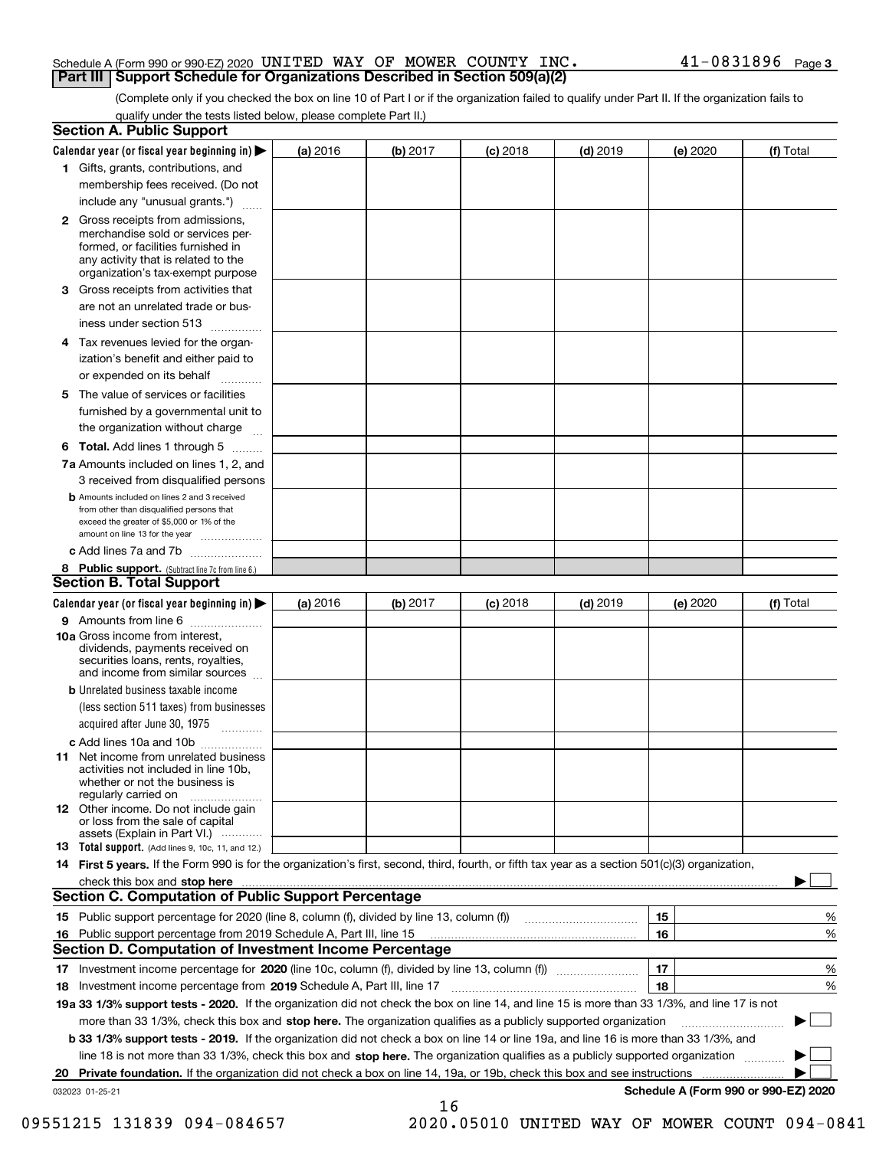### Schedule A (Form 990 or 990-EZ) 2020 <code>UNITED WAY OF MOWER COUNTY INC</code> .  $41\text{--}0831896$  <code>Page</code> **Part III Support Schedule for Organizations Described in Section 509(a)(2)**

(Complete only if you checked the box on line 10 of Part I or if the organization failed to qualify under Part II. If the organization fails to qualify under the tests listed below, please complete Part II.)

|    | <b>Section A. Public Support</b>                                                                                                                                                                |          |          |            |            |          |                                      |
|----|-------------------------------------------------------------------------------------------------------------------------------------------------------------------------------------------------|----------|----------|------------|------------|----------|--------------------------------------|
|    | Calendar year (or fiscal year beginning in) $\blacktriangleright$                                                                                                                               | (a) 2016 | (b) 2017 | $(c)$ 2018 | $(d)$ 2019 | (e) 2020 | (f) Total                            |
|    | 1 Gifts, grants, contributions, and                                                                                                                                                             |          |          |            |            |          |                                      |
|    | membership fees received. (Do not                                                                                                                                                               |          |          |            |            |          |                                      |
|    | include any "unusual grants.")                                                                                                                                                                  |          |          |            |            |          |                                      |
|    | <b>2</b> Gross receipts from admissions,<br>merchandise sold or services per-<br>formed, or facilities furnished in<br>any activity that is related to the<br>organization's tax-exempt purpose |          |          |            |            |          |                                      |
|    | 3 Gross receipts from activities that<br>are not an unrelated trade or bus-                                                                                                                     |          |          |            |            |          |                                      |
|    | iness under section 513                                                                                                                                                                         |          |          |            |            |          |                                      |
|    | 4 Tax revenues levied for the organ-<br>ization's benefit and either paid to                                                                                                                    |          |          |            |            |          |                                      |
|    | or expended on its behalf<br>.                                                                                                                                                                  |          |          |            |            |          |                                      |
|    | 5 The value of services or facilities<br>furnished by a governmental unit to<br>the organization without charge                                                                                 |          |          |            |            |          |                                      |
|    |                                                                                                                                                                                                 |          |          |            |            |          |                                      |
|    | <b>6 Total.</b> Add lines 1 through 5<br>7a Amounts included on lines 1, 2, and<br>3 received from disqualified persons                                                                         |          |          |            |            |          |                                      |
|    | <b>b</b> Amounts included on lines 2 and 3 received<br>from other than disqualified persons that<br>exceed the greater of \$5,000 or 1% of the<br>amount on line 13 for the year                |          |          |            |            |          |                                      |
|    | c Add lines 7a and 7b                                                                                                                                                                           |          |          |            |            |          |                                      |
|    | 8 Public support. (Subtract line 7c from line 6.)                                                                                                                                               |          |          |            |            |          |                                      |
|    | <b>Section B. Total Support</b>                                                                                                                                                                 |          |          |            |            |          |                                      |
|    | Calendar year (or fiscal year beginning in)                                                                                                                                                     | (a) 2016 | (b) 2017 | $(c)$ 2018 | $(d)$ 2019 | (e) 2020 | (f) Total                            |
|    | 9 Amounts from line 6<br>10a Gross income from interest,                                                                                                                                        |          |          |            |            |          |                                      |
|    | dividends, payments received on<br>securities loans, rents, royalties,<br>and income from similar sources                                                                                       |          |          |            |            |          |                                      |
|    | <b>b</b> Unrelated business taxable income<br>(less section 511 taxes) from businesses<br>acquired after June 30, 1975                                                                          |          |          |            |            |          |                                      |
|    | c Add lines 10a and 10b                                                                                                                                                                         |          |          |            |            |          |                                      |
|    | 11 Net income from unrelated business<br>activities not included in line 10b,<br>whether or not the business is<br>regularly carried on                                                         |          |          |            |            |          |                                      |
|    | <b>12</b> Other income. Do not include gain<br>or loss from the sale of capital<br>assets (Explain in Part VI.)                                                                                 |          |          |            |            |          |                                      |
|    | <b>13</b> Total support. (Add lines 9, 10c, 11, and 12.)                                                                                                                                        |          |          |            |            |          |                                      |
|    | 14 First 5 years. If the Form 990 is for the organization's first, second, third, fourth, or fifth tax year as a section 501(c)(3) organization,                                                |          |          |            |            |          |                                      |
|    | check this box and stop here measurements are constructed as the state of the state of the state of the state o                                                                                 |          |          |            |            |          |                                      |
|    | Section C. Computation of Public Support Percentage                                                                                                                                             |          |          |            |            |          |                                      |
|    |                                                                                                                                                                                                 |          |          |            |            | 15       | %                                    |
|    | 16 Public support percentage from 2019 Schedule A, Part III, line 15                                                                                                                            |          |          |            |            | 16       | %                                    |
|    | <b>Section D. Computation of Investment Income Percentage</b>                                                                                                                                   |          |          |            |            |          |                                      |
|    | 17 Investment income percentage for 2020 (line 10c, column (f), divided by line 13, column (f))<br>18 Investment income percentage from 2019 Schedule A, Part III, line 17                      |          |          |            |            | 17<br>18 | %<br>%                               |
|    | 19a 33 1/3% support tests - 2020. If the organization did not check the box on line 14, and line 15 is more than 33 1/3%, and line 17 is not                                                    |          |          |            |            |          |                                      |
|    | more than 33 1/3%, check this box and stop here. The organization qualifies as a publicly supported organization                                                                                |          |          |            |            |          | $\sim$ 1                             |
|    | b 33 1/3% support tests - 2019. If the organization did not check a box on line 14 or line 19a, and line 16 is more than 33 1/3%, and                                                           |          |          |            |            |          |                                      |
|    | line 18 is not more than 33 1/3%, check this box and stop here. The organization qualifies as a publicly supported organization                                                                 |          |          |            |            |          |                                      |
| 20 | <b>Private foundation.</b> If the organization did not check a box on line 14, 19a, or 19b, check this box and see instructions                                                                 |          |          |            |            |          |                                      |
|    | 032023 01-25-21                                                                                                                                                                                 |          |          |            |            |          | Schedule A (Form 990 or 990-EZ) 2020 |
|    |                                                                                                                                                                                                 |          | 16       |            |            |          |                                      |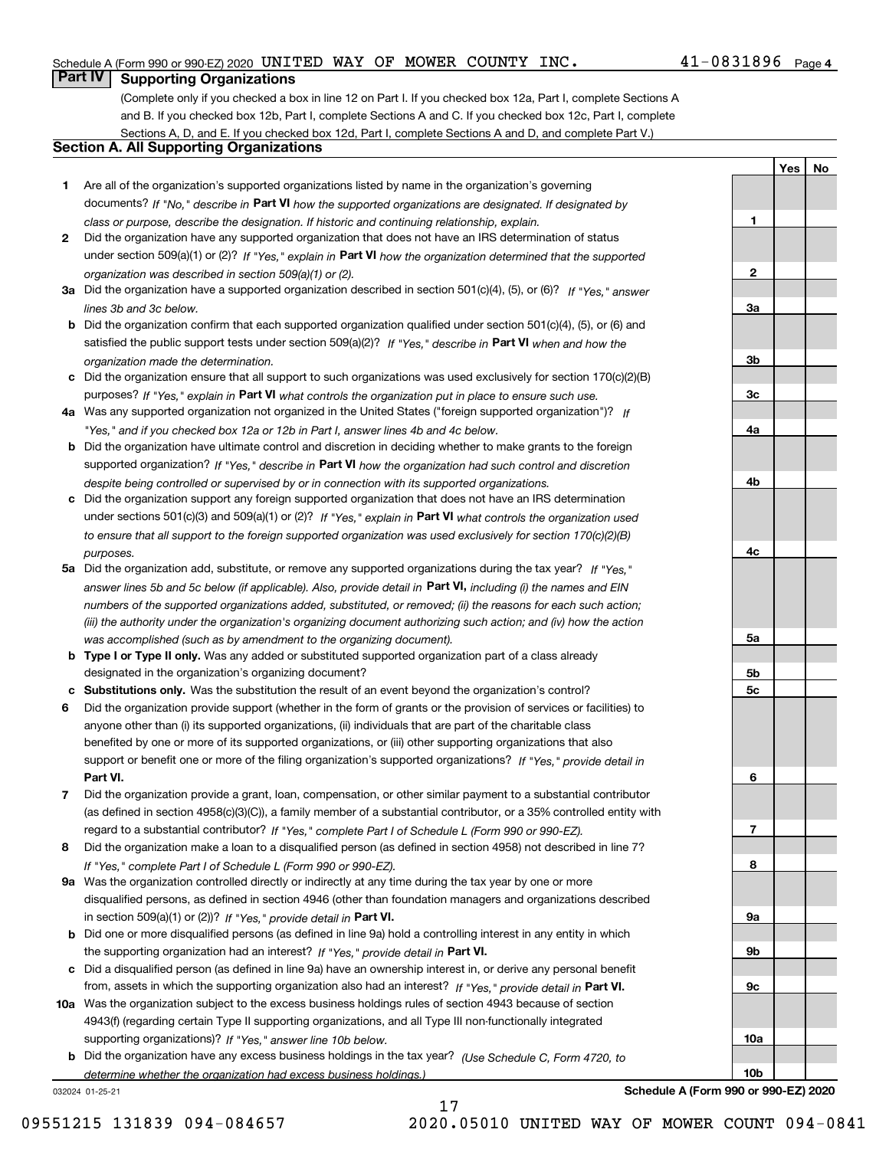### Schedule A (Form 990 or 990-EZ) 2020 <code>UNITED WAY OF MOWER COUNTY INC</code> .  $41\text{--}0831896$  <code>Page</code>

## **Part IV Supporting Organizations**

(Complete only if you checked a box in line 12 on Part I. If you checked box 12a, Part I, complete Sections A and B. If you checked box 12b, Part I, complete Sections A and C. If you checked box 12c, Part I, complete Sections A, D, and E. If you checked box 12d, Part I, complete Sections A and D, and complete Part V.)

### **Section A. All Supporting Organizations**

- **1** Are all of the organization's supported organizations listed by name in the organization's governing documents? If "No," describe in **Part VI** how the supported organizations are designated. If designated by *class or purpose, describe the designation. If historic and continuing relationship, explain.*
- **2** Did the organization have any supported organization that does not have an IRS determination of status under section 509(a)(1) or (2)? If "Yes," explain in Part VI how the organization determined that the supported *organization was described in section 509(a)(1) or (2).*
- **3a** Did the organization have a supported organization described in section 501(c)(4), (5), or (6)? If "Yes," answer *lines 3b and 3c below.*
- **b** Did the organization confirm that each supported organization qualified under section 501(c)(4), (5), or (6) and satisfied the public support tests under section 509(a)(2)? If "Yes," describe in **Part VI** when and how the *organization made the determination.*
- **c**Did the organization ensure that all support to such organizations was used exclusively for section 170(c)(2)(B) purposes? If "Yes," explain in **Part VI** what controls the organization put in place to ensure such use.
- **4a***If* Was any supported organization not organized in the United States ("foreign supported organization")? *"Yes," and if you checked box 12a or 12b in Part I, answer lines 4b and 4c below.*
- **b** Did the organization have ultimate control and discretion in deciding whether to make grants to the foreign supported organization? If "Yes," describe in **Part VI** how the organization had such control and discretion *despite being controlled or supervised by or in connection with its supported organizations.*
- **c** Did the organization support any foreign supported organization that does not have an IRS determination under sections 501(c)(3) and 509(a)(1) or (2)? If "Yes," explain in **Part VI** what controls the organization used *to ensure that all support to the foreign supported organization was used exclusively for section 170(c)(2)(B) purposes.*
- **5a** Did the organization add, substitute, or remove any supported organizations during the tax year? If "Yes," answer lines 5b and 5c below (if applicable). Also, provide detail in **Part VI,** including (i) the names and EIN *numbers of the supported organizations added, substituted, or removed; (ii) the reasons for each such action; (iii) the authority under the organization's organizing document authorizing such action; and (iv) how the action was accomplished (such as by amendment to the organizing document).*
- **b** Type I or Type II only. Was any added or substituted supported organization part of a class already designated in the organization's organizing document?
- **cSubstitutions only.**  Was the substitution the result of an event beyond the organization's control?
- **6** Did the organization provide support (whether in the form of grants or the provision of services or facilities) to **Part VI.** *If "Yes," provide detail in* support or benefit one or more of the filing organization's supported organizations? anyone other than (i) its supported organizations, (ii) individuals that are part of the charitable class benefited by one or more of its supported organizations, or (iii) other supporting organizations that also
- **7**Did the organization provide a grant, loan, compensation, or other similar payment to a substantial contributor *If "Yes," complete Part I of Schedule L (Form 990 or 990-EZ).* regard to a substantial contributor? (as defined in section 4958(c)(3)(C)), a family member of a substantial contributor, or a 35% controlled entity with
- **8** Did the organization make a loan to a disqualified person (as defined in section 4958) not described in line 7? *If "Yes," complete Part I of Schedule L (Form 990 or 990-EZ).*
- **9a** Was the organization controlled directly or indirectly at any time during the tax year by one or more in section 509(a)(1) or (2))? If "Yes," *provide detail in* <code>Part VI.</code> disqualified persons, as defined in section 4946 (other than foundation managers and organizations described
- **b** Did one or more disqualified persons (as defined in line 9a) hold a controlling interest in any entity in which the supporting organization had an interest? If "Yes," provide detail in P**art VI**.
- **c**Did a disqualified person (as defined in line 9a) have an ownership interest in, or derive any personal benefit from, assets in which the supporting organization also had an interest? If "Yes," provide detail in P**art VI.**
- **10a** Was the organization subject to the excess business holdings rules of section 4943 because of section supporting organizations)? If "Yes," answer line 10b below. 4943(f) (regarding certain Type II supporting organizations, and all Type III non-functionally integrated
- **b** Did the organization have any excess business holdings in the tax year? (Use Schedule C, Form 4720, to *determine whether the organization had excess business holdings.)*

17

032024 01-25-21

**Schedule A (Form 990 or 990-EZ) 2020**

41-0831896 Page 4

**1**

**2**

**3a**

**3b**

**3c**

**4a**

**4b**

**4c**

**5a**

**5b5c**

**6**

**7**

**8**

**9a**

**9b**

**9c**

**10a**

**10b**

**YesNo**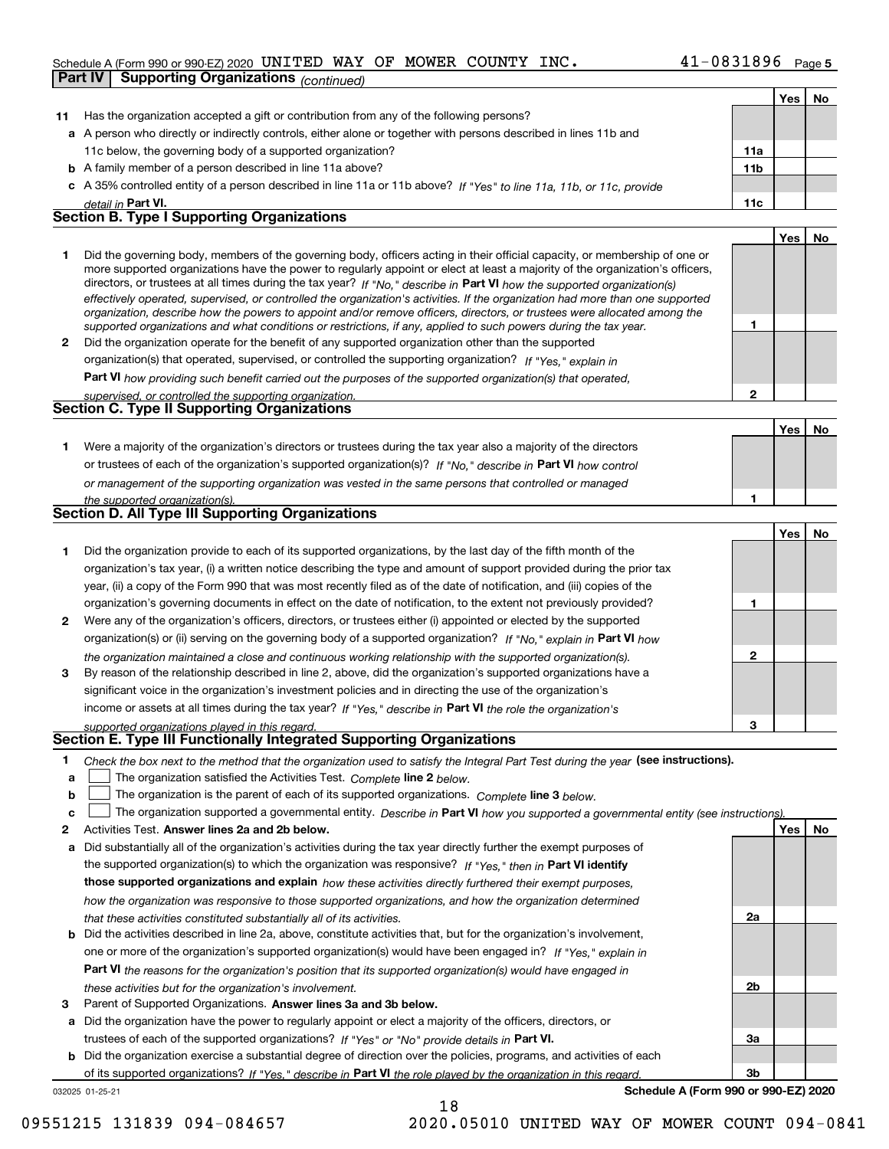### Schedule A (Form 990 or 990-EZ) 2020 <code>UNITED WAY OF MOWER COUNTY INC</code> .  $41\text{--}0831896$  <code>Page</code>

|              | <b>Supporting Organizations (continued)</b><br>Part IV                                                                                                                                                                                                     |                 |     |    |
|--------------|------------------------------------------------------------------------------------------------------------------------------------------------------------------------------------------------------------------------------------------------------------|-----------------|-----|----|
|              |                                                                                                                                                                                                                                                            |                 | Yes | No |
| 11           | Has the organization accepted a gift or contribution from any of the following persons?                                                                                                                                                                    |                 |     |    |
|              | a A person who directly or indirectly controls, either alone or together with persons described in lines 11b and                                                                                                                                           |                 |     |    |
|              | 11c below, the governing body of a supported organization?                                                                                                                                                                                                 | 11a             |     |    |
|              | <b>b</b> A family member of a person described in line 11a above?                                                                                                                                                                                          | 11 <sub>b</sub> |     |    |
|              | c A 35% controlled entity of a person described in line 11a or 11b above? If "Yes" to line 11a, 11b, or 11c, provide                                                                                                                                       |                 |     |    |
|              | detail in Part VI.                                                                                                                                                                                                                                         | 11c             |     |    |
|              | <b>Section B. Type I Supporting Organizations</b>                                                                                                                                                                                                          |                 |     |    |
|              |                                                                                                                                                                                                                                                            |                 | Yes | No |
| 1.           | Did the governing body, members of the governing body, officers acting in their official capacity, or membership of one or                                                                                                                                 |                 |     |    |
|              | more supported organizations have the power to regularly appoint or elect at least a majority of the organization's officers,                                                                                                                              |                 |     |    |
|              | directors, or trustees at all times during the tax year? If "No," describe in Part VI how the supported organization(s)                                                                                                                                    |                 |     |    |
|              | effectively operated, supervised, or controlled the organization's activities. If the organization had more than one supported<br>organization, describe how the powers to appoint and/or remove officers, directors, or trustees were allocated among the |                 |     |    |
|              | supported organizations and what conditions or restrictions, if any, applied to such powers during the tax year.                                                                                                                                           | 1               |     |    |
| $\mathbf{2}$ | Did the organization operate for the benefit of any supported organization other than the supported                                                                                                                                                        |                 |     |    |
|              | organization(s) that operated, supervised, or controlled the supporting organization? If "Yes," explain in                                                                                                                                                 |                 |     |    |
|              | <b>Part VI</b> how providing such benefit carried out the purposes of the supported organization(s) that operated,                                                                                                                                         |                 |     |    |
|              | supervised, or controlled the supporting organization.                                                                                                                                                                                                     | $\mathbf{2}$    |     |    |
|              | <b>Section C. Type II Supporting Organizations</b>                                                                                                                                                                                                         |                 |     |    |
|              |                                                                                                                                                                                                                                                            |                 | Yes | No |
| 1.           | Were a majority of the organization's directors or trustees during the tax year also a majority of the directors                                                                                                                                           |                 |     |    |
|              | or trustees of each of the organization's supported organization(s)? If "No," describe in Part VI how control                                                                                                                                              |                 |     |    |
|              | or management of the supporting organization was vested in the same persons that controlled or managed                                                                                                                                                     |                 |     |    |
|              | the supported organization(s).                                                                                                                                                                                                                             | $\mathbf{1}$    |     |    |
|              | <b>Section D. All Type III Supporting Organizations</b>                                                                                                                                                                                                    |                 |     |    |
|              |                                                                                                                                                                                                                                                            |                 | Yes | No |
| 1.           | Did the organization provide to each of its supported organizations, by the last day of the fifth month of the                                                                                                                                             |                 |     |    |
|              | organization's tax year, (i) a written notice describing the type and amount of support provided during the prior tax                                                                                                                                      |                 |     |    |
|              | year, (ii) a copy of the Form 990 that was most recently filed as of the date of notification, and (iii) copies of the                                                                                                                                     |                 |     |    |
|              | organization's governing documents in effect on the date of notification, to the extent not previously provided?                                                                                                                                           | 1               |     |    |
| 2            | Were any of the organization's officers, directors, or trustees either (i) appointed or elected by the supported                                                                                                                                           |                 |     |    |
|              | organization(s) or (ii) serving on the governing body of a supported organization? If "No," explain in Part VI how                                                                                                                                         |                 |     |    |
|              | the organization maintained a close and continuous working relationship with the supported organization(s).                                                                                                                                                | 2               |     |    |
| 3            | By reason of the relationship described in line 2, above, did the organization's supported organizations have a                                                                                                                                            |                 |     |    |
|              | significant voice in the organization's investment policies and in directing the use of the organization's                                                                                                                                                 |                 |     |    |
|              | income or assets at all times during the tax year? If "Yes," describe in Part VI the role the organization's                                                                                                                                               |                 |     |    |
|              | supported organizations played in this regard.                                                                                                                                                                                                             | з               |     |    |
|              | Section E. Type III Functionally Integrated Supporting Organizations                                                                                                                                                                                       |                 |     |    |
| 1.           | Check the box next to the method that the organization used to satisfy the Integral Part Test during the year (see instructions).                                                                                                                          |                 |     |    |
| a            | The organization satisfied the Activities Test. Complete line 2 below.                                                                                                                                                                                     |                 |     |    |
| b            | The organization is the parent of each of its supported organizations. Complete line 3 below.                                                                                                                                                              |                 |     |    |
| c            | The organization supported a governmental entity. Describe in Part VI how you supported a governmental entity (see instructions).                                                                                                                          |                 |     |    |
| 2            | Activities Test. Answer lines 2a and 2b below.                                                                                                                                                                                                             |                 | Yes | No |
| a            | Did substantially all of the organization's activities during the tax year directly further the exempt purposes of                                                                                                                                         |                 |     |    |
|              | the supported organization(s) to which the organization was responsive? If "Yes," then in Part VI identify                                                                                                                                                 |                 |     |    |
|              | those supported organizations and explain how these activities directly furthered their exempt purposes,                                                                                                                                                   |                 |     |    |
|              | how the organization was responsive to those supported organizations, and how the organization determined                                                                                                                                                  |                 |     |    |
|              | that these activities constituted substantially all of its activities.                                                                                                                                                                                     | 2a              |     |    |
|              | <b>b</b> Did the activities described in line 2a, above, constitute activities that, but for the organization's involvement,                                                                                                                               |                 |     |    |
|              | one or more of the organization's supported organization(s) would have been engaged in? If "Yes," explain in                                                                                                                                               |                 |     |    |
|              | <b>Part VI</b> the reasons for the organization's position that its supported organization(s) would have engaged in                                                                                                                                        |                 |     |    |
|              | these activities but for the organization's involvement.                                                                                                                                                                                                   | 2b              |     |    |
| з            | Parent of Supported Organizations. Answer lines 3a and 3b below.                                                                                                                                                                                           |                 |     |    |
|              | a Did the organization have the power to regularly appoint or elect a majority of the officers, directors, or                                                                                                                                              |                 |     |    |
|              | trustees of each of the supported organizations? If "Yes" or "No" provide details in Part VI.                                                                                                                                                              | 3a              |     |    |

**b** Did the organization exercise a substantial degree of direction over the policies, programs, and activities of each trustees of each of the supported organizations? If "Yes" or "No" provide details in P**art VI.** of its supported organizations? If "Yes," describe in Part VI the role played by the organization in this regard.

18

**Schedule A (Form 990 or 990-EZ) 2020**

**3b**

032025 01-25-21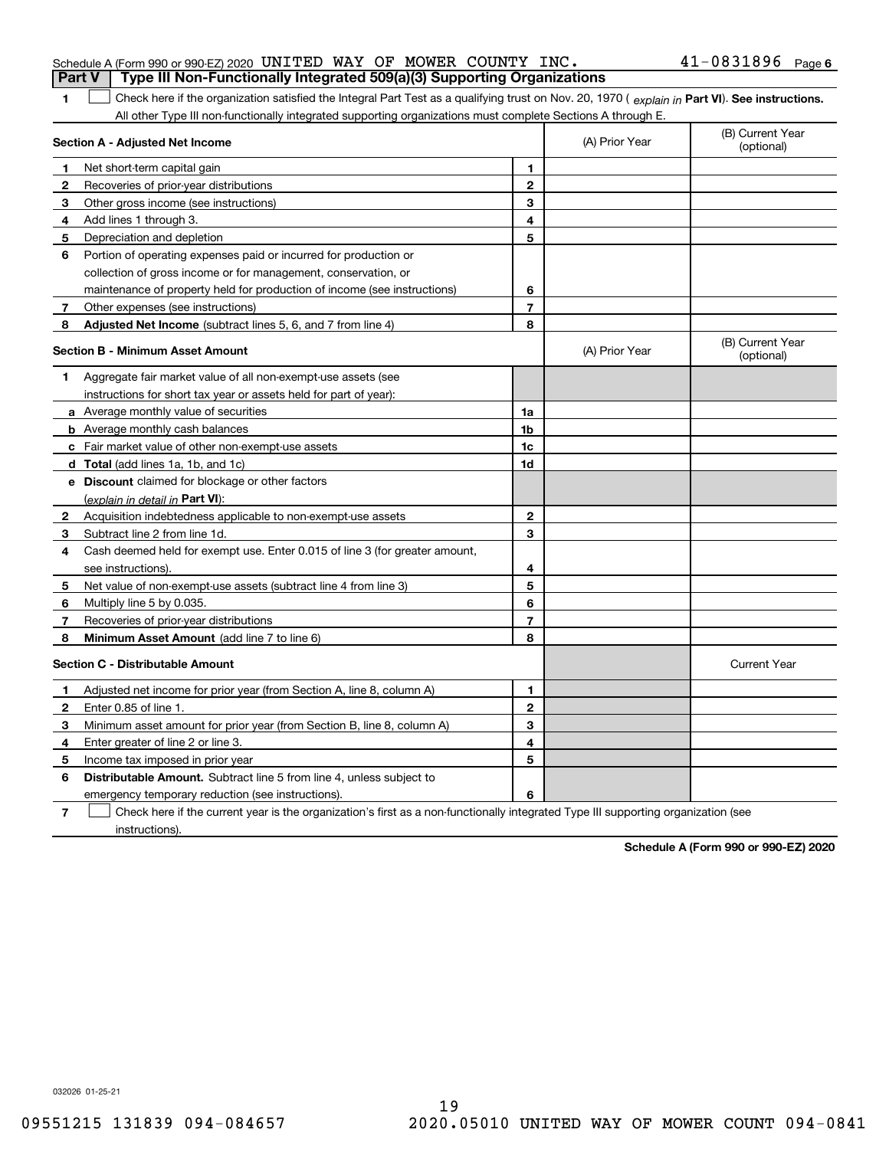|   | Schedule A (Form 990 or 990-EZ) 2020 UNITED WAY OF MOWER COUNTY INC.<br>Type III Non-Functionally Integrated 509(a)(3) Supporting Organizations<br><b>Part V</b> |                |                                | $41 - 0831896$ Page 6          |
|---|------------------------------------------------------------------------------------------------------------------------------------------------------------------|----------------|--------------------------------|--------------------------------|
| 1 | Check here if the organization satisfied the Integral Part Test as a qualifying trust on Nov. 20, 1970 (explain in Part VI). See instructions.                   |                |                                |                                |
|   | All other Type III non-functionally integrated supporting organizations must complete Sections A through E.                                                      |                |                                |                                |
|   | Section A - Adjusted Net Income                                                                                                                                  | (A) Prior Year | (B) Current Year<br>(optional) |                                |
| 1 | Net short-term capital gain                                                                                                                                      | 1              |                                |                                |
| 2 | Recoveries of prior-year distributions                                                                                                                           | $\overline{2}$ |                                |                                |
| 3 | Other gross income (see instructions)                                                                                                                            | 3              |                                |                                |
| 4 | Add lines 1 through 3.                                                                                                                                           | 4              |                                |                                |
| 5 | Depreciation and depletion                                                                                                                                       | 5              |                                |                                |
| 6 | Portion of operating expenses paid or incurred for production or                                                                                                 |                |                                |                                |
|   | collection of gross income or for management, conservation, or                                                                                                   |                |                                |                                |
|   | maintenance of property held for production of income (see instructions)                                                                                         | 6              |                                |                                |
| 7 | Other expenses (see instructions)                                                                                                                                | $\overline{7}$ |                                |                                |
| 8 | Adjusted Net Income (subtract lines 5, 6, and 7 from line 4)                                                                                                     | 8              |                                |                                |
|   | <b>Section B - Minimum Asset Amount</b>                                                                                                                          |                | (A) Prior Year                 | (B) Current Year<br>(optional) |
| 1 | Aggregate fair market value of all non-exempt-use assets (see                                                                                                    |                |                                |                                |
|   | instructions for short tax year or assets held for part of year):                                                                                                |                |                                |                                |
|   | a Average monthly value of securities                                                                                                                            | 1a             |                                |                                |
|   | <b>b</b> Average monthly cash balances                                                                                                                           | 1b             |                                |                                |
|   | c Fair market value of other non-exempt-use assets                                                                                                               | 1 <sub>c</sub> |                                |                                |
|   | d Total (add lines 1a, 1b, and 1c)                                                                                                                               | 1d             |                                |                                |
|   | e Discount claimed for blockage or other factors                                                                                                                 |                |                                |                                |
|   | <u>(explain in detail in <b>Part VI</b>)</u> :                                                                                                                   |                |                                |                                |
| 2 | Acquisition indebtedness applicable to non-exempt-use assets                                                                                                     | $\mathbf{2}$   |                                |                                |
| 3 | Subtract line 2 from line 1d.                                                                                                                                    | 3              |                                |                                |
| 4 | Cash deemed held for exempt use. Enter 0.015 of line 3 (for greater amount,                                                                                      |                |                                |                                |
|   | see instructions)                                                                                                                                                | 4              |                                |                                |
| 5 | Net value of non-exempt-use assets (subtract line 4 from line 3)                                                                                                 | 5              |                                |                                |
| 6 | Multiply line 5 by 0.035.                                                                                                                                        | 6              |                                |                                |
| 7 | Recoveries of prior-year distributions                                                                                                                           | $\overline{7}$ |                                |                                |
| 8 | Minimum Asset Amount (add line 7 to line 6)                                                                                                                      | 8              |                                |                                |
|   | <b>Section C - Distributable Amount</b>                                                                                                                          |                |                                | <b>Current Year</b>            |
| 1 | Adjusted net income for prior year (from Section A, line 8, column A)                                                                                            | 1              |                                |                                |
| 2 | Enter 0.85 of line 1.                                                                                                                                            | $\overline{2}$ |                                |                                |
| 3 | Minimum asset amount for prior year (from Section B, line 8, column A)                                                                                           | 3              |                                |                                |
| 4 | Enter greater of line 2 or line 3.                                                                                                                               | 4              |                                |                                |
| 5 | Income tax imposed in prior year                                                                                                                                 | 5              |                                |                                |
| 6 | <b>Distributable Amount.</b> Subtract line 5 from line 4, unless subject to                                                                                      |                |                                |                                |
|   | emergency temporary reduction (see instructions).                                                                                                                | 6              |                                |                                |

**7** Check here if the current year is the organization's first as a non-functionally integrated Type III supporting organization (see instructions).

**Schedule A (Form 990 or 990-EZ) 2020**

032026 01-25-21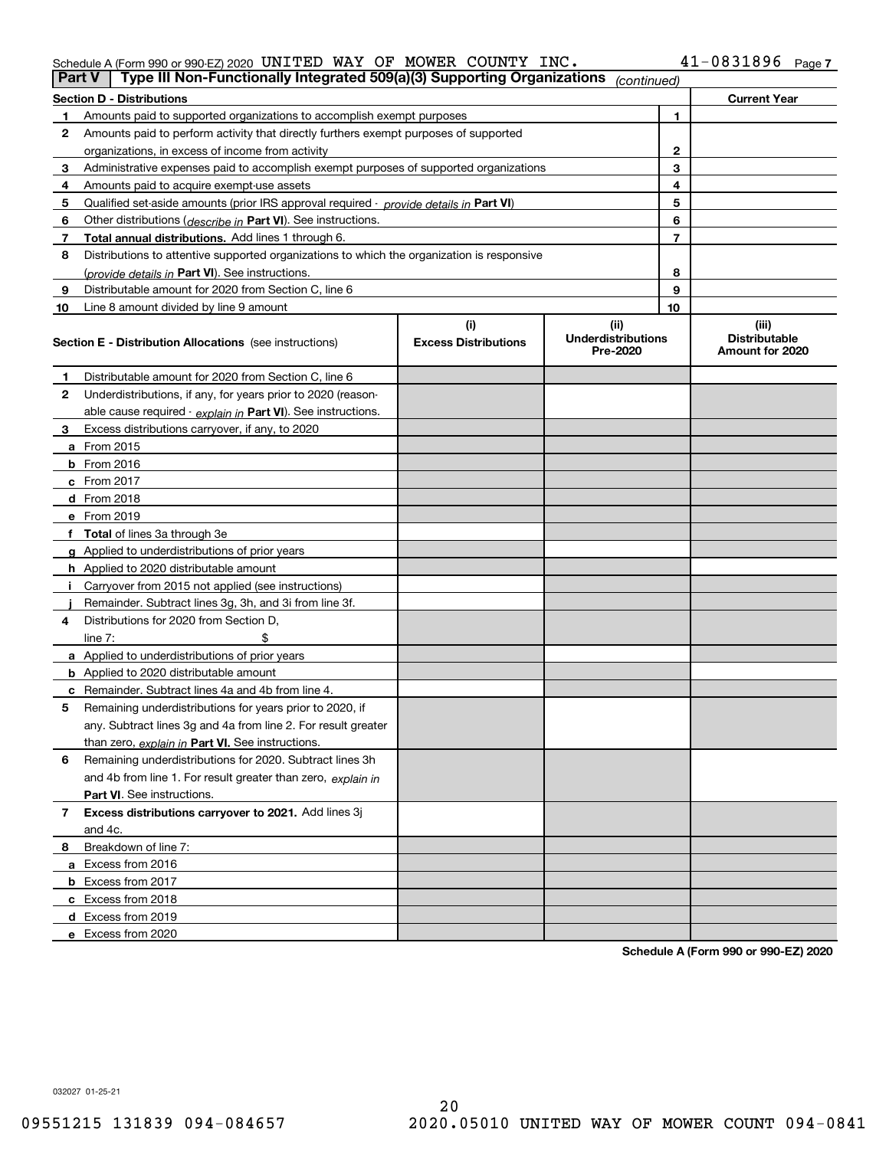### Schedule A (Form 990 or 990-EZ) 2020 <code>UNITED WAY OF MOWER COUNTY INC</code> .  $41\text{--}0831896$  <code>Page</code>

| <b>Part V</b> | Type III Non-Functionally Integrated 509(a)(3) Supporting Organizations                       |                             | (continued)                           |    |                                         |
|---------------|-----------------------------------------------------------------------------------------------|-----------------------------|---------------------------------------|----|-----------------------------------------|
|               | <b>Section D - Distributions</b>                                                              |                             |                                       |    | <b>Current Year</b>                     |
| 1             | Amounts paid to supported organizations to accomplish exempt purposes                         |                             | 1                                     |    |                                         |
| 2             | Amounts paid to perform activity that directly furthers exempt purposes of supported          |                             |                                       |    |                                         |
|               | organizations, in excess of income from activity                                              |                             | $\mathbf{2}$                          |    |                                         |
| 3             | Administrative expenses paid to accomplish exempt purposes of supported organizations         |                             | 3                                     |    |                                         |
| 4             | Amounts paid to acquire exempt-use assets                                                     |                             |                                       | 4  |                                         |
| 5             | Qualified set-aside amounts (prior IRS approval required - <i>provide details in</i> Part VI) |                             |                                       | 5  |                                         |
| 6             | Other distributions ( <i>describe in</i> Part VI). See instructions.                          |                             |                                       | 6  |                                         |
| 7             | Total annual distributions. Add lines 1 through 6.                                            |                             |                                       | 7  |                                         |
| 8             | Distributions to attentive supported organizations to which the organization is responsive    |                             |                                       |    |                                         |
|               | (provide details in Part VI). See instructions.                                               |                             |                                       | 8  |                                         |
| 9             | Distributable amount for 2020 from Section C, line 6                                          |                             |                                       | 9  |                                         |
| 10            | Line 8 amount divided by line 9 amount                                                        |                             |                                       | 10 |                                         |
|               |                                                                                               | (i)                         | (ii)                                  |    | (iii)                                   |
|               | <b>Section E - Distribution Allocations</b> (see instructions)                                | <b>Excess Distributions</b> | <b>Underdistributions</b><br>Pre-2020 |    | <b>Distributable</b><br>Amount for 2020 |
| 1             | Distributable amount for 2020 from Section C, line 6                                          |                             |                                       |    |                                         |
| 2             | Underdistributions, if any, for years prior to 2020 (reason-                                  |                             |                                       |    |                                         |
|               | able cause required - explain in Part VI). See instructions.                                  |                             |                                       |    |                                         |
| 3             | Excess distributions carryover, if any, to 2020                                               |                             |                                       |    |                                         |
|               | a From 2015                                                                                   |                             |                                       |    |                                         |
|               | <b>b</b> From 2016                                                                            |                             |                                       |    |                                         |
|               | $c$ From 2017                                                                                 |                             |                                       |    |                                         |
|               | d From 2018                                                                                   |                             |                                       |    |                                         |
|               | e From 2019                                                                                   |                             |                                       |    |                                         |
|               | f Total of lines 3a through 3e                                                                |                             |                                       |    |                                         |
|               | g Applied to underdistributions of prior years                                                |                             |                                       |    |                                         |
|               | <b>h</b> Applied to 2020 distributable amount                                                 |                             |                                       |    |                                         |
|               | Carryover from 2015 not applied (see instructions)                                            |                             |                                       |    |                                         |
|               | Remainder. Subtract lines 3g, 3h, and 3i from line 3f.                                        |                             |                                       |    |                                         |
| 4             | Distributions for 2020 from Section D,                                                        |                             |                                       |    |                                         |
|               | line $7:$                                                                                     |                             |                                       |    |                                         |
|               | a Applied to underdistributions of prior years                                                |                             |                                       |    |                                         |
|               | <b>b</b> Applied to 2020 distributable amount                                                 |                             |                                       |    |                                         |
|               | c Remainder. Subtract lines 4a and 4b from line 4.                                            |                             |                                       |    |                                         |
| 5.            | Remaining underdistributions for years prior to 2020, if                                      |                             |                                       |    |                                         |
|               | any. Subtract lines 3g and 4a from line 2. For result greater                                 |                             |                                       |    |                                         |
|               | than zero, explain in Part VI. See instructions.                                              |                             |                                       |    |                                         |
| 6             | Remaining underdistributions for 2020. Subtract lines 3h                                      |                             |                                       |    |                                         |
|               | and 4b from line 1. For result greater than zero, explain in                                  |                             |                                       |    |                                         |
|               | Part VI. See instructions.                                                                    |                             |                                       |    |                                         |
| 7             | Excess distributions carryover to 2021. Add lines 3j                                          |                             |                                       |    |                                         |
|               | and 4c.                                                                                       |                             |                                       |    |                                         |
| 8             | Breakdown of line 7:                                                                          |                             |                                       |    |                                         |
|               | a Excess from 2016                                                                            |                             |                                       |    |                                         |
|               | <b>b</b> Excess from 2017                                                                     |                             |                                       |    |                                         |
|               | c Excess from 2018                                                                            |                             |                                       |    |                                         |
|               | d Excess from 2019                                                                            |                             |                                       |    |                                         |
|               | e Excess from 2020                                                                            |                             |                                       |    |                                         |

**Schedule A (Form 990 or 990-EZ) 2020**

032027 01-25-21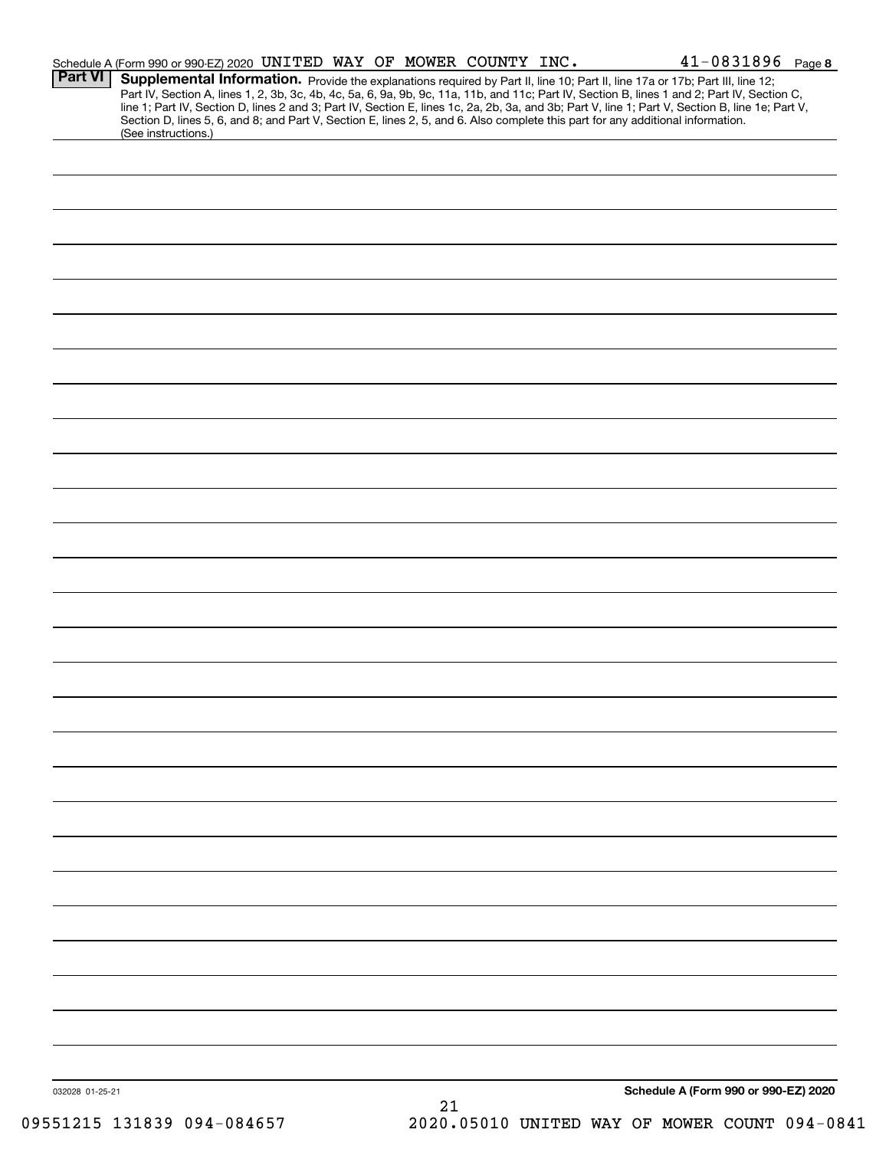| <b>Part VI</b>  | Schedule A (Form 990 or 990-EZ) 2020 UNITED WAY OF MOWER COUNTY INC. |  |    |  | $41 - 0831896$ Page 8                                                                                                                                                                                                                                                               |  |
|-----------------|----------------------------------------------------------------------|--|----|--|-------------------------------------------------------------------------------------------------------------------------------------------------------------------------------------------------------------------------------------------------------------------------------------|--|
|                 |                                                                      |  |    |  | <b>Supplemental Information.</b> Provide the explanations required by Part II, line 10; Part II, line 17a or 17b; Part III, line 12;<br>Part IV, Section A, lines 1, 2, 3b, 3c, 4b, 4c, 5a, 6, 9a, 9b, 9c, 11a, 11b, and 11c; Part IV,                                              |  |
|                 |                                                                      |  |    |  | line 1; Part IV, Section D, lines 2 and 3; Part IV, Section E, lines 1c, 2a, 2b, 3a, and 3b; Part V, line 1; Part V, Section B, line 1e; Part V,<br>Section D, lines 5, 6, and 8; and Part V, Section E, lines 2, 5, and 6. Also complete this part for any additional information. |  |
|                 | (See instructions.)                                                  |  |    |  |                                                                                                                                                                                                                                                                                     |  |
|                 |                                                                      |  |    |  |                                                                                                                                                                                                                                                                                     |  |
|                 |                                                                      |  |    |  |                                                                                                                                                                                                                                                                                     |  |
|                 |                                                                      |  |    |  |                                                                                                                                                                                                                                                                                     |  |
|                 |                                                                      |  |    |  |                                                                                                                                                                                                                                                                                     |  |
|                 |                                                                      |  |    |  |                                                                                                                                                                                                                                                                                     |  |
|                 |                                                                      |  |    |  |                                                                                                                                                                                                                                                                                     |  |
|                 |                                                                      |  |    |  |                                                                                                                                                                                                                                                                                     |  |
|                 |                                                                      |  |    |  |                                                                                                                                                                                                                                                                                     |  |
|                 |                                                                      |  |    |  |                                                                                                                                                                                                                                                                                     |  |
|                 |                                                                      |  |    |  |                                                                                                                                                                                                                                                                                     |  |
|                 |                                                                      |  |    |  |                                                                                                                                                                                                                                                                                     |  |
|                 |                                                                      |  |    |  |                                                                                                                                                                                                                                                                                     |  |
|                 |                                                                      |  |    |  |                                                                                                                                                                                                                                                                                     |  |
|                 |                                                                      |  |    |  |                                                                                                                                                                                                                                                                                     |  |
|                 |                                                                      |  |    |  |                                                                                                                                                                                                                                                                                     |  |
|                 |                                                                      |  |    |  |                                                                                                                                                                                                                                                                                     |  |
|                 |                                                                      |  |    |  |                                                                                                                                                                                                                                                                                     |  |
|                 |                                                                      |  |    |  |                                                                                                                                                                                                                                                                                     |  |
|                 |                                                                      |  |    |  |                                                                                                                                                                                                                                                                                     |  |
|                 |                                                                      |  |    |  |                                                                                                                                                                                                                                                                                     |  |
|                 |                                                                      |  |    |  |                                                                                                                                                                                                                                                                                     |  |
|                 |                                                                      |  |    |  |                                                                                                                                                                                                                                                                                     |  |
|                 |                                                                      |  |    |  |                                                                                                                                                                                                                                                                                     |  |
|                 |                                                                      |  |    |  |                                                                                                                                                                                                                                                                                     |  |
|                 |                                                                      |  |    |  |                                                                                                                                                                                                                                                                                     |  |
|                 |                                                                      |  |    |  |                                                                                                                                                                                                                                                                                     |  |
|                 |                                                                      |  |    |  |                                                                                                                                                                                                                                                                                     |  |
|                 |                                                                      |  |    |  |                                                                                                                                                                                                                                                                                     |  |
|                 |                                                                      |  |    |  |                                                                                                                                                                                                                                                                                     |  |
|                 |                                                                      |  |    |  |                                                                                                                                                                                                                                                                                     |  |
|                 |                                                                      |  |    |  |                                                                                                                                                                                                                                                                                     |  |
|                 |                                                                      |  |    |  |                                                                                                                                                                                                                                                                                     |  |
|                 |                                                                      |  |    |  |                                                                                                                                                                                                                                                                                     |  |
|                 |                                                                      |  |    |  |                                                                                                                                                                                                                                                                                     |  |
|                 |                                                                      |  |    |  |                                                                                                                                                                                                                                                                                     |  |
|                 |                                                                      |  |    |  |                                                                                                                                                                                                                                                                                     |  |
|                 |                                                                      |  |    |  |                                                                                                                                                                                                                                                                                     |  |
|                 |                                                                      |  |    |  |                                                                                                                                                                                                                                                                                     |  |
|                 |                                                                      |  |    |  |                                                                                                                                                                                                                                                                                     |  |
|                 |                                                                      |  |    |  |                                                                                                                                                                                                                                                                                     |  |
|                 |                                                                      |  |    |  |                                                                                                                                                                                                                                                                                     |  |
|                 |                                                                      |  |    |  |                                                                                                                                                                                                                                                                                     |  |
|                 |                                                                      |  |    |  |                                                                                                                                                                                                                                                                                     |  |
|                 |                                                                      |  |    |  |                                                                                                                                                                                                                                                                                     |  |
|                 |                                                                      |  |    |  |                                                                                                                                                                                                                                                                                     |  |
|                 |                                                                      |  |    |  |                                                                                                                                                                                                                                                                                     |  |
|                 |                                                                      |  |    |  |                                                                                                                                                                                                                                                                                     |  |
|                 |                                                                      |  |    |  |                                                                                                                                                                                                                                                                                     |  |
|                 |                                                                      |  |    |  |                                                                                                                                                                                                                                                                                     |  |
|                 |                                                                      |  |    |  |                                                                                                                                                                                                                                                                                     |  |
|                 |                                                                      |  |    |  |                                                                                                                                                                                                                                                                                     |  |
|                 |                                                                      |  |    |  |                                                                                                                                                                                                                                                                                     |  |
| 032028 01-25-21 |                                                                      |  |    |  | Schedule A (Form 990 or 990-EZ) 2020                                                                                                                                                                                                                                                |  |
|                 |                                                                      |  | 21 |  |                                                                                                                                                                                                                                                                                     |  |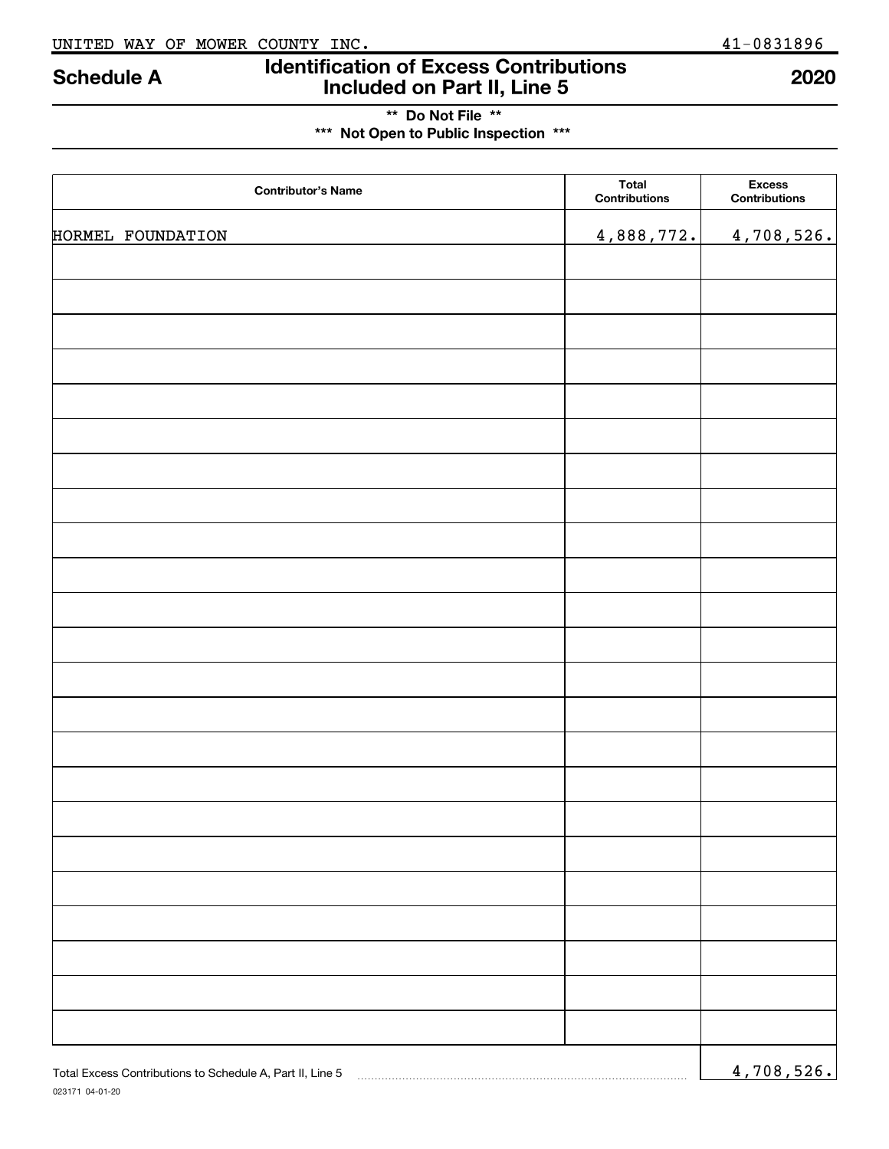# **Identification of Excess Contributions Included on Part II, Line 5 Schedule A 2020**

## **\*\* Do Not File \*\* \*\*\* Not Open to Public Inspection \*\*\***

| <b>Contributor's Name</b>                                 | <b>Total</b><br>Contributions | <b>Excess</b><br>Contributions |
|-----------------------------------------------------------|-------------------------------|--------------------------------|
| HORMEL FOUNDATION                                         | 4,888,772.                    | 4,708,526.                     |
|                                                           |                               |                                |
|                                                           |                               |                                |
|                                                           |                               |                                |
|                                                           |                               |                                |
|                                                           |                               |                                |
|                                                           |                               |                                |
|                                                           |                               |                                |
|                                                           |                               |                                |
|                                                           |                               |                                |
|                                                           |                               |                                |
|                                                           |                               |                                |
|                                                           |                               |                                |
|                                                           |                               |                                |
|                                                           |                               |                                |
|                                                           |                               |                                |
|                                                           |                               |                                |
|                                                           |                               |                                |
|                                                           |                               |                                |
|                                                           |                               |                                |
|                                                           |                               |                                |
|                                                           |                               |                                |
|                                                           |                               |                                |
| Total Excess Contributions to Schedule A, Part II, Line 5 |                               | 4,708,526.                     |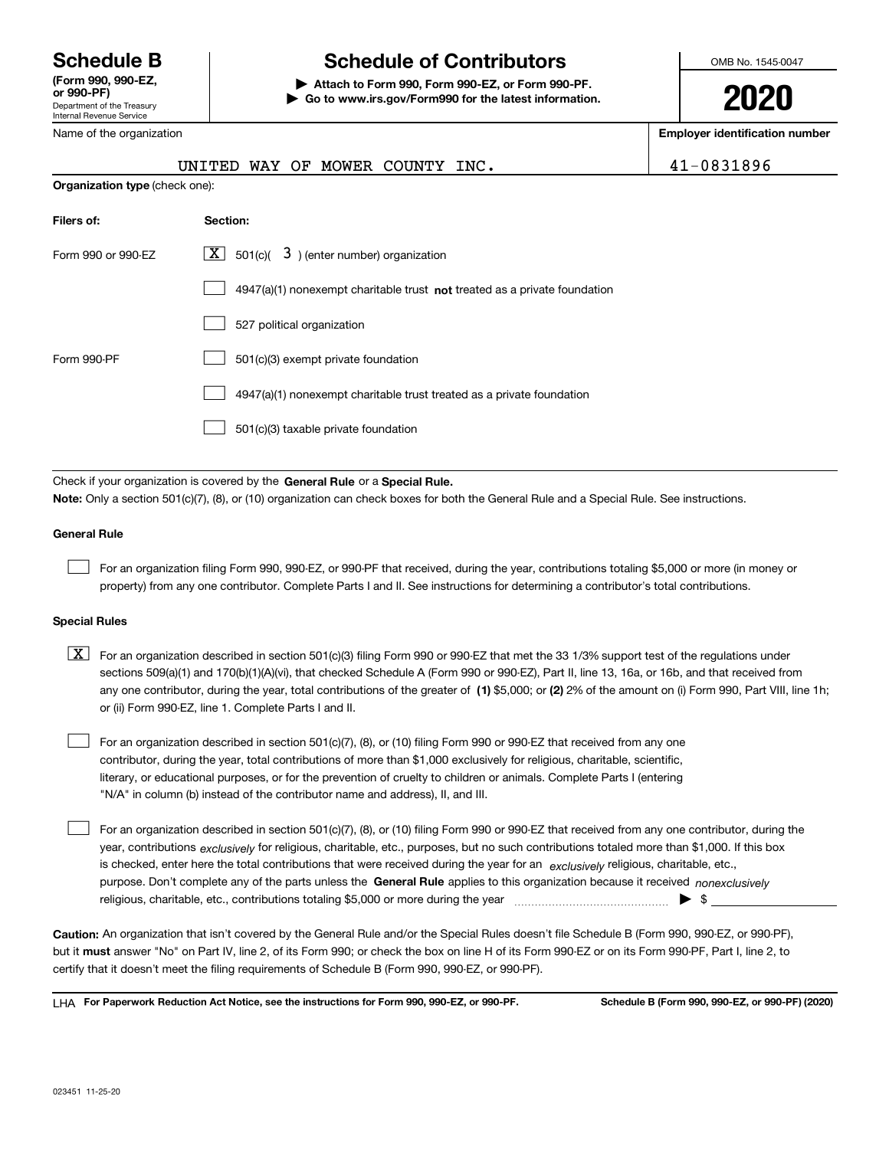Department of the Treasury Internal Revenue Service **(Form 990, 990-EZ, or 990-PF)** Name of the organization

# **Schedule B Schedule of Contributors**

**| Attach to Form 990, Form 990-EZ, or Form 990-PF. | Go to www.irs.gov/Form990 for the latest information.** OMB No. 1545-0047

**2020**

**Employer identification number**

|                                                                                   | INC.<br>UNITED<br>MOWER<br><b>COUNTY</b><br>OF<br>WAY                                                                                                                                                                     | 41-0831896 |  |  |  |  |
|-----------------------------------------------------------------------------------|---------------------------------------------------------------------------------------------------------------------------------------------------------------------------------------------------------------------------|------------|--|--|--|--|
|                                                                                   | <b>Organization type (check one):</b>                                                                                                                                                                                     |            |  |  |  |  |
| Filers of:                                                                        | Section:                                                                                                                                                                                                                  |            |  |  |  |  |
| $\boxed{\textbf{X}}$ 501(c)( 3) (enter number) organization<br>Form 990 or 990-EZ |                                                                                                                                                                                                                           |            |  |  |  |  |
|                                                                                   | 4947(a)(1) nonexempt charitable trust not treated as a private foundation                                                                                                                                                 |            |  |  |  |  |
|                                                                                   | 527 political organization                                                                                                                                                                                                |            |  |  |  |  |
| Form 990-PF                                                                       | 501(c)(3) exempt private foundation                                                                                                                                                                                       |            |  |  |  |  |
|                                                                                   | 4947(a)(1) nonexempt charitable trust treated as a private foundation                                                                                                                                                     |            |  |  |  |  |
|                                                                                   | 501(c)(3) taxable private foundation                                                                                                                                                                                      |            |  |  |  |  |
|                                                                                   |                                                                                                                                                                                                                           |            |  |  |  |  |
|                                                                                   | Check if your organization is covered by the General Rule or a Special Rule.<br>Note: Only a section 501(c)(7), (8), or (10) organization can check boxes for both the General Rule and a Special Rule. See instructions. |            |  |  |  |  |
|                                                                                   |                                                                                                                                                                                                                           |            |  |  |  |  |

### **General Rule**

 $\mathcal{L}^{\text{max}}$ 

For an organization filing Form 990, 990-EZ, or 990-PF that received, during the year, contributions totaling \$5,000 or more (in money or property) from any one contributor. Complete Parts I and II. See instructions for determining a contributor's total contributions.

### **Special Rules**

any one contributor, during the year, total contributions of the greater of  $\,$  (1) \$5,000; or **(2)** 2% of the amount on (i) Form 990, Part VIII, line 1h;  $\boxed{\textbf{X}}$  For an organization described in section 501(c)(3) filing Form 990 or 990-EZ that met the 33 1/3% support test of the regulations under sections 509(a)(1) and 170(b)(1)(A)(vi), that checked Schedule A (Form 990 or 990-EZ), Part II, line 13, 16a, or 16b, and that received from or (ii) Form 990-EZ, line 1. Complete Parts I and II.

For an organization described in section 501(c)(7), (8), or (10) filing Form 990 or 990-EZ that received from any one contributor, during the year, total contributions of more than \$1,000 exclusively for religious, charitable, scientific, literary, or educational purposes, or for the prevention of cruelty to children or animals. Complete Parts I (entering "N/A" in column (b) instead of the contributor name and address), II, and III.  $\mathcal{L}^{\text{max}}$ 

purpose. Don't complete any of the parts unless the **General Rule** applies to this organization because it received *nonexclusively* year, contributions <sub>exclusively</sub> for religious, charitable, etc., purposes, but no such contributions totaled more than \$1,000. If this box is checked, enter here the total contributions that were received during the year for an  $\;$ exclusively religious, charitable, etc., For an organization described in section 501(c)(7), (8), or (10) filing Form 990 or 990-EZ that received from any one contributor, during the religious, charitable, etc., contributions totaling \$5,000 or more during the year  $\Box$ — $\Box$   $\Box$   $\Box$  $\mathcal{L}^{\text{max}}$ 

**Caution:**  An organization that isn't covered by the General Rule and/or the Special Rules doesn't file Schedule B (Form 990, 990-EZ, or 990-PF),  **must** but it answer "No" on Part IV, line 2, of its Form 990; or check the box on line H of its Form 990-EZ or on its Form 990-PF, Part I, line 2, to certify that it doesn't meet the filing requirements of Schedule B (Form 990, 990-EZ, or 990-PF).

**For Paperwork Reduction Act Notice, see the instructions for Form 990, 990-EZ, or 990-PF. Schedule B (Form 990, 990-EZ, or 990-PF) (2020)** LHA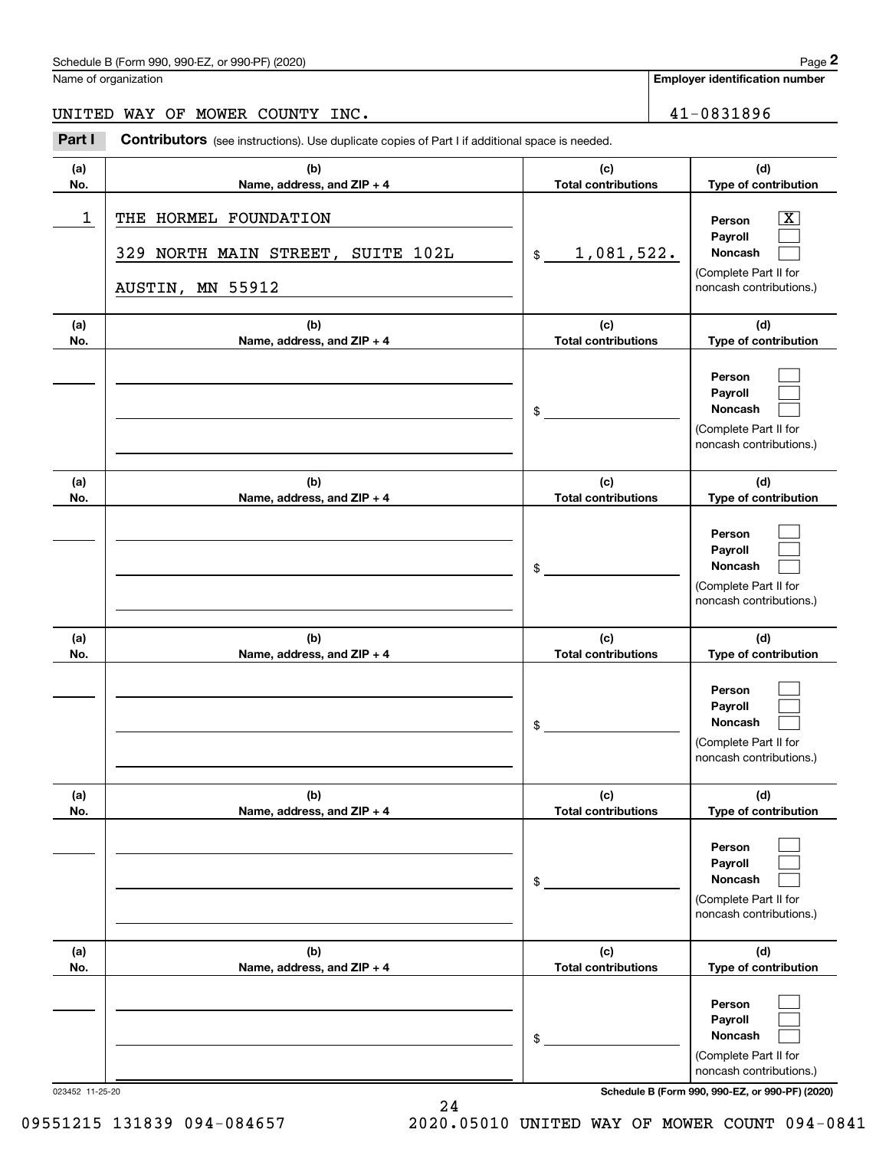## Schedule B (Form 990, 990-EZ, or 990-PF) (2020) Page 2

Name of organization

### UNITED WAY OF MOWER COUNTY INC. 41-0831896

Chedule B (Form 990, 990-EZ, or 990-PF) (2020)<br>
lame of organization<br> **2014 INITED WAY OF MOWER COUNTY INC.**<br>
2014 - 0831896<br> **2014 I Contributors** (see instructions). Use duplicate copies of Part I if additional space is

| (a)        | (b)                                                                            | (c)                               | (d)                                                                                                       |
|------------|--------------------------------------------------------------------------------|-----------------------------------|-----------------------------------------------------------------------------------------------------------|
| No.        | Name, address, and ZIP + 4                                                     | <b>Total contributions</b>        | Type of contribution                                                                                      |
| 1          | THE HORMEL FOUNDATION<br>329 NORTH MAIN STREET, SUITE 102L<br>AUSTIN, MN 55912 | 1,081,522.<br>$\frac{1}{2}$       | $\overline{\text{X}}$<br>Person<br>Payroll<br>Noncash<br>(Complete Part II for<br>noncash contributions.) |
| (a)<br>No. | (b)<br>Name, address, and ZIP + 4                                              | (c)<br><b>Total contributions</b> | (d)<br>Type of contribution                                                                               |
|            |                                                                                | \$                                | Person<br>Payroll<br>Noncash<br>(Complete Part II for<br>noncash contributions.)                          |
| (a)<br>No. | (b)<br>Name, address, and ZIP + 4                                              | (c)<br><b>Total contributions</b> | (d)<br>Type of contribution                                                                               |
|            |                                                                                | $$\tilde{\phantom{a}}$$           | Person<br>Payroll<br>Noncash<br>(Complete Part II for<br>noncash contributions.)                          |
| (a)<br>No. | (b)<br>Name, address, and ZIP + 4                                              | (c)<br><b>Total contributions</b> | (d)<br>Type of contribution                                                                               |
|            |                                                                                | \$                                | Person<br>Payroll<br>Noncash<br>(Complete Part II for<br>noncash contributions.)                          |
| (a)<br>No. | (b)<br>Name, address, and ZIP + 4                                              | (c)<br><b>Total contributions</b> | (d)<br>Type of contribution                                                                               |
|            |                                                                                | \$                                | Person<br>Payroll<br>Noncash<br>(Complete Part II for<br>noncash contributions.)                          |
| (a)<br>No. | (b)<br>Name, address, and ZIP + 4                                              | (c)<br><b>Total contributions</b> | (d)<br>Type of contribution                                                                               |
|            |                                                                                | \$                                | Person<br>Payroll<br>Noncash<br>(Complete Part II for<br>noncash contributions.)                          |

023452 11-25-20 **Schedule B (Form 990, 990-EZ, or 990-PF) (2020)**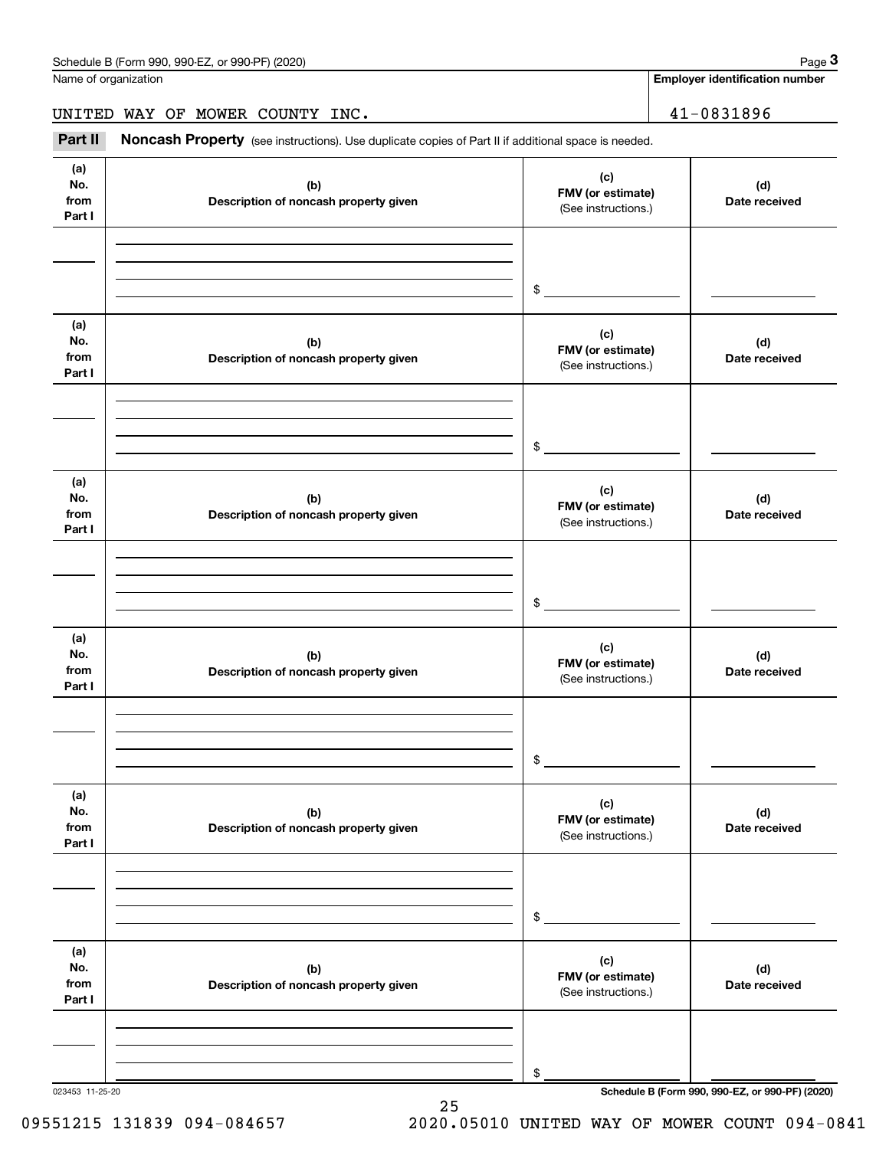Name of organization

**Employer identification number**

UNITED WAY OF MOWER COUNTY INC. 41-0831896

(see instructions). Use duplicate copies of Part II if additional space is needed.<br> **3Part II Noncash Property** (see instructions). Use duplicate copies of Part II if additional space is needed.<br> **3Part II Noncash Prop** 

| (a)<br>No.<br>from<br>Part I | (b)<br>Description of noncash property given | (c)<br>FMV (or estimate)<br>(See instructions.) | (d)<br>Date received                            |
|------------------------------|----------------------------------------------|-------------------------------------------------|-------------------------------------------------|
|                              |                                              |                                                 |                                                 |
|                              |                                              | \$                                              |                                                 |
| (a)<br>No.<br>from           | (b)<br>Description of noncash property given | (c)<br>FMV (or estimate)<br>(See instructions.) | (d)<br>Date received                            |
| Part I                       |                                              |                                                 |                                                 |
|                              |                                              |                                                 |                                                 |
|                              |                                              |                                                 |                                                 |
|                              |                                              | \$                                              |                                                 |
|                              |                                              |                                                 |                                                 |
| (a)<br>No.                   | (b)                                          | (c)                                             | (d)                                             |
| from                         | Description of noncash property given        | FMV (or estimate)                               | Date received                                   |
| Part I                       |                                              | (See instructions.)                             |                                                 |
|                              |                                              |                                                 |                                                 |
|                              |                                              |                                                 |                                                 |
|                              |                                              | $\,$                                            |                                                 |
|                              |                                              |                                                 |                                                 |
| (a)                          |                                              | (c)                                             |                                                 |
| No.<br>from                  | (b)<br>Description of noncash property given | FMV (or estimate)                               | (d)<br>Date received                            |
| Part I                       |                                              | (See instructions.)                             |                                                 |
|                              |                                              |                                                 |                                                 |
|                              |                                              |                                                 |                                                 |
|                              |                                              | \$                                              |                                                 |
|                              |                                              |                                                 |                                                 |
| (a)                          |                                              | (c)                                             |                                                 |
| No.<br>from                  | (b)<br>Description of noncash property given | FMV (or estimate)                               | (d)<br>Date received                            |
| Part I                       |                                              | (See instructions.)                             |                                                 |
|                              |                                              |                                                 |                                                 |
|                              |                                              |                                                 |                                                 |
|                              |                                              | \$                                              |                                                 |
|                              |                                              |                                                 |                                                 |
| (a)                          |                                              | (c)                                             |                                                 |
| No.                          | (b)                                          | FMV (or estimate)                               | (d)                                             |
| from<br>Part I               | Description of noncash property given        | (See instructions.)                             | Date received                                   |
|                              |                                              |                                                 |                                                 |
|                              |                                              |                                                 |                                                 |
|                              |                                              |                                                 |                                                 |
|                              |                                              | \$                                              | Schedule B (Form 990, 990-EZ, or 990-PF) (2020) |

25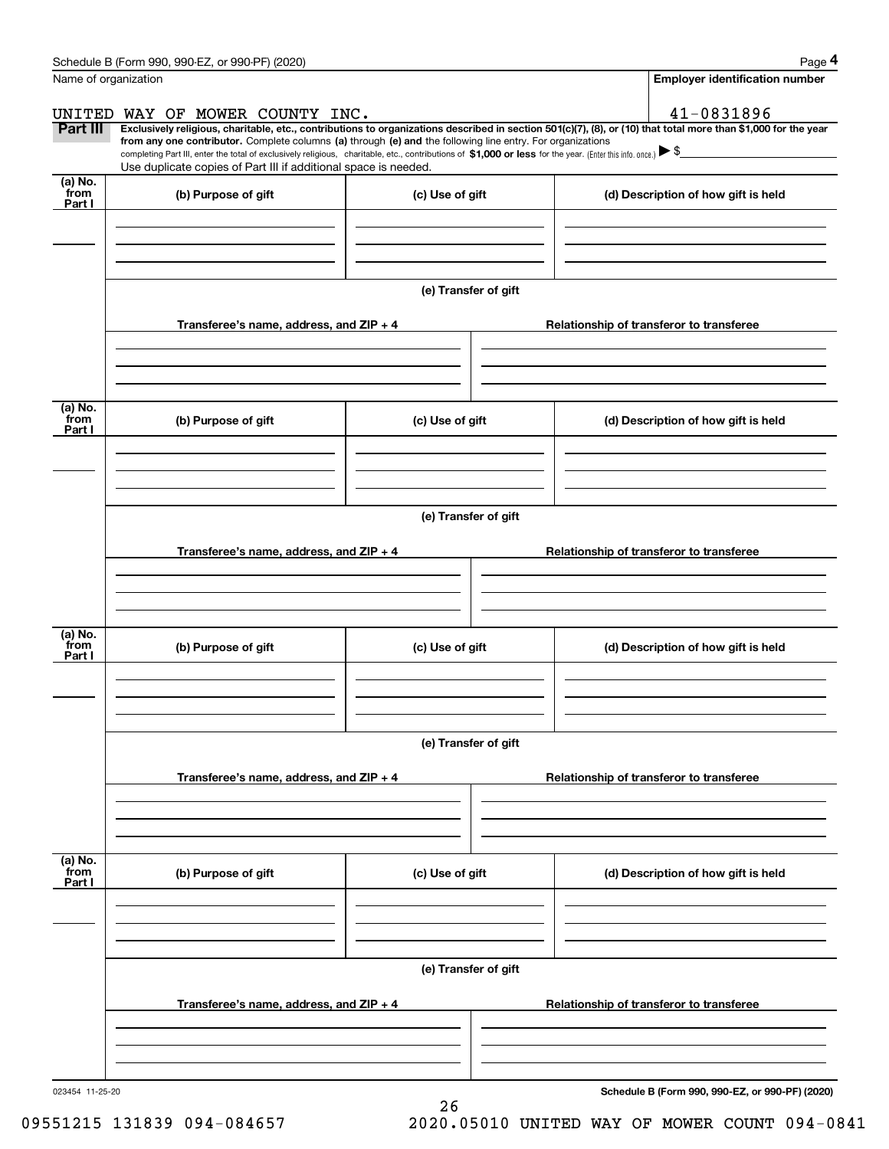|                           | Schedule B (Form 990, 990-EZ, or 990-PF) (2020)                                                                                                                                   |                      | Page 4                                                                                                                                                         |  |  |  |  |
|---------------------------|-----------------------------------------------------------------------------------------------------------------------------------------------------------------------------------|----------------------|----------------------------------------------------------------------------------------------------------------------------------------------------------------|--|--|--|--|
| Name of organization      |                                                                                                                                                                                   |                      | <b>Employer identification number</b>                                                                                                                          |  |  |  |  |
|                           | UNITED WAY OF MOWER COUNTY INC.                                                                                                                                                   |                      | 41-0831896                                                                                                                                                     |  |  |  |  |
| <b>Part III</b>           | from any one contributor. Complete columns (a) through (e) and the following line entry. For organizations                                                                        |                      | Exclusively religious, charitable, etc., contributions to organizations described in section 501(c)(7), (8), or (10) that total more than \$1,000 for the year |  |  |  |  |
|                           | completing Part III, enter the total of exclusively religious, charitable, etc., contributions of \$1,000 or less for the year. (Enter this info. once.) $\blacktriangleright$ \$ |                      |                                                                                                                                                                |  |  |  |  |
| (a) No.                   | Use duplicate copies of Part III if additional space is needed.                                                                                                                   |                      |                                                                                                                                                                |  |  |  |  |
| from<br>Part I            | (b) Purpose of gift                                                                                                                                                               | (c) Use of gift      | (d) Description of how gift is held                                                                                                                            |  |  |  |  |
|                           |                                                                                                                                                                                   |                      |                                                                                                                                                                |  |  |  |  |
|                           |                                                                                                                                                                                   |                      |                                                                                                                                                                |  |  |  |  |
|                           |                                                                                                                                                                                   |                      |                                                                                                                                                                |  |  |  |  |
|                           |                                                                                                                                                                                   | (e) Transfer of gift |                                                                                                                                                                |  |  |  |  |
|                           | Transferee's name, address, and ZIP + 4                                                                                                                                           |                      | Relationship of transferor to transferee                                                                                                                       |  |  |  |  |
|                           |                                                                                                                                                                                   |                      |                                                                                                                                                                |  |  |  |  |
|                           |                                                                                                                                                                                   |                      |                                                                                                                                                                |  |  |  |  |
|                           |                                                                                                                                                                                   |                      |                                                                                                                                                                |  |  |  |  |
| (a) No.<br>from           | (b) Purpose of gift                                                                                                                                                               | (c) Use of gift      | (d) Description of how gift is held                                                                                                                            |  |  |  |  |
| Part I                    |                                                                                                                                                                                   |                      |                                                                                                                                                                |  |  |  |  |
|                           |                                                                                                                                                                                   |                      |                                                                                                                                                                |  |  |  |  |
|                           |                                                                                                                                                                                   |                      |                                                                                                                                                                |  |  |  |  |
|                           | (e) Transfer of gift                                                                                                                                                              |                      |                                                                                                                                                                |  |  |  |  |
|                           |                                                                                                                                                                                   |                      |                                                                                                                                                                |  |  |  |  |
|                           | Transferee's name, address, and ZIP + 4                                                                                                                                           |                      | Relationship of transferor to transferee                                                                                                                       |  |  |  |  |
|                           |                                                                                                                                                                                   |                      |                                                                                                                                                                |  |  |  |  |
|                           |                                                                                                                                                                                   |                      |                                                                                                                                                                |  |  |  |  |
| (a) No.                   |                                                                                                                                                                                   |                      |                                                                                                                                                                |  |  |  |  |
| from<br>Part I            | (b) Purpose of gift                                                                                                                                                               | (c) Use of gift      | (d) Description of how gift is held                                                                                                                            |  |  |  |  |
|                           |                                                                                                                                                                                   |                      |                                                                                                                                                                |  |  |  |  |
|                           |                                                                                                                                                                                   |                      |                                                                                                                                                                |  |  |  |  |
|                           |                                                                                                                                                                                   |                      |                                                                                                                                                                |  |  |  |  |
|                           |                                                                                                                                                                                   | (e) Transfer of gift |                                                                                                                                                                |  |  |  |  |
|                           | Transferee's name, address, and ZIP + 4                                                                                                                                           |                      | Relationship of transferor to transferee                                                                                                                       |  |  |  |  |
|                           |                                                                                                                                                                                   |                      |                                                                                                                                                                |  |  |  |  |
|                           |                                                                                                                                                                                   |                      |                                                                                                                                                                |  |  |  |  |
|                           |                                                                                                                                                                                   |                      |                                                                                                                                                                |  |  |  |  |
| (a) No.<br>from<br>Part I | (b) Purpose of gift                                                                                                                                                               | (c) Use of gift      | (d) Description of how gift is held                                                                                                                            |  |  |  |  |
|                           |                                                                                                                                                                                   |                      |                                                                                                                                                                |  |  |  |  |
|                           |                                                                                                                                                                                   |                      |                                                                                                                                                                |  |  |  |  |
|                           |                                                                                                                                                                                   |                      |                                                                                                                                                                |  |  |  |  |
|                           | (e) Transfer of gift                                                                                                                                                              |                      |                                                                                                                                                                |  |  |  |  |
|                           | Transferee's name, address, and $ZIP + 4$                                                                                                                                         |                      | Relationship of transferor to transferee                                                                                                                       |  |  |  |  |
|                           |                                                                                                                                                                                   |                      |                                                                                                                                                                |  |  |  |  |
|                           |                                                                                                                                                                                   |                      |                                                                                                                                                                |  |  |  |  |
|                           |                                                                                                                                                                                   |                      |                                                                                                                                                                |  |  |  |  |

26

023454 11-25-20

**Schedule B (Form 990, 990-EZ, or 990-PF) (2020)**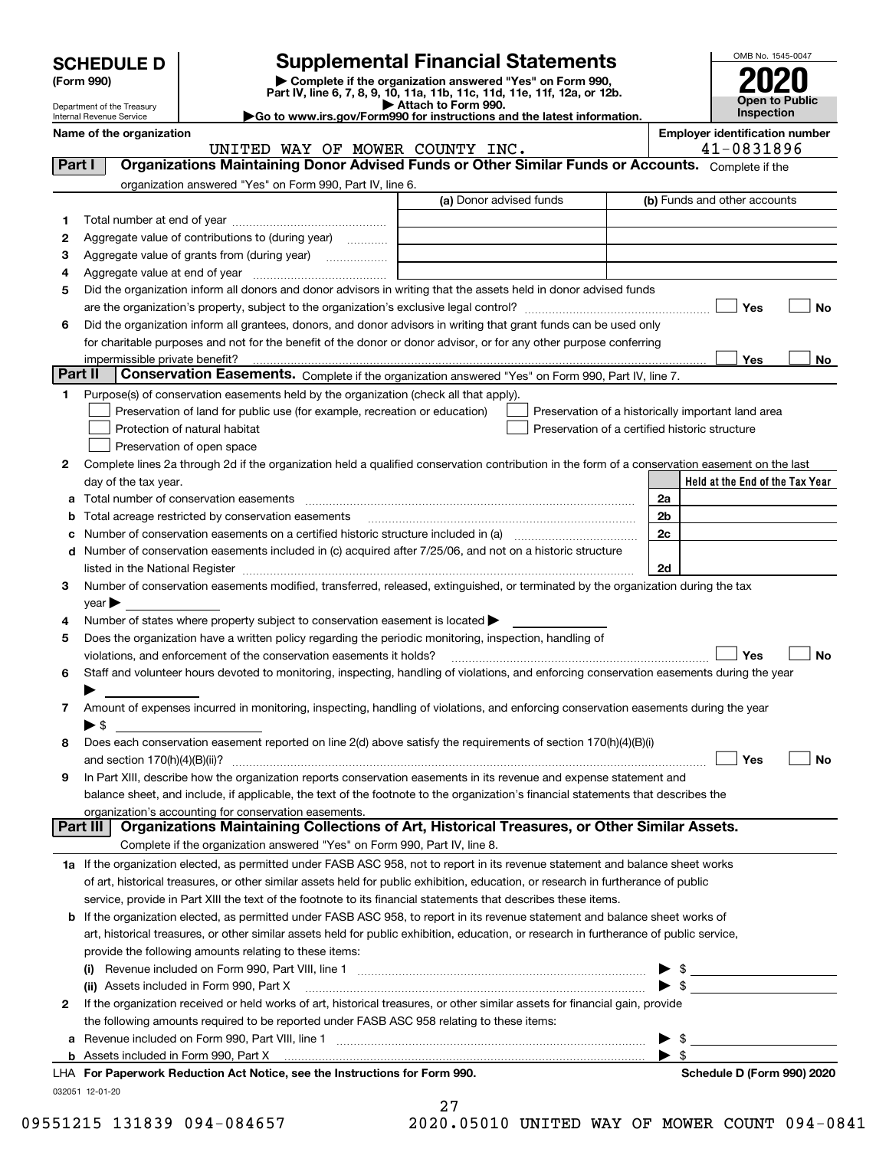| <b>SCHEDULE D</b> |  |
|-------------------|--|
|-------------------|--|

| (Form 990) |  |
|------------|--|
|------------|--|

# **SCHEDULE D Supplemental Financial Statements**

(Form 990)<br>
Pepartment of the Treasury<br>
Department of the Treasury<br>
Department of the Treasury<br>
Department of the Treasury<br> **Co to www.irs.gov/Form990 for instructions and the latest information.**<br> **Co to www.irs.gov/Form9** 



Department of the Treasury Internal Revenue Service

| $\blacktriangleright$ Allach to Form 330.                        |  |
|------------------------------------------------------------------|--|
| Go to www.irs.gov/Form990 for instructions and the latest inform |  |
|                                                                  |  |

**Name of the organization Employer identification number**

|         | UNITED WAY OF MOWER COUNTY INC.                                                                                                                | 41-0831896                                         |
|---------|------------------------------------------------------------------------------------------------------------------------------------------------|----------------------------------------------------|
| Part I  | Organizations Maintaining Donor Advised Funds or Other Similar Funds or Accounts. Complete if the                                              |                                                    |
|         | organization answered "Yes" on Form 990, Part IV, line 6.                                                                                      |                                                    |
|         | (a) Donor advised funds                                                                                                                        | (b) Funds and other accounts                       |
| 1       |                                                                                                                                                |                                                    |
| 2       | Aggregate value of contributions to (during year)                                                                                              |                                                    |
| 3       | Aggregate value of grants from (during year)                                                                                                   |                                                    |
| 4       |                                                                                                                                                |                                                    |
| 5       | Did the organization inform all donors and donor advisors in writing that the assets held in donor advised funds                               |                                                    |
|         |                                                                                                                                                | Yes<br>No                                          |
| 6       | Did the organization inform all grantees, donors, and donor advisors in writing that grant funds can be used only                              |                                                    |
|         | for charitable purposes and not for the benefit of the donor or donor advisor, or for any other purpose conferring                             |                                                    |
|         | impermissible private benefit?                                                                                                                 | Yes<br>No                                          |
| Part II | Conservation Easements. Complete if the organization answered "Yes" on Form 990, Part IV, line 7.                                              |                                                    |
| 1.      | Purpose(s) of conservation easements held by the organization (check all that apply).                                                          |                                                    |
|         | Preservation of land for public use (for example, recreation or education)                                                                     | Preservation of a historically important land area |
|         | Protection of natural habitat                                                                                                                  | Preservation of a certified historic structure     |
|         | Preservation of open space                                                                                                                     |                                                    |
| 2       | Complete lines 2a through 2d if the organization held a qualified conservation contribution in the form of a conservation easement on the last |                                                    |
|         | day of the tax year.                                                                                                                           | Held at the End of the Tax Year                    |
|         |                                                                                                                                                | 2a                                                 |
|         | Total acreage restricted by conservation easements                                                                                             | 2 <sub>b</sub>                                     |
|         |                                                                                                                                                | 2c                                                 |
| d       | Number of conservation easements included in (c) acquired after 7/25/06, and not on a historic structure                                       |                                                    |
|         |                                                                                                                                                | 2d                                                 |
| 3       | Number of conservation easements modified, transferred, released, extinguished, or terminated by the organization during the tax               |                                                    |
|         | year                                                                                                                                           |                                                    |
| 4       | Number of states where property subject to conservation easement is located >                                                                  |                                                    |
| 5       | Does the organization have a written policy regarding the periodic monitoring, inspection, handling of                                         |                                                    |
|         | violations, and enforcement of the conservation easements it holds?                                                                            | Yes<br>No                                          |
| 6       | Staff and volunteer hours devoted to monitoring, inspecting, handling of violations, and enforcing conservation easements during the year      |                                                    |
|         |                                                                                                                                                |                                                    |
| 7       | Amount of expenses incurred in monitoring, inspecting, handling of violations, and enforcing conservation easements during the year            |                                                    |
|         | $\blacktriangleright$ s                                                                                                                        |                                                    |
| 8       | Does each conservation easement reported on line 2(d) above satisfy the requirements of section 170(h)(4)(B)(i)                                |                                                    |
|         | and section 170(h)(4)(B)(ii)?                                                                                                                  | Yes<br>No                                          |
| 9       | In Part XIII, describe how the organization reports conservation easements in its revenue and expense statement and                            |                                                    |
|         | balance sheet, and include, if applicable, the text of the footnote to the organization's financial statements that describes the              |                                                    |
|         | organization's accounting for conservation easements.                                                                                          |                                                    |
|         | Organizations Maintaining Collections of Art, Historical Treasures, or Other Similar Assets.<br>Part III                                       |                                                    |
|         | Complete if the organization answered "Yes" on Form 990, Part IV, line 8.                                                                      |                                                    |
|         | 1a If the organization elected, as permitted under FASB ASC 958, not to report in its revenue statement and balance sheet works                |                                                    |
|         | of art, historical treasures, or other similar assets held for public exhibition, education, or research in furtherance of public              |                                                    |
|         | service, provide in Part XIII the text of the footnote to its financial statements that describes these items.                                 |                                                    |
|         | <b>b</b> If the organization elected, as permitted under FASB ASC 958, to report in its revenue statement and balance sheet works of           |                                                    |
|         | art, historical treasures, or other similar assets held for public exhibition, education, or research in furtherance of public service,        |                                                    |
|         | provide the following amounts relating to these items:                                                                                         |                                                    |
|         |                                                                                                                                                |                                                    |
|         | (ii) Assets included in Form 990, Part X                                                                                                       | \$                                                 |
| 2       | If the organization received or held works of art, historical treasures, or other similar assets for financial gain, provide                   |                                                    |
|         | the following amounts required to be reported under FASB ASC 958 relating to these items:                                                      |                                                    |
| а       |                                                                                                                                                |                                                    |
| b       | Assets included in Form 990, Part X                                                                                                            | $\blacktriangleright$ s                            |
|         | LHA For Paperwork Reduction Act Notice, see the Instructions for Form 990.                                                                     | Schedule D (Form 990) 2020                         |

032051 12-01-20

|   | 27 |   |   |               |  |
|---|----|---|---|---------------|--|
| . |    | ~ | - | $\sim$ $\sim$ |  |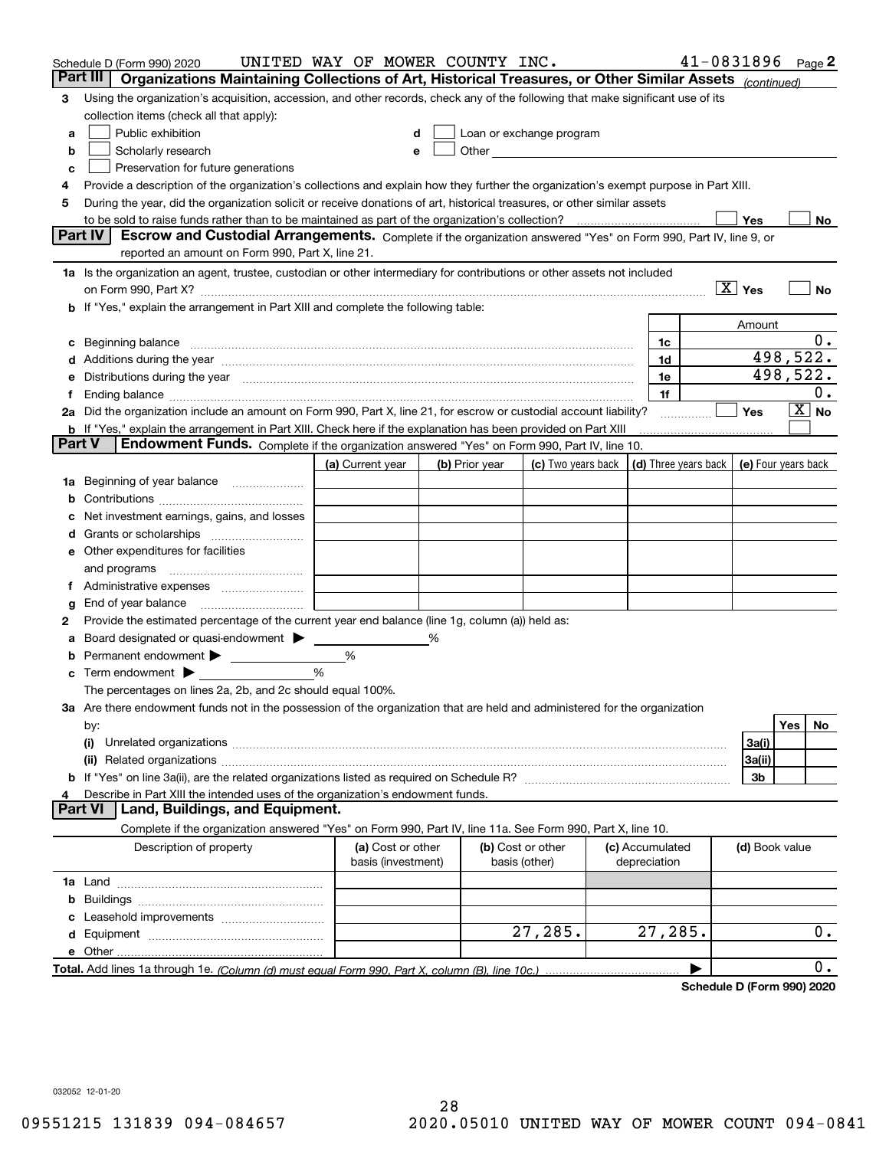|        | Schedule D (Form 990) 2020                                                                                                                                                                                                                                                                                                                      | UNITED WAY OF MOWER COUNTY INC.         |   |                |                                                                                                                                                                                                                               |                                 | $41 - 0831896$ Page 2 |                        |          |                   |
|--------|-------------------------------------------------------------------------------------------------------------------------------------------------------------------------------------------------------------------------------------------------------------------------------------------------------------------------------------------------|-----------------------------------------|---|----------------|-------------------------------------------------------------------------------------------------------------------------------------------------------------------------------------------------------------------------------|---------------------------------|-----------------------|------------------------|----------|-------------------|
|        | Part III<br>Organizations Maintaining Collections of Art, Historical Treasures, or Other Similar Assets (continued)                                                                                                                                                                                                                             |                                         |   |                |                                                                                                                                                                                                                               |                                 |                       |                        |          |                   |
| 3      | Using the organization's acquisition, accession, and other records, check any of the following that make significant use of its                                                                                                                                                                                                                 |                                         |   |                |                                                                                                                                                                                                                               |                                 |                       |                        |          |                   |
|        | collection items (check all that apply):                                                                                                                                                                                                                                                                                                        |                                         |   |                |                                                                                                                                                                                                                               |                                 |                       |                        |          |                   |
| a      | Public exhibition                                                                                                                                                                                                                                                                                                                               |                                         |   |                | Loan or exchange program                                                                                                                                                                                                      |                                 |                       |                        |          |                   |
| b      | Scholarly research                                                                                                                                                                                                                                                                                                                              |                                         |   |                | Other and the contract of the contract of the contract of the contract of the contract of the contract of the contract of the contract of the contract of the contract of the contract of the contract of the contract of the |                                 |                       |                        |          |                   |
| с      | Preservation for future generations                                                                                                                                                                                                                                                                                                             |                                         |   |                |                                                                                                                                                                                                                               |                                 |                       |                        |          |                   |
| 4      | Provide a description of the organization's collections and explain how they further the organization's exempt purpose in Part XIII.                                                                                                                                                                                                            |                                         |   |                |                                                                                                                                                                                                                               |                                 |                       |                        |          |                   |
| 5      | During the year, did the organization solicit or receive donations of art, historical treasures, or other similar assets                                                                                                                                                                                                                        |                                         |   |                |                                                                                                                                                                                                                               |                                 |                       |                        |          |                   |
|        | to be sold to raise funds rather than to be maintained as part of the organization's collection?                                                                                                                                                                                                                                                |                                         |   |                |                                                                                                                                                                                                                               |                                 |                       | Yes                    |          | No                |
|        | <b>Part IV</b><br>Escrow and Custodial Arrangements. Complete if the organization answered "Yes" on Form 990, Part IV, line 9, or<br>reported an amount on Form 990, Part X, line 21.                                                                                                                                                           |                                         |   |                |                                                                                                                                                                                                                               |                                 |                       |                        |          |                   |
|        |                                                                                                                                                                                                                                                                                                                                                 |                                         |   |                |                                                                                                                                                                                                                               |                                 |                       |                        |          |                   |
|        | 1a Is the organization an agent, trustee, custodian or other intermediary for contributions or other assets not included                                                                                                                                                                                                                        |                                         |   |                |                                                                                                                                                                                                                               |                                 |                       |                        |          |                   |
|        |                                                                                                                                                                                                                                                                                                                                                 |                                         |   |                |                                                                                                                                                                                                                               |                                 |                       | $\boxed{\text{X}}$ Yes |          | <b>No</b>         |
|        | <b>b</b> If "Yes," explain the arrangement in Part XIII and complete the following table:                                                                                                                                                                                                                                                       |                                         |   |                |                                                                                                                                                                                                                               |                                 |                       |                        |          |                   |
|        |                                                                                                                                                                                                                                                                                                                                                 |                                         |   |                |                                                                                                                                                                                                                               |                                 |                       | Amount                 |          | $0$ .             |
| c      | Beginning balance <u>manual membershare communication</u> and the set of the set of the set of the set of the set of the set of the set of the set of the set of the set of the set of the set of the set of the set of the set of                                                                                                              |                                         |   |                |                                                                                                                                                                                                                               | 1c<br>1d                        |                       |                        | 498,522. |                   |
|        | d Additions during the year manufactured and an account of a state of the year manufactured and a state of the<br>e Distributions during the year manufactured and continuum control of the control of the control of the state of the control of the control of the control of the control of the control of the control of the control of the |                                         |   |                |                                                                                                                                                                                                                               | 1e                              |                       |                        | 498,522. |                   |
|        |                                                                                                                                                                                                                                                                                                                                                 |                                         |   |                |                                                                                                                                                                                                                               | 1f                              |                       |                        |          | 0.                |
|        | 2a Did the organization include an amount on Form 990, Part X, line 21, for escrow or custodial account liability?                                                                                                                                                                                                                              |                                         |   |                |                                                                                                                                                                                                                               |                                 | .                     | Yes                    |          | $\overline{X}$ No |
|        | <b>b</b> If "Yes," explain the arrangement in Part XIII. Check here if the explanation has been provided on Part XIII                                                                                                                                                                                                                           |                                         |   |                |                                                                                                                                                                                                                               |                                 |                       |                        |          |                   |
| Part V | Endowment Funds. Complete if the organization answered "Yes" on Form 990, Part IV, line 10.                                                                                                                                                                                                                                                     |                                         |   |                |                                                                                                                                                                                                                               |                                 |                       |                        |          |                   |
|        |                                                                                                                                                                                                                                                                                                                                                 | (a) Current year                        |   | (b) Prior year | (c) Two years back $\vert$ (d) Three years back $\vert$                                                                                                                                                                       |                                 |                       | (e) Four years back    |          |                   |
|        | 1a Beginning of year balance                                                                                                                                                                                                                                                                                                                    |                                         |   |                |                                                                                                                                                                                                                               |                                 |                       |                        |          |                   |
| b      |                                                                                                                                                                                                                                                                                                                                                 |                                         |   |                |                                                                                                                                                                                                                               |                                 |                       |                        |          |                   |
|        | Net investment earnings, gains, and losses                                                                                                                                                                                                                                                                                                      |                                         |   |                |                                                                                                                                                                                                                               |                                 |                       |                        |          |                   |
|        |                                                                                                                                                                                                                                                                                                                                                 |                                         |   |                |                                                                                                                                                                                                                               |                                 |                       |                        |          |                   |
|        | e Other expenditures for facilities                                                                                                                                                                                                                                                                                                             |                                         |   |                |                                                                                                                                                                                                                               |                                 |                       |                        |          |                   |
|        |                                                                                                                                                                                                                                                                                                                                                 |                                         |   |                |                                                                                                                                                                                                                               |                                 |                       |                        |          |                   |
|        | f Administrative expenses                                                                                                                                                                                                                                                                                                                       |                                         |   |                |                                                                                                                                                                                                                               |                                 |                       |                        |          |                   |
| g      | End of year balance <i>manually contained</i>                                                                                                                                                                                                                                                                                                   |                                         |   |                |                                                                                                                                                                                                                               |                                 |                       |                        |          |                   |
| 2      | Provide the estimated percentage of the current year end balance (line 1g, column (a)) held as:                                                                                                                                                                                                                                                 |                                         |   |                |                                                                                                                                                                                                                               |                                 |                       |                        |          |                   |
| а      | Board designated or quasi-endowment >                                                                                                                                                                                                                                                                                                           |                                         | % |                |                                                                                                                                                                                                                               |                                 |                       |                        |          |                   |
| b      | Permanent endowment >                                                                                                                                                                                                                                                                                                                           | %                                       |   |                |                                                                                                                                                                                                                               |                                 |                       |                        |          |                   |
|        | $\mathbf c$ Term endowment $\blacktriangleright$                                                                                                                                                                                                                                                                                                | %                                       |   |                |                                                                                                                                                                                                                               |                                 |                       |                        |          |                   |
|        | The percentages on lines 2a, 2b, and 2c should equal 100%.                                                                                                                                                                                                                                                                                      |                                         |   |                |                                                                                                                                                                                                                               |                                 |                       |                        |          |                   |
|        | 3a Are there endowment funds not in the possession of the organization that are held and administered for the organization                                                                                                                                                                                                                      |                                         |   |                |                                                                                                                                                                                                                               |                                 |                       |                        |          |                   |
|        | by:                                                                                                                                                                                                                                                                                                                                             |                                         |   |                |                                                                                                                                                                                                                               |                                 |                       |                        | Yes      | No.               |
|        | (i)                                                                                                                                                                                                                                                                                                                                             |                                         |   |                |                                                                                                                                                                                                                               |                                 |                       | 3a(i)                  |          |                   |
|        |                                                                                                                                                                                                                                                                                                                                                 |                                         |   |                |                                                                                                                                                                                                                               |                                 |                       | 3a(ii)                 |          |                   |
|        |                                                                                                                                                                                                                                                                                                                                                 |                                         |   |                |                                                                                                                                                                                                                               |                                 |                       | 3b                     |          |                   |
|        | Describe in Part XIII the intended uses of the organization's endowment funds.<br>Land, Buildings, and Equipment.<br>Part VI                                                                                                                                                                                                                    |                                         |   |                |                                                                                                                                                                                                                               |                                 |                       |                        |          |                   |
|        |                                                                                                                                                                                                                                                                                                                                                 |                                         |   |                |                                                                                                                                                                                                                               |                                 |                       |                        |          |                   |
|        | Complete if the organization answered "Yes" on Form 990, Part IV, line 11a. See Form 990, Part X, line 10.                                                                                                                                                                                                                                      |                                         |   |                |                                                                                                                                                                                                                               |                                 |                       |                        |          |                   |
|        | Description of property                                                                                                                                                                                                                                                                                                                         | (a) Cost or other<br>basis (investment) |   |                | (b) Cost or other<br>basis (other)                                                                                                                                                                                            | (c) Accumulated<br>depreciation |                       | (d) Book value         |          |                   |
|        |                                                                                                                                                                                                                                                                                                                                                 |                                         |   |                |                                                                                                                                                                                                                               |                                 |                       |                        |          |                   |
| b      |                                                                                                                                                                                                                                                                                                                                                 |                                         |   |                |                                                                                                                                                                                                                               |                                 |                       |                        |          |                   |
|        |                                                                                                                                                                                                                                                                                                                                                 |                                         |   |                |                                                                                                                                                                                                                               |                                 |                       |                        |          |                   |
|        |                                                                                                                                                                                                                                                                                                                                                 |                                         |   |                | 27,285.                                                                                                                                                                                                                       | 27,285.                         |                       |                        |          | $0$ .             |
|        |                                                                                                                                                                                                                                                                                                                                                 |                                         |   |                |                                                                                                                                                                                                                               |                                 |                       |                        |          |                   |
|        |                                                                                                                                                                                                                                                                                                                                                 |                                         |   |                |                                                                                                                                                                                                                               |                                 |                       |                        |          | $0$ .             |

**Schedule D (Form 990) 2020**

032052 12-01-20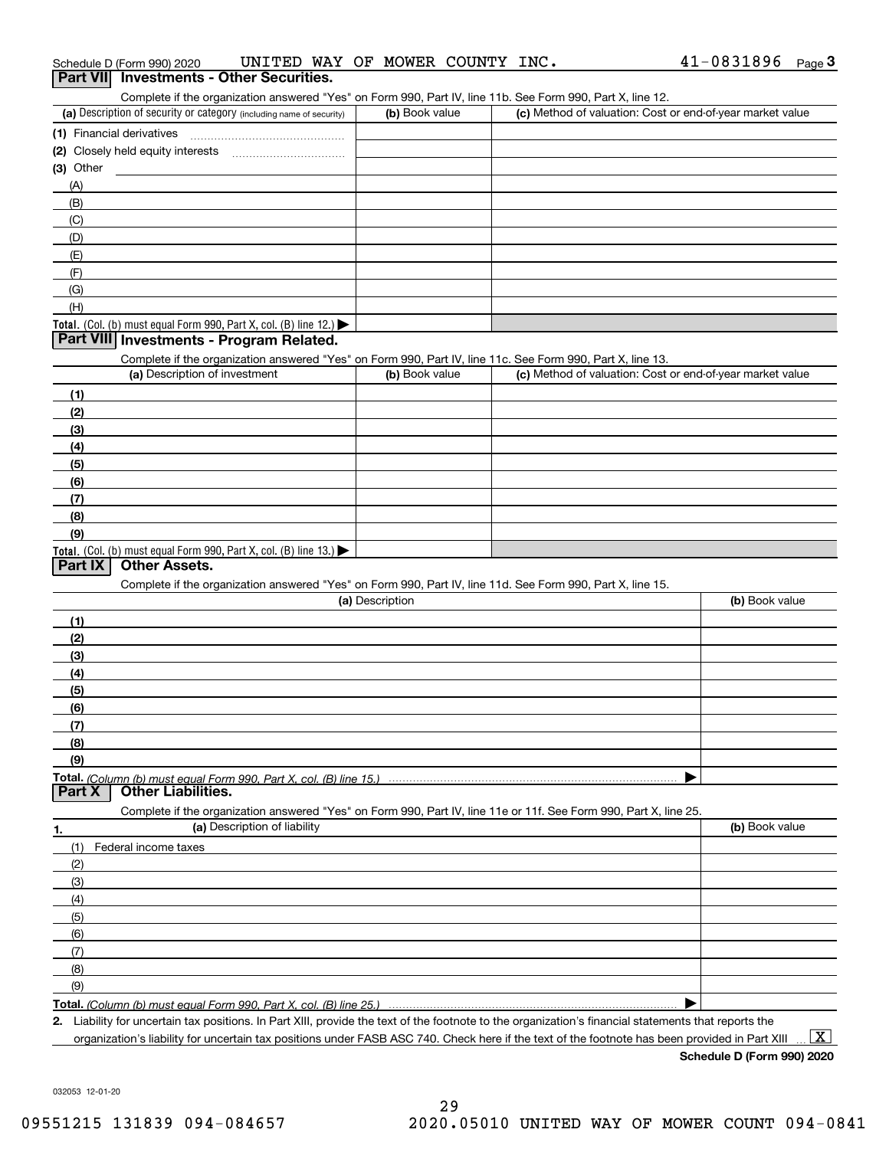| (a) Description of security or category (including name of security)                                                                          | (b) Book value  | (c) Method of valuation: Cost or end-of-year market value |                |
|-----------------------------------------------------------------------------------------------------------------------------------------------|-----------------|-----------------------------------------------------------|----------------|
| (1) Financial derivatives                                                                                                                     |                 |                                                           |                |
| (2) Closely held equity interests [11] [12] Closely held equity interests                                                                     |                 |                                                           |                |
| $(3)$ Other                                                                                                                                   |                 |                                                           |                |
| (A)                                                                                                                                           |                 |                                                           |                |
| (B)                                                                                                                                           |                 |                                                           |                |
| (C)                                                                                                                                           |                 |                                                           |                |
| (D)                                                                                                                                           |                 |                                                           |                |
| (E)                                                                                                                                           |                 |                                                           |                |
| (F)                                                                                                                                           |                 |                                                           |                |
| (G)                                                                                                                                           |                 |                                                           |                |
| (H)                                                                                                                                           |                 |                                                           |                |
|                                                                                                                                               |                 |                                                           |                |
| Total. (Col. (b) must equal Form 990, Part X, col. (B) line 12.)<br>Part VIII Investments - Program Related.                                  |                 |                                                           |                |
|                                                                                                                                               |                 |                                                           |                |
| Complete if the organization answered "Yes" on Form 990, Part IV, line 11c. See Form 990, Part X, line 13.                                    |                 |                                                           |                |
| (a) Description of investment                                                                                                                 | (b) Book value  | (c) Method of valuation: Cost or end-of-year market value |                |
| (1)                                                                                                                                           |                 |                                                           |                |
| (2)                                                                                                                                           |                 |                                                           |                |
| (3)                                                                                                                                           |                 |                                                           |                |
| (4)                                                                                                                                           |                 |                                                           |                |
| (5)                                                                                                                                           |                 |                                                           |                |
| (6)                                                                                                                                           |                 |                                                           |                |
| (7)                                                                                                                                           |                 |                                                           |                |
| (8)                                                                                                                                           |                 |                                                           |                |
| (9)                                                                                                                                           |                 |                                                           |                |
| Part IX<br><b>Other Assets.</b><br>Complete if the organization answered "Yes" on Form 990, Part IV, line 11d. See Form 990, Part X, line 15. |                 |                                                           |                |
|                                                                                                                                               | (a) Description |                                                           | (b) Book value |
| (1)                                                                                                                                           |                 |                                                           |                |
| (2)                                                                                                                                           |                 |                                                           |                |
| (3)                                                                                                                                           |                 |                                                           |                |
| (4)                                                                                                                                           |                 |                                                           |                |
| (5)                                                                                                                                           |                 |                                                           |                |
| (6)                                                                                                                                           |                 |                                                           |                |
| (7)                                                                                                                                           |                 |                                                           |                |
| (8)                                                                                                                                           |                 |                                                           |                |
|                                                                                                                                               |                 |                                                           |                |
| (9)                                                                                                                                           |                 |                                                           |                |
| <b>Other Liabilities.</b>                                                                                                                     |                 |                                                           |                |
| Complete if the organization answered "Yes" on Form 990, Part IV, line 11e or 11f. See Form 990, Part X, line 25.                             |                 |                                                           |                |
| (a) Description of liability                                                                                                                  |                 |                                                           | (b) Book value |
| (1)<br>Federal income taxes                                                                                                                   |                 |                                                           |                |
| (2)                                                                                                                                           |                 |                                                           |                |
| (3)                                                                                                                                           |                 |                                                           |                |
| (4)                                                                                                                                           |                 |                                                           |                |
| Part X<br>1.<br>(5)                                                                                                                           |                 |                                                           |                |
| (6)                                                                                                                                           |                 |                                                           |                |
| (7)                                                                                                                                           |                 |                                                           |                |
| (8)                                                                                                                                           |                 |                                                           |                |
| (9)                                                                                                                                           |                 |                                                           |                |

|  | Fart VIIII Investments - Program Related. |  |
|--|-------------------------------------------|--|
|--|-------------------------------------------|--|

# Schedule D (Form 990) 2020 UNITED WAY OF MOWER COUNTY INC**.** 41-0 8 3 1 8 9 6 <sub>Page</sub> 3<br>| **Part VII** | Investments - Other Securities.

Complete if the organization answered "Yes" on Form 990, Part IV, line 11b. See Form 990, Part X, line 12.

**Schedule D (Form 990) 2020**

032053 12-01-20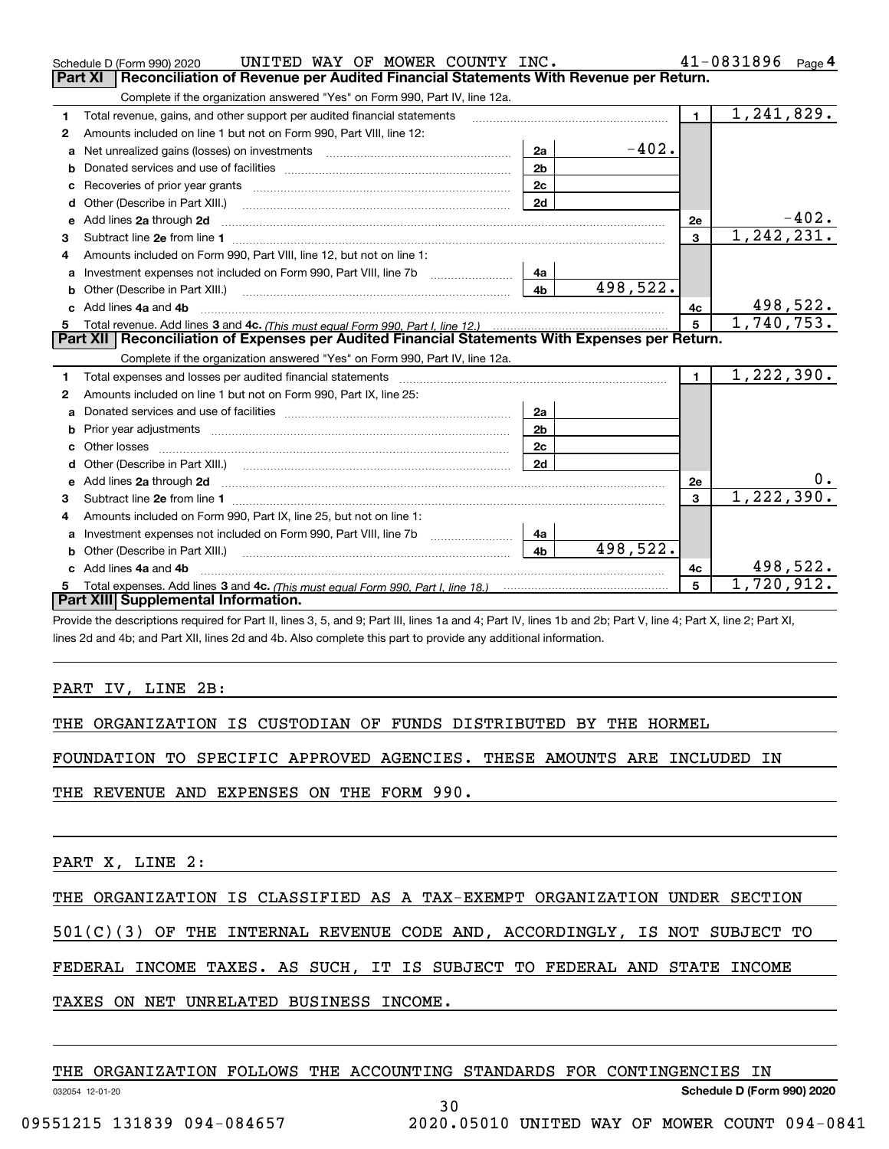|    | UNITED WAY OF MOWER COUNTY INC.<br>Schedule D (Form 990) 2020                                                                                                                                                                       |                |          |                | 41-0831896<br>Page 4 |
|----|-------------------------------------------------------------------------------------------------------------------------------------------------------------------------------------------------------------------------------------|----------------|----------|----------------|----------------------|
|    | Reconciliation of Revenue per Audited Financial Statements With Revenue per Return.<br>Part XI                                                                                                                                      |                |          |                |                      |
|    | Complete if the organization answered "Yes" on Form 990, Part IV, line 12a.                                                                                                                                                         |                |          |                |                      |
| 1  | Total revenue, gains, and other support per audited financial statements                                                                                                                                                            |                |          | $\blacksquare$ | 1,241,829.           |
| 2  | Amounts included on line 1 but not on Form 990, Part VIII, line 12:                                                                                                                                                                 |                |          |                |                      |
| a  | Net unrealized gains (losses) on investments [11] matter contracts and the unrealized gains (losses) on investments                                                                                                                 | 2a             | $-402.$  |                |                      |
| b  |                                                                                                                                                                                                                                     | 2 <sub>b</sub> |          |                |                      |
|    |                                                                                                                                                                                                                                     | 2c             |          |                |                      |
| d  | Other (Describe in Part XIII.) <b>Construction Construction</b> Chern Construction Chern Chern Chern Chern Chern Chern                                                                                                              | 2d             |          |                |                      |
| е  | Add lines 2a through 2d                                                                                                                                                                                                             |                |          | <b>2e</b>      | $-402$ .             |
| 3  |                                                                                                                                                                                                                                     |                |          | $\mathbf{3}$   | 1, 242, 231.         |
| 4  | Amounts included on Form 990, Part VIII, line 12, but not on line 1:                                                                                                                                                                |                |          |                |                      |
|    |                                                                                                                                                                                                                                     | 4а             |          |                |                      |
| b  |                                                                                                                                                                                                                                     | 4 <sub>b</sub> | 498,522. |                |                      |
| c. | Add lines 4a and 4b                                                                                                                                                                                                                 |                |          | 4с             | 498,522.             |
|    |                                                                                                                                                                                                                                     |                |          | 5              |                      |
|    |                                                                                                                                                                                                                                     |                |          |                | 1,740,753.           |
|    | Part XII   Reconciliation of Expenses per Audited Financial Statements With Expenses per Return.                                                                                                                                    |                |          |                |                      |
|    | Complete if the organization answered "Yes" on Form 990, Part IV, line 12a.                                                                                                                                                         |                |          |                |                      |
| 1  |                                                                                                                                                                                                                                     |                |          | $\mathbf{1}$   | 1,222,390.           |
| 2  | Amounts included on line 1 but not on Form 990, Part IX, line 25:                                                                                                                                                                   |                |          |                |                      |
| a  |                                                                                                                                                                                                                                     | 2a             |          |                |                      |
| b  |                                                                                                                                                                                                                                     | 2 <sub>b</sub> |          |                |                      |
| c. |                                                                                                                                                                                                                                     | 2c             |          |                |                      |
| d  | Other (Describe in Part XIII.) <b>Construction Construction</b> Chern Construction Chern Chern Chern Chern Chern Chern                                                                                                              | 2d             |          |                |                      |
| е  | Add lines 2a through 2d <b>contained a contained a contained a contained a</b> contained a contained a contained a contained a contained a contained a contained a contained a contained a contained a contained a contained a cont |                |          | 2e             | 0.                   |
| 3  |                                                                                                                                                                                                                                     |                |          | 3              | 1,222,390.           |
| 4  | Amounts included on Form 990, Part IX, line 25, but not on line 1:                                                                                                                                                                  |                |          |                |                      |
| a  |                                                                                                                                                                                                                                     | 4a             |          |                |                      |
| b  | Other (Describe in Part XIII.)                                                                                                                                                                                                      | 4 <sub>b</sub> | 498,522. |                |                      |
| c. | Add lines 4a and 4b                                                                                                                                                                                                                 |                |          | 4c             | 498,522.             |
|    | Part XIII Supplemental Information.                                                                                                                                                                                                 |                |          | 5              | 1,720,912.           |

Provide the descriptions required for Part II, lines 3, 5, and 9; Part III, lines 1a and 4; Part IV, lines 1b and 2b; Part V, line 4; Part X, line 2; Part XI, lines 2d and 4b; and Part XII, lines 2d and 4b. Also complete this part to provide any additional information.

### PART IV, LINE 2B:

THE ORGANIZATION IS CUSTODIAN OF FUNDS DISTRIBUTED BY THE HORMEL

FOUNDATION TO SPECIFIC APPROVED AGENCIES. THESE AMOUNTS ARE INCLUDED IN

THE REVENUE AND EXPENSES ON THE FORM 990.

PART X, LINE 2:

THE ORGANIZATION IS CLASSIFIED AS A TAX-EXEMPT ORGANIZATION UNDER SECTION

501(C)(3) OF THE INTERNAL REVENUE CODE AND, ACCORDINGLY, IS NOT SUBJECT TO

FEDERAL INCOME TAXES. AS SUCH, IT IS SUBJECT TO FEDERAL AND STATE INCOME

### TAXES ON NET UNRELATED BUSINESS INCOME.

|  |  |  |  |  |  |  | THE ORGANIZATION FOLLOWS THE ACCOUNTING STANDARDS FOR CONTINGENCIES IN |  |
|--|--|--|--|--|--|--|------------------------------------------------------------------------|--|
|--|--|--|--|--|--|--|------------------------------------------------------------------------|--|

30

032054 12-01-20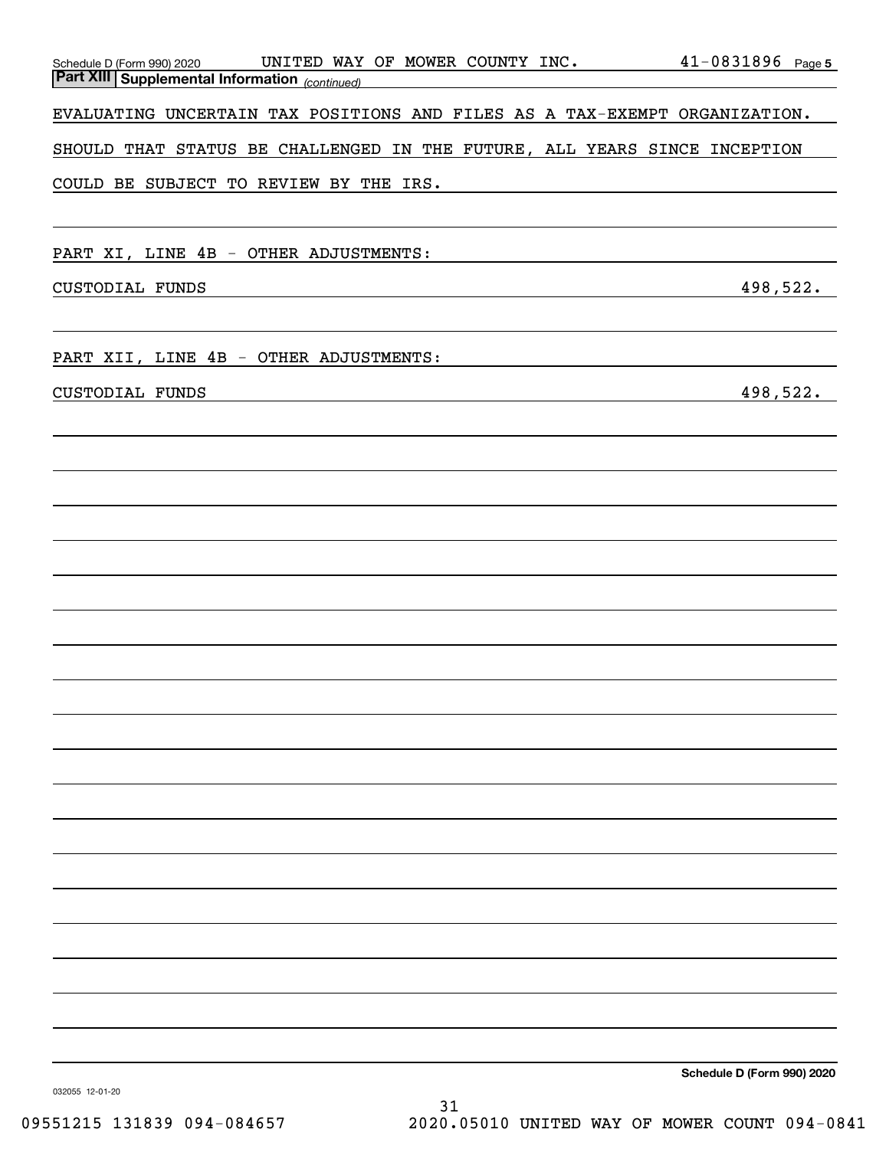| UNITED WAY OF MOWER COUNTY INC. $41-0831896$ Page 5<br>Schedule D (Form 990) 2020<br><b>Part XIII Supplemental Information</b> (continued)                                                                                                              |                                                                                                                                                                                                                               |
|---------------------------------------------------------------------------------------------------------------------------------------------------------------------------------------------------------------------------------------------------------|-------------------------------------------------------------------------------------------------------------------------------------------------------------------------------------------------------------------------------|
| EVALUATING UNCERTAIN TAX POSITIONS AND FILES AS A TAX-EXEMPT ORGANIZATION.                                                                                                                                                                              |                                                                                                                                                                                                                               |
| SHOULD THAT STATUS BE CHALLENGED IN THE FUTURE, ALL YEARS SINCE INCEPTION                                                                                                                                                                               |                                                                                                                                                                                                                               |
| COULD BE SUBJECT TO REVIEW BY THE IRS.                                                                                                                                                                                                                  | the control of the control of the control of the control of the control of the control of the control of the control of the control of the control of the control of the control of the control of the control of the control |
|                                                                                                                                                                                                                                                         |                                                                                                                                                                                                                               |
| PART XI, LINE 4B - OTHER ADJUSTMENTS:                                                                                                                                                                                                                   |                                                                                                                                                                                                                               |
| CUSTODIAL FUNDS<br>the control of the control of the control of the control of the control of the control of the control of the control of the control of the control of the control of the control of the control of the control of the control        | 498,522.                                                                                                                                                                                                                      |
|                                                                                                                                                                                                                                                         |                                                                                                                                                                                                                               |
| PART XII, LINE 4B - OTHER ADJUSTMENTS:                                                                                                                                                                                                                  |                                                                                                                                                                                                                               |
| <b>CUSTODIAL FUNDS</b><br>the control of the control of the control of the control of the control of the control of the control of the control of the control of the control of the control of the control of the control of the control of the control | 498,522.                                                                                                                                                                                                                      |
|                                                                                                                                                                                                                                                         |                                                                                                                                                                                                                               |
|                                                                                                                                                                                                                                                         |                                                                                                                                                                                                                               |
|                                                                                                                                                                                                                                                         |                                                                                                                                                                                                                               |
|                                                                                                                                                                                                                                                         |                                                                                                                                                                                                                               |
|                                                                                                                                                                                                                                                         |                                                                                                                                                                                                                               |
|                                                                                                                                                                                                                                                         |                                                                                                                                                                                                                               |
|                                                                                                                                                                                                                                                         |                                                                                                                                                                                                                               |
|                                                                                                                                                                                                                                                         |                                                                                                                                                                                                                               |
|                                                                                                                                                                                                                                                         |                                                                                                                                                                                                                               |
|                                                                                                                                                                                                                                                         |                                                                                                                                                                                                                               |
|                                                                                                                                                                                                                                                         |                                                                                                                                                                                                                               |
|                                                                                                                                                                                                                                                         |                                                                                                                                                                                                                               |
|                                                                                                                                                                                                                                                         |                                                                                                                                                                                                                               |
|                                                                                                                                                                                                                                                         |                                                                                                                                                                                                                               |
|                                                                                                                                                                                                                                                         |                                                                                                                                                                                                                               |
|                                                                                                                                                                                                                                                         |                                                                                                                                                                                                                               |
|                                                                                                                                                                                                                                                         |                                                                                                                                                                                                                               |
|                                                                                                                                                                                                                                                         |                                                                                                                                                                                                                               |
| 032055 12-01-20                                                                                                                                                                                                                                         | Schedule D (Form 990) 2020                                                                                                                                                                                                    |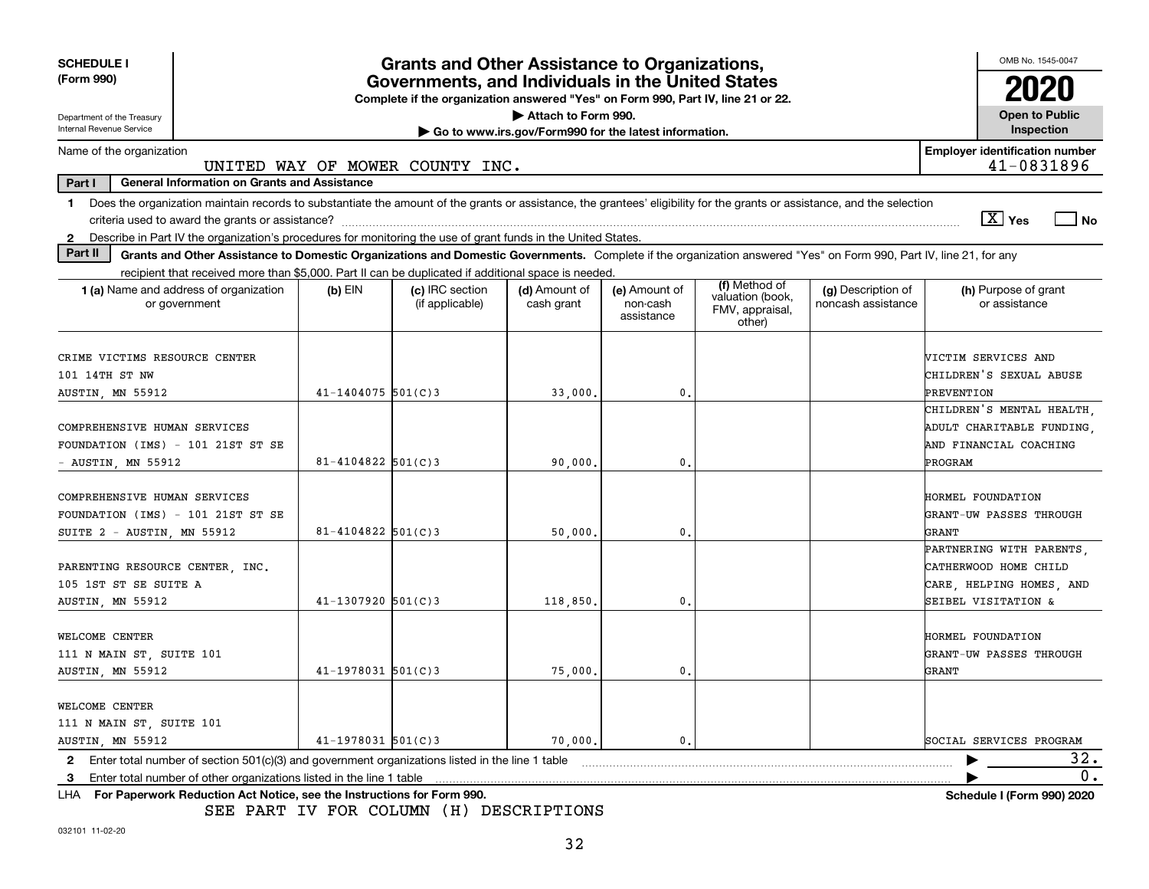| <b>SCHEDULE I</b>                 |                                                                                                                                                                          |                        | <b>Grants and Other Assistance to Organizations,</b> |                                                       |                                         |                                                                |                                          | OMB No. 1545-0047                                   |  |
|-----------------------------------|--------------------------------------------------------------------------------------------------------------------------------------------------------------------------|------------------------|------------------------------------------------------|-------------------------------------------------------|-----------------------------------------|----------------------------------------------------------------|------------------------------------------|-----------------------------------------------------|--|
| (Form 990)                        | Governments, and Individuals in the United States<br>Complete if the organization answered "Yes" on Form 990, Part IV, line 21 or 22.                                    |                        |                                                      |                                                       |                                         |                                                                |                                          |                                                     |  |
| Department of the Treasury        |                                                                                                                                                                          |                        |                                                      | Attach to Form 990.                                   |                                         |                                                                |                                          | <b>Open to Public</b>                               |  |
| Internal Revenue Service          |                                                                                                                                                                          |                        |                                                      | Go to www.irs.gov/Form990 for the latest information. |                                         |                                                                |                                          | Inspection                                          |  |
| Name of the organization          |                                                                                                                                                                          |                        | UNITED WAY OF MOWER COUNTY INC.                      |                                                       |                                         |                                                                |                                          | <b>Employer identification number</b><br>41-0831896 |  |
| Part I                            | <b>General Information on Grants and Assistance</b>                                                                                                                      |                        |                                                      |                                                       |                                         |                                                                |                                          |                                                     |  |
| 1.                                | Does the organization maintain records to substantiate the amount of the grants or assistance, the grantees' eligibility for the grants or assistance, and the selection |                        |                                                      |                                                       |                                         |                                                                |                                          | $\sqrt{X}$ Yes<br>  No                              |  |
| $\mathbf{2}$                      | Describe in Part IV the organization's procedures for monitoring the use of grant funds in the United States.                                                            |                        |                                                      |                                                       |                                         |                                                                |                                          |                                                     |  |
| Part II                           | Grants and Other Assistance to Domestic Organizations and Domestic Governments. Complete if the organization answered "Yes" on Form 990, Part IV, line 21, for any       |                        |                                                      |                                                       |                                         |                                                                |                                          |                                                     |  |
|                                   | recipient that received more than \$5,000. Part II can be duplicated if additional space is needed                                                                       |                        |                                                      |                                                       |                                         |                                                                |                                          |                                                     |  |
|                                   | 1 (a) Name and address of organization<br>or government                                                                                                                  | (b) EIN                | (c) IRC section<br>(if applicable)                   | (d) Amount of<br>cash grant                           | (e) Amount of<br>non-cash<br>assistance | (f) Method of<br>valuation (book,<br>FMV, appraisal,<br>other) | (g) Description of<br>noncash assistance | (h) Purpose of grant<br>or assistance               |  |
| CRIME VICTIMS RESOURCE CENTER     |                                                                                                                                                                          |                        |                                                      |                                                       |                                         |                                                                |                                          | VICTIM SERVICES AND                                 |  |
| 101 14TH ST NW                    |                                                                                                                                                                          |                        |                                                      |                                                       |                                         |                                                                |                                          | CHILDREN'S SEXUAL ABUSE                             |  |
| AUSTIN, MN 55912                  |                                                                                                                                                                          | $41 - 1404075$ 501(C)3 |                                                      | 33,000                                                | $\mathbf{0}$ .                          |                                                                |                                          | PREVENTION                                          |  |
|                                   |                                                                                                                                                                          |                        |                                                      |                                                       |                                         |                                                                |                                          | CHILDREN'S MENTAL HEALTH                            |  |
| COMPREHENSIVE HUMAN SERVICES      |                                                                                                                                                                          |                        |                                                      |                                                       |                                         |                                                                |                                          | ADULT CHARITABLE FUNDING.                           |  |
| FOUNDATION (IMS) - 101 21ST ST SE |                                                                                                                                                                          |                        |                                                      |                                                       |                                         |                                                                |                                          | AND FINANCIAL COACHING                              |  |
| - AUSTIN, MN 55912                |                                                                                                                                                                          | $81 - 4104822$ 501(C)3 |                                                      | 90,000                                                | 0.                                      |                                                                |                                          | PROGRAM                                             |  |
| COMPREHENSIVE HUMAN SERVICES      |                                                                                                                                                                          |                        |                                                      |                                                       |                                         |                                                                |                                          | HORMEL FOUNDATION                                   |  |
| FOUNDATION (IMS) - 101 21ST ST SE |                                                                                                                                                                          |                        |                                                      |                                                       |                                         |                                                                |                                          | <b>GRANT-UW PASSES THROUGH</b>                      |  |
| SUITE 2 - AUSTIN, MN 55912        |                                                                                                                                                                          | $81 - 4104822$ 501(C)3 |                                                      | 50,000                                                | 0.                                      |                                                                |                                          | <b>GRANT</b>                                        |  |
|                                   |                                                                                                                                                                          |                        |                                                      |                                                       |                                         |                                                                |                                          | PARTNERING WITH PARENTS,                            |  |
| PARENTING RESOURCE CENTER, INC.   |                                                                                                                                                                          |                        |                                                      |                                                       |                                         |                                                                |                                          | CATHERWOOD HOME CHILD                               |  |
| 105 1ST ST SE SUITE A             |                                                                                                                                                                          |                        |                                                      |                                                       |                                         |                                                                |                                          | CARE, HELPING HOMES, AND                            |  |
| AUSTIN, MN 55912                  |                                                                                                                                                                          | 41-1307920 501(C)3     |                                                      | 118,850                                               | 0.                                      |                                                                |                                          | SEIBEL VISITATION &                                 |  |
| WELCOME CENTER                    |                                                                                                                                                                          |                        |                                                      |                                                       |                                         |                                                                |                                          | HORMEL FOUNDATION                                   |  |
| 111 N MAIN ST, SUITE 101          |                                                                                                                                                                          |                        |                                                      |                                                       |                                         |                                                                |                                          | GRANT-UW PASSES THROUGH                             |  |
| AUSTIN, MN 55912                  |                                                                                                                                                                          | $41 - 1978031$ 501(C)3 |                                                      | 75,000                                                | 0.                                      |                                                                |                                          | GRANT                                               |  |
|                                   |                                                                                                                                                                          |                        |                                                      |                                                       |                                         |                                                                |                                          |                                                     |  |
| WELCOME CENTER                    |                                                                                                                                                                          |                        |                                                      |                                                       |                                         |                                                                |                                          |                                                     |  |
| 111 N MAIN ST, SUITE 101          |                                                                                                                                                                          |                        |                                                      |                                                       |                                         |                                                                |                                          |                                                     |  |
| AUSTIN, MN 55912                  |                                                                                                                                                                          | $41 - 1978031$ 501(C)3 |                                                      | 70,000.                                               | 0.                                      |                                                                |                                          | SOCIAL SERVICES PROGRAM                             |  |
|                                   | 2 Enter total number of section 501(c)(3) and government organizations listed in the line 1 table                                                                        |                        |                                                      |                                                       |                                         |                                                                |                                          | 32.                                                 |  |
| 3                                 | Enter total number of other organizations listed in the line 1 table                                                                                                     |                        |                                                      |                                                       |                                         |                                                                |                                          | 0.                                                  |  |
| LHA                               | For Paperwork Reduction Act Notice, see the Instructions for Form 990.                                                                                                   |                        |                                                      |                                                       |                                         |                                                                |                                          | <b>Schedule I (Form 990) 2020</b>                   |  |

SEE PART IV FOR COLUMN (H) DESCRIPTIONS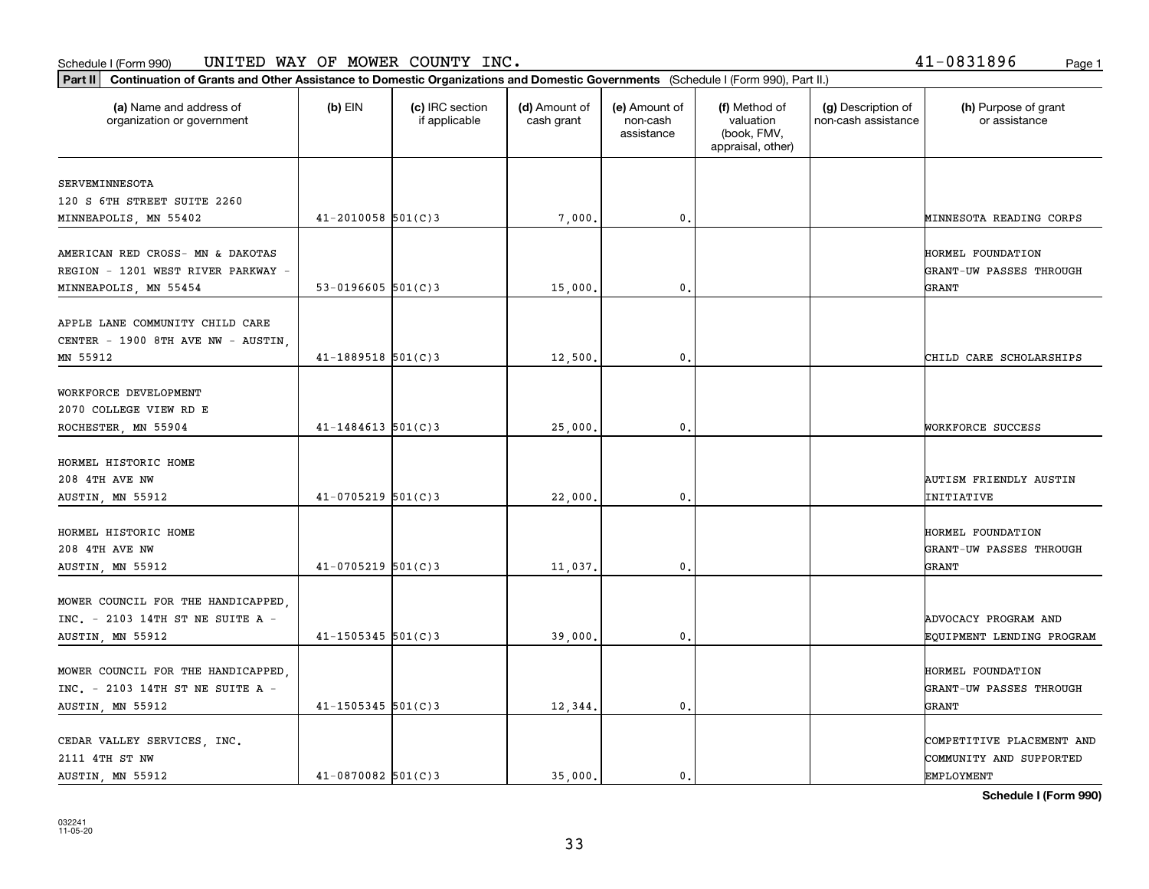### Schedule I (Form 990)  $\tt{UNITED}$   $\tt{WAY}$   $\tt{OF}$   $\tt{MOWER}$   $\tt{COUNTY}$   $\tt{INC}$   $\cdot$   $\tt{V}$   $\cdot$   $\tt{V}$   $\cdot$   $\tt{V}$   $\cdot$   $\tt{V}$   $\cdot$   $\tt{V}$   $\cdot$   $\tt{V}$   $\cdot$   $\tt{V}$   $\cdot$   $\tt{V}$   $\cdot$   $\tt{V}$   $\cdot$   $\tt{V}$   $\cdot$   $\tt{V}$

**Part II Continuation of Grants and Other Assistance to Domestic Organizations and Domestic Governments**  (Schedule I (Form 990), Part II.)

| (a) Name and address of<br>organization or government | $(b)$ EIN                | (c) IRC section<br>if applicable | (d) Amount of<br>cash grant | (e) Amount of<br>non-cash<br>assistance | (f) Method of<br>valuation<br>(book, FMV,<br>appraisal, other) | (g) Description of<br>non-cash assistance | (h) Purpose of grant<br>or assistance |
|-------------------------------------------------------|--------------------------|----------------------------------|-----------------------------|-----------------------------------------|----------------------------------------------------------------|-------------------------------------------|---------------------------------------|
| SERVEMINNESOTA                                        |                          |                                  |                             |                                         |                                                                |                                           |                                       |
| 120 S 6TH STREET SUITE 2260                           |                          |                                  |                             |                                         |                                                                |                                           |                                       |
| MINNEAPOLIS, MN 55402                                 | $41 - 2010058$ 501(C)3   |                                  | 7,000,                      | $\mathbf{0}$                            |                                                                |                                           | MINNESOTA READING CORPS               |
| AMERICAN RED CROSS- MN & DAKOTAS                      |                          |                                  |                             |                                         |                                                                |                                           | HORMEL FOUNDATION                     |
| REGION - 1201 WEST RIVER PARKWAY -                    |                          |                                  |                             |                                         |                                                                |                                           | GRANT-UW PASSES THROUGH               |
| MINNEAPOLIS, MN 55454                                 | 53-0196605 $501(C)$ 3    |                                  | 15,000.                     | $\mathbf{0}$ .                          |                                                                |                                           | GRANT                                 |
| APPLE LANE COMMUNITY CHILD CARE                       |                          |                                  |                             |                                         |                                                                |                                           |                                       |
| CENTER - 1900 8TH AVE NW - AUSTIN,                    |                          |                                  |                             |                                         |                                                                |                                           |                                       |
| MN 55912                                              | $41 - 1889518$ $501(C)3$ |                                  | 12,500.                     | $\mathbf{0}$ .                          |                                                                |                                           | CHILD CARE SCHOLARSHIPS               |
| WORKFORCE DEVELOPMENT                                 |                          |                                  |                             |                                         |                                                                |                                           |                                       |
| 2070 COLLEGE VIEW RD E                                |                          |                                  |                             |                                         |                                                                |                                           |                                       |
| ROCHESTER, MN 55904                                   | $41 - 1484613$ 501(C)3   |                                  | 25,000.                     | 0.                                      |                                                                |                                           | WORKFORCE SUCCESS                     |
|                                                       |                          |                                  |                             |                                         |                                                                |                                           |                                       |
| HORMEL HISTORIC HOME                                  |                          |                                  |                             |                                         |                                                                |                                           |                                       |
| 208 4TH AVE NW                                        |                          |                                  |                             |                                         |                                                                |                                           | <b>AUTISM FRIENDLY AUSTIN</b>         |
| AUSTIN, MN 55912                                      | $41 - 0705219$ 501(C)3   |                                  | 22,000.                     | $\mathbf{0}$                            |                                                                |                                           | INITIATIVE                            |
| HORMEL HISTORIC HOME                                  |                          |                                  |                             |                                         |                                                                |                                           | HORMEL FOUNDATION                     |
| 208 4TH AVE NW                                        |                          |                                  |                             |                                         |                                                                |                                           | GRANT-UW PASSES THROUGH               |
| AUSTIN, MN 55912                                      | $41 - 0705219$ 501(C)3   |                                  | 11,037.                     | 0.                                      |                                                                |                                           | GRANT                                 |
|                                                       |                          |                                  |                             |                                         |                                                                |                                           |                                       |
| MOWER COUNCIL FOR THE HANDICAPPED,                    |                          |                                  |                             |                                         |                                                                |                                           |                                       |
| INC. $-$ 2103 14TH ST NE SUITE A $-$                  |                          |                                  |                             |                                         |                                                                |                                           | ADVOCACY PROGRAM AND                  |
| AUSTIN, MN 55912                                      | $41 - 1505345$ 501(C)3   |                                  | 39,000.                     | $\mathbf{0}$ .                          |                                                                |                                           | EQUIPMENT LENDING PROGRAM             |
| MOWER COUNCIL FOR THE HANDICAPPED,                    |                          |                                  |                             |                                         |                                                                |                                           | HORMEL FOUNDATION                     |
| INC. $-$ 2103 14TH ST NE SUITE A $-$                  |                          |                                  |                             |                                         |                                                                |                                           | <b>GRANT-UW PASSES THROUGH</b>        |
| AUSTIN, MN 55912                                      | $41 - 1505345$ 501(C)3   |                                  | 12,344.                     | $\mathbf{0}$                            |                                                                |                                           | GRANT                                 |
|                                                       |                          |                                  |                             |                                         |                                                                |                                           |                                       |
| CEDAR VALLEY SERVICES, INC.                           |                          |                                  |                             |                                         |                                                                |                                           | COMPETITIVE PLACEMENT AND             |
| 2111 4TH ST NW                                        |                          |                                  |                             |                                         |                                                                |                                           | COMMUNITY AND SUPPORTED               |

**Schedule I (Form 990)**

AUSTIN, MN 55912 41-0870082 501(C)3 35,000. 0. 0.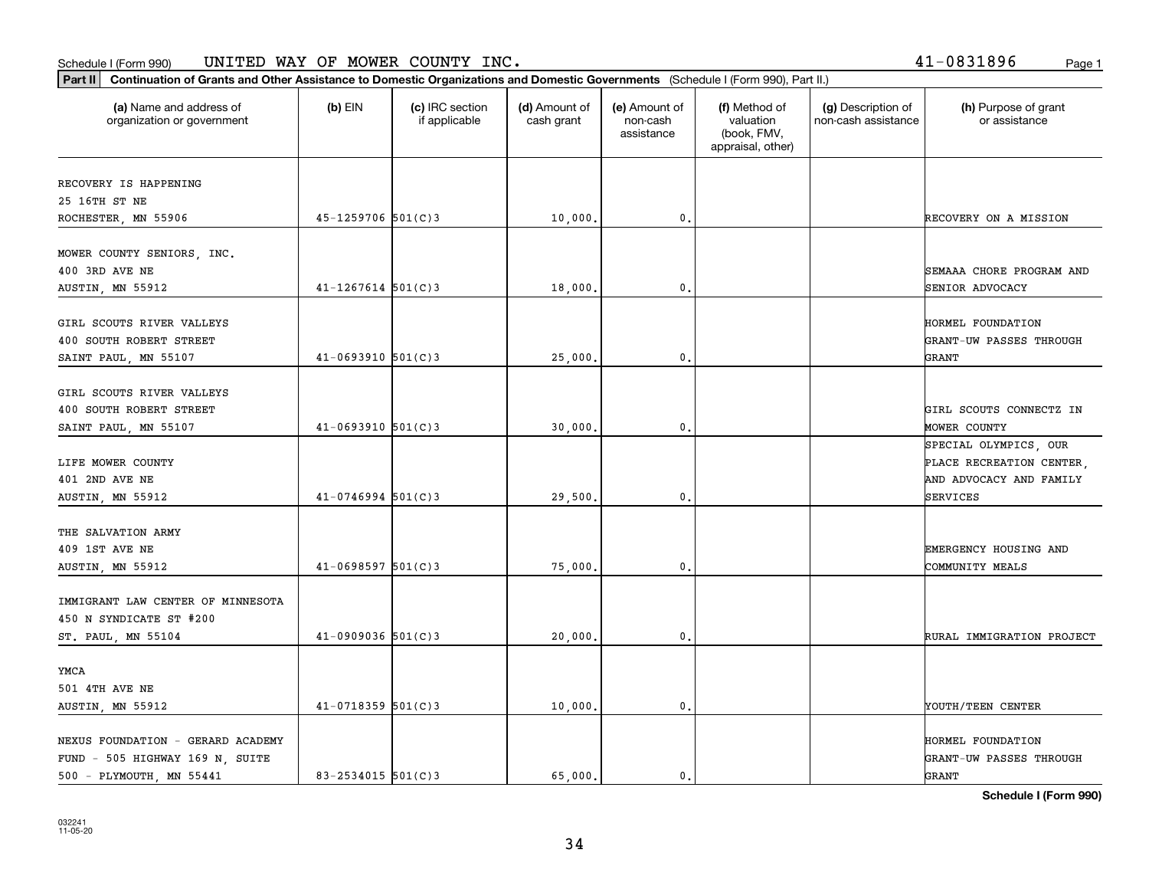### Schedule I (Form 990)  $\tt{UNITED}$   $\tt{WAY}$   $\tt{OF}$   $\tt{MOWER}$   $\tt{COUNTY}$   $\tt{INC}$   $\cdot$   $\tt{V}$   $\cdot$   $\tt{V}$   $\cdot$   $\tt{V}$   $\cdot$   $\tt{V}$   $\cdot$   $\tt{V}$   $\cdot$   $\tt{V}$   $\cdot$   $\tt{V}$   $\cdot$   $\tt{V}$   $\cdot$   $\tt{V}$   $\cdot$   $\tt{V}$   $\cdot$   $\tt{V}$

т

**Part II Continuation of Grants and Other Assistance to Domestic Organizations and Domestic Governments**  (Schedule I (Form 990), Part II.)

| (a) Name and address of<br>organization or government                | $(b)$ EIN              | (c) IRC section<br>if applicable | (d) Amount of<br>cash grant | (e) Amount of<br>non-cash<br>assistance | (f) Method of<br>valuation<br>(book, FMV,<br>appraisal, other) | (g) Description of<br>non-cash assistance | (h) Purpose of grant<br>or assistance                                        |
|----------------------------------------------------------------------|------------------------|----------------------------------|-----------------------------|-----------------------------------------|----------------------------------------------------------------|-------------------------------------------|------------------------------------------------------------------------------|
| RECOVERY IS HAPPENING                                                |                        |                                  |                             |                                         |                                                                |                                           |                                                                              |
| 25 16TH ST NE                                                        |                        |                                  |                             |                                         |                                                                |                                           |                                                                              |
| ROCHESTER, MN 55906                                                  | $45 - 1259706$ 501(C)3 |                                  | 10,000.                     | 0.                                      |                                                                |                                           | RECOVERY ON A MISSION                                                        |
| MOWER COUNTY SENIORS, INC.<br>400 3RD AVE NE                         |                        |                                  |                             |                                         |                                                                |                                           | SEMAAA CHORE PROGRAM AND                                                     |
| AUSTIN, MN 55912                                                     | $41 - 1267614$ 501(C)3 |                                  | 18,000.                     | 0.                                      |                                                                |                                           | <b>SENIOR ADVOCACY</b>                                                       |
| GIRL SCOUTS RIVER VALLEYS<br>400 SOUTH ROBERT STREET                 |                        |                                  |                             |                                         |                                                                |                                           | HORMEL FOUNDATION<br>GRANT-UW PASSES THROUGH                                 |
| SAINT PAUL, MN 55107                                                 | $41 - 0693910$ 501(C)3 |                                  | 25,000.                     | 0.                                      |                                                                |                                           | GRANT                                                                        |
| GIRL SCOUTS RIVER VALLEYS<br>400 SOUTH ROBERT STREET                 |                        |                                  |                             |                                         |                                                                |                                           | GIRL SCOUTS CONNECTZ IN                                                      |
| SAINT PAUL, MN 55107                                                 | $41 - 0693910$ 501(C)3 |                                  | 30,000.                     | 0.                                      |                                                                |                                           | MOWER COUNTY                                                                 |
| LIFE MOWER COUNTY<br>401 2ND AVE NE                                  |                        |                                  |                             |                                         |                                                                |                                           | SPECIAL OLYMPICS, OUR<br>PLACE RECREATION CENTER,<br>AND ADVOCACY AND FAMILY |
| AUSTIN, MN 55912                                                     | $41 - 0746994$ 501(C)3 |                                  | 29,500.                     | 0.                                      |                                                                |                                           | <b>SERVICES</b>                                                              |
| THE SALVATION ARMY<br>409 1ST AVE NE<br>AUSTIN, MN 55912             | $41 - 0698597$ 501(C)3 |                                  | 75,000.                     | 0.                                      |                                                                |                                           | EMERGENCY HOUSING AND<br>COMMUNITY MEALS                                     |
| IMMIGRANT LAW CENTER OF MINNESOTA<br>450 N SYNDICATE ST #200         |                        |                                  |                             |                                         |                                                                |                                           |                                                                              |
| ST. PAUL, MN 55104                                                   | $41 - 0909036$ 501(C)3 |                                  | 20,000.                     | 0.                                      |                                                                |                                           | RURAL IMMIGRATION PROJECT                                                    |
| YMCA<br>501 4TH AVE NE                                               |                        |                                  |                             |                                         |                                                                |                                           |                                                                              |
| AUSTIN, MN 55912                                                     | $41 - 0718359$ 501(C)3 |                                  | 10,000.                     | 0.                                      |                                                                |                                           | YOUTH/TEEN CENTER                                                            |
| NEXUS FOUNDATION - GERARD ACADEMY<br>FUND - 505 HIGHWAY 169 N. SUITE |                        |                                  |                             |                                         |                                                                |                                           | HORMEL FOUNDATION<br>GRANT-UW PASSES THROUGH                                 |

Т

**Schedule I (Form 990)**

500 - PLYMOUTH, MN 55441 83-2534015 501(C)3 65,000. 0.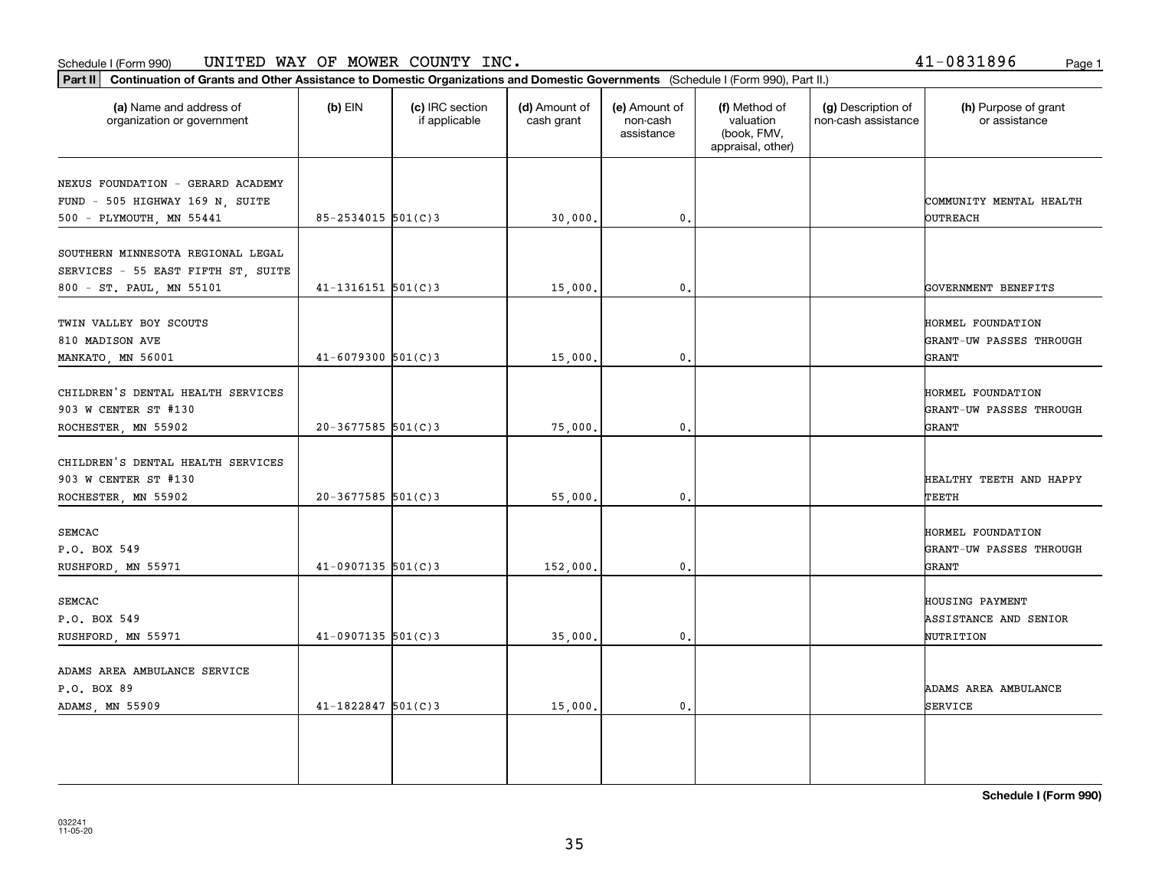ADAMS AREA AMBULANCE SERVICE

| Schedule I (Form 990)                                                                                                                      |                         | UNITED WAY OF MOWER COUNTY INC.  |                             |                                         |                                                                |                                           | 41-0831896<br>Page 1                  |
|--------------------------------------------------------------------------------------------------------------------------------------------|-------------------------|----------------------------------|-----------------------------|-----------------------------------------|----------------------------------------------------------------|-------------------------------------------|---------------------------------------|
| Part II   Continuation of Grants and Other Assistance to Domestic Organizations and Domestic Governments (Schedule I (Form 990), Part II.) |                         |                                  |                             |                                         |                                                                |                                           |                                       |
| (a) Name and address of<br>organization or government                                                                                      | $(b)$ EIN               | (c) IRC section<br>if applicable | (d) Amount of<br>cash grant | (e) Amount of<br>non-cash<br>assistance | (f) Method of<br>valuation<br>(book, FMV,<br>appraisal, other) | (g) Description of<br>non-cash assistance | (h) Purpose of grant<br>or assistance |
| NEXUS FOUNDATION - GERARD ACADEMY                                                                                                          |                         |                                  |                             |                                         |                                                                |                                           |                                       |
| FUND - 505 HIGHWAY 169 N, SUITE                                                                                                            |                         |                                  |                             |                                         |                                                                |                                           | COMMUNITY MENTAL HEALTH               |
| 500 - PLYMOUTH, MN 55441                                                                                                                   | $85 - 2534015$ 501(C)3  |                                  | 30,000                      | 0.                                      |                                                                |                                           | <b>DUTREACH</b>                       |
| SOUTHERN MINNESOTA REGIONAL LEGAL<br>SERVICES - 55 EAST FIFTH ST, SUITE                                                                    |                         |                                  |                             |                                         |                                                                |                                           |                                       |
| 800 - ST. PAUL, MN 55101                                                                                                                   | $41 - 1316151$ 501(C) 3 |                                  | 15,000                      | 0.                                      |                                                                |                                           | GOVERNMENT BENEFITS                   |
| TWIN VALLEY BOY SCOUTS                                                                                                                     |                         |                                  |                             |                                         |                                                                |                                           | HORMEL FOUNDATION                     |
| 810 MADISON AVE                                                                                                                            |                         |                                  |                             |                                         |                                                                |                                           | GRANT-UW PASSES THROUGH               |
| MANKATO, MN 56001                                                                                                                          | $41 - 6079300$ 501(C)3  |                                  | 15,000                      | $\mathbf{0}$ .                          |                                                                |                                           | GRANT                                 |
| CHILDREN'S DENTAL HEALTH SERVICES                                                                                                          |                         |                                  |                             |                                         |                                                                |                                           | HORMEL FOUNDATION                     |
| 903 W CENTER ST #130                                                                                                                       |                         |                                  |                             |                                         |                                                                |                                           | GRANT-UW PASSES THROUGH               |
| ROCHESTER, MN 55902                                                                                                                        | $20 - 3677585$ 501(C) 3 |                                  | 75,000                      | 0.                                      |                                                                |                                           | GRANT                                 |
| CHILDREN'S DENTAL HEALTH SERVICES                                                                                                          |                         |                                  |                             |                                         |                                                                |                                           |                                       |
| 903 W CENTER ST #130                                                                                                                       |                         |                                  |                             |                                         |                                                                |                                           | HEALTHY TEETH AND HAPPY               |
| ROCHESTER, MN 55902                                                                                                                        | $20 - 3677585$ 501(C) 3 |                                  | 55,000                      | 0.                                      |                                                                |                                           | TEETH                                 |
|                                                                                                                                            |                         |                                  |                             |                                         |                                                                |                                           |                                       |
| <b>SEMCAC</b>                                                                                                                              |                         |                                  |                             |                                         |                                                                |                                           | HORMEL FOUNDATION                     |
| P.O. BOX 549                                                                                                                               |                         |                                  |                             |                                         |                                                                |                                           | <b>GRANT-UW PASSES THROUGH</b>        |
| RUSHFORD, MN 55971                                                                                                                         | $41-0907135$ 501(C)3    |                                  | 152,000                     | 0.                                      |                                                                |                                           | GRANT                                 |
| <b>SEMCAC</b>                                                                                                                              |                         |                                  |                             |                                         |                                                                |                                           | <b>HOUSING PAYMENT</b>                |
| P.O. BOX 549                                                                                                                               |                         |                                  |                             |                                         |                                                                |                                           | ASSISTANCE AND SENIOR                 |
| RUSHFORD, MN 55971                                                                                                                         | $41 - 0907135$ 501(C)3  |                                  | 35,000.                     | $\mathbf{0}$ .                          |                                                                |                                           | NUTRITION                             |
|                                                                                                                                            |                         |                                  |                             |                                         |                                                                |                                           |                                       |

**Schedule I (Form 990)**

P.O. BOX 89 ADAMS AREA AMBULANCE

ADAMS, MN 55909  $\begin{vmatrix} 41-1822847 & 501(C)3 \end{vmatrix}$  15,000. 0. 0.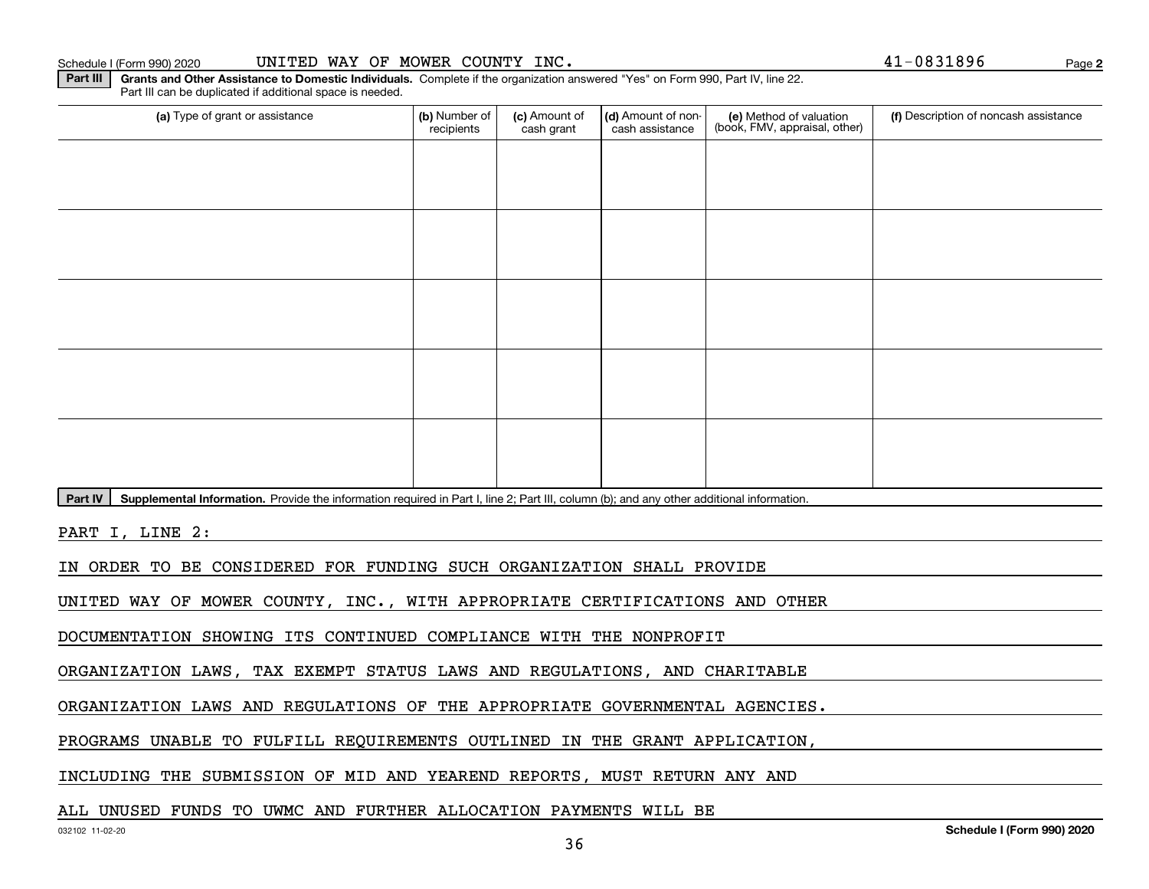### Schedule I (Form 990) 2020 UNITED WAY OF MOWER COUNTY INC • Page

**2**

**Part III | Grants and Other Assistance to Domestic Individuals. Complete if the organization answered "Yes" on Form 990, Part IV, line 22.** Part III can be duplicated if additional space is needed.

| (a) Type of grant or assistance                                                                                                                    | (b) Number of<br>recipients | (c) Amount of<br>cash grant | (d) Amount of non-<br>cash assistance | (e) Method of valuation<br>(book, FMV, appraisal, other) | (f) Description of noncash assistance |
|----------------------------------------------------------------------------------------------------------------------------------------------------|-----------------------------|-----------------------------|---------------------------------------|----------------------------------------------------------|---------------------------------------|
|                                                                                                                                                    |                             |                             |                                       |                                                          |                                       |
|                                                                                                                                                    |                             |                             |                                       |                                                          |                                       |
|                                                                                                                                                    |                             |                             |                                       |                                                          |                                       |
|                                                                                                                                                    |                             |                             |                                       |                                                          |                                       |
|                                                                                                                                                    |                             |                             |                                       |                                                          |                                       |
|                                                                                                                                                    |                             |                             |                                       |                                                          |                                       |
|                                                                                                                                                    |                             |                             |                                       |                                                          |                                       |
|                                                                                                                                                    |                             |                             |                                       |                                                          |                                       |
|                                                                                                                                                    |                             |                             |                                       |                                                          |                                       |
|                                                                                                                                                    |                             |                             |                                       |                                                          |                                       |
| <b>Death Inc.</b> Our also see the first provided to information as wind in Death line O. Death and we also can accept the calificated information |                             |                             |                                       |                                                          |                                       |

Part IV | Supplemental Information. Provide the information required in Part I, line 2; Part III, column (b); and any other additional information.

PART I, LINE 2:

IN ORDER TO BE CONSIDERED FOR FUNDING SUCH ORGANIZATION SHALL PROVIDE

UNITED WAY OF MOWER COUNTY, INC., WITH APPROPRIATE CERTIFICATIONS AND OTHER

DOCUMENTATION SHOWING ITS CONTINUED COMPLIANCE WITH THE NONPROFIT

ORGANIZATION LAWS, TAX EXEMPT STATUS LAWS AND REGULATIONS, AND CHARITABLE

ORGANIZATION LAWS AND REGULATIONS OF THE APPROPRIATE GOVERNMENTAL AGENCIES.

PROGRAMS UNABLE TO FULFILL REQUIREMENTS OUTLINED IN THE GRANT APPLICATION,

INCLUDING THE SUBMISSION OF MID AND YEAREND REPORTS, MUST RETURN ANY AND

### ALL UNUSED FUNDS TO UWMC AND FURTHER ALLOCATION PAYMENTS WILL BE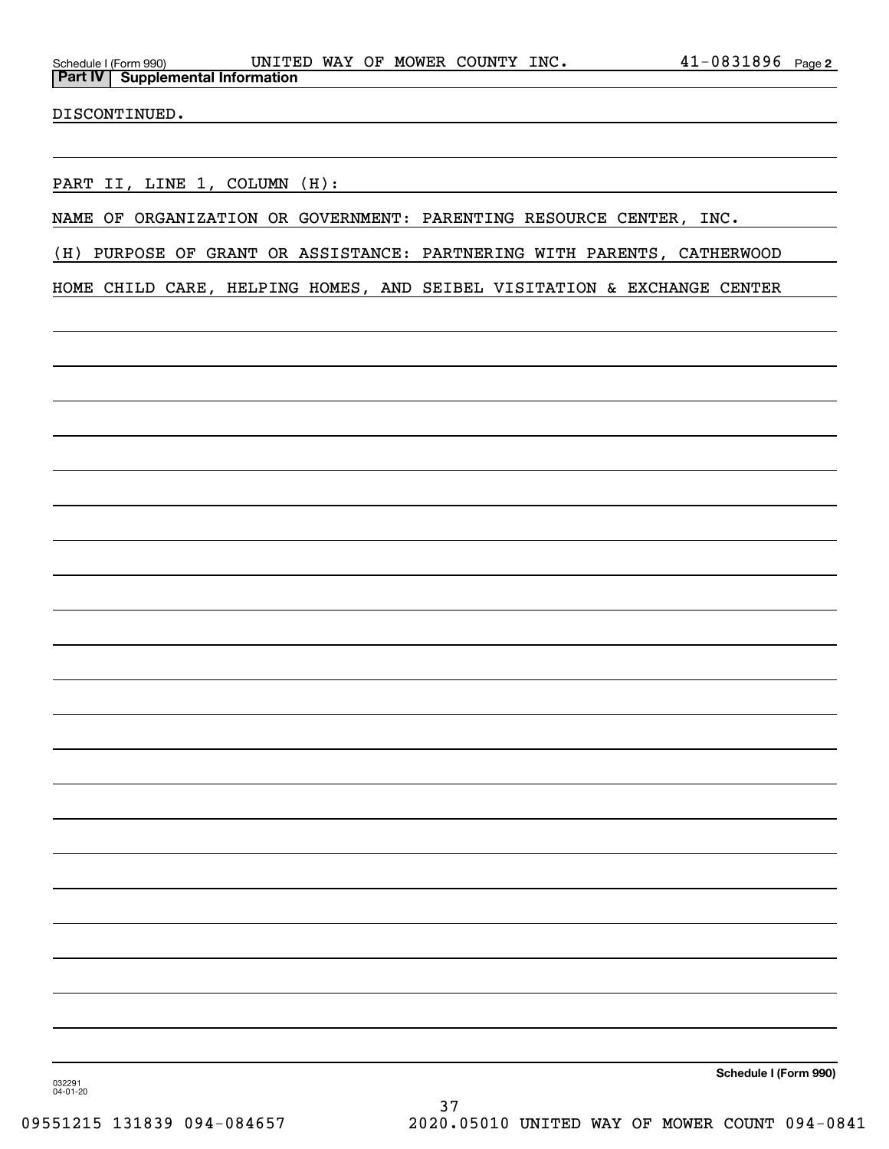DISCONTINUED.

PART II, LINE 1, COLUMN (H):

NAME OF ORGANIZATION OR GOVERNMENT: PARENTING RESOURCE CENTER, INC.

(H) PURPOSE OF GRANT OR ASSISTANCE: PARTNERING WITH PARENTS, CATHERWOOD

HOME CHILD CARE, HELPING HOMES, AND SEIBEL VISITATION & EXCHANGE CENTER

**Schedule I (Form 990)**

032291 04-01-20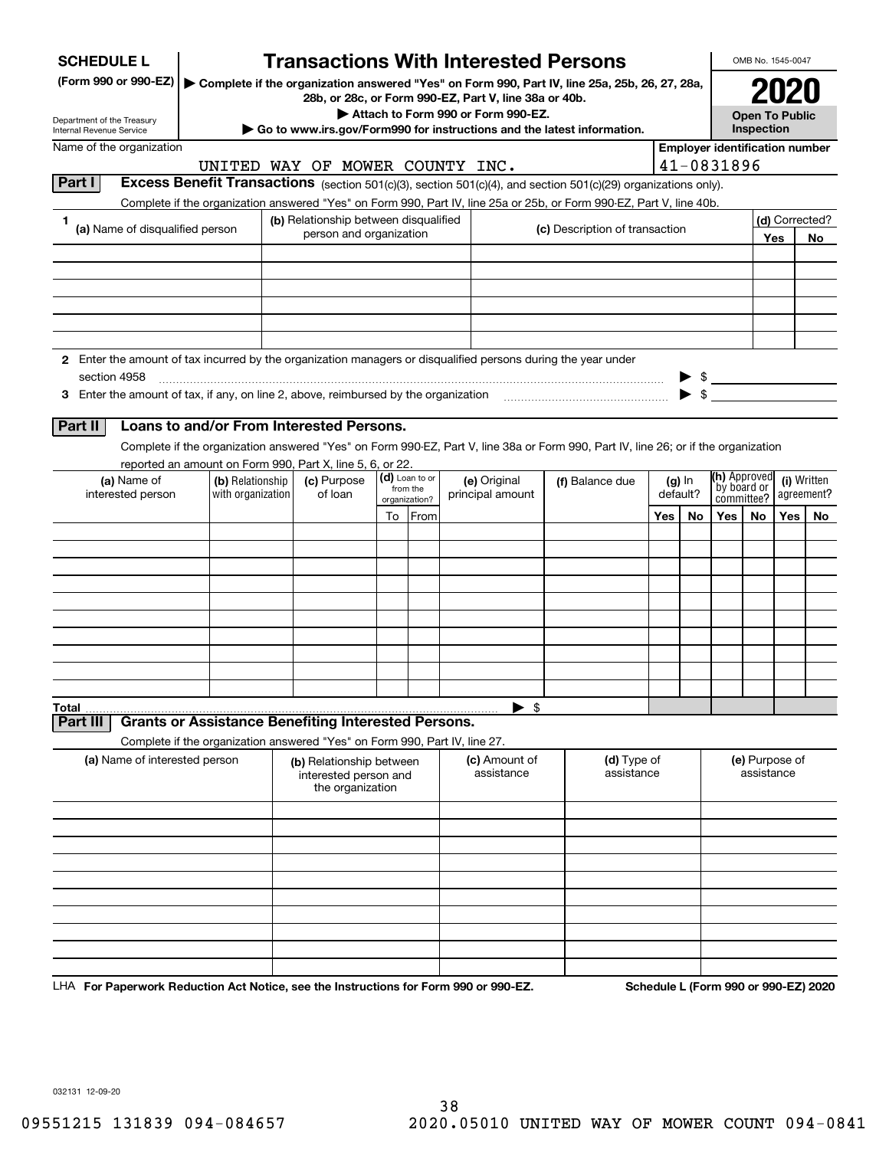| <b>SCHEDULE L</b>                                                                                             |                   |                                                                            |                            | <b>Transactions With Interested Persons</b>                            |                                                                                                                                    |          |          |                                                                 | OMB No. 1545-0047            |           |                                       |
|---------------------------------------------------------------------------------------------------------------|-------------------|----------------------------------------------------------------------------|----------------------------|------------------------------------------------------------------------|------------------------------------------------------------------------------------------------------------------------------------|----------|----------|-----------------------------------------------------------------|------------------------------|-----------|---------------------------------------|
| (Form 990 or 990-EZ)                                                                                          |                   |                                                                            |                            | 28b, or 28c, or Form 990-EZ, Part V, line 38a or 40b.                  | Complete if the organization answered "Yes" on Form 990, Part IV, line 25a, 25b, 26, 27, 28a,                                      |          |          |                                                                 |                              |           |                                       |
| Department of the Treasury                                                                                    |                   |                                                                            |                            | Attach to Form 990 or Form 990-EZ.                                     |                                                                                                                                    |          |          |                                                                 | <b>Open To Public</b>        |           |                                       |
| Internal Revenue Service<br>Name of the organization                                                          |                   |                                                                            |                            | Go to www.irs.gov/Form990 for instructions and the latest information. |                                                                                                                                    |          |          |                                                                 | Inspection                   |           | <b>Employer identification number</b> |
|                                                                                                               |                   | UNITED WAY OF MOWER COUNTY INC.                                            |                            |                                                                        |                                                                                                                                    |          |          | 41-0831896                                                      |                              |           |                                       |
| Part I                                                                                                        |                   |                                                                            |                            |                                                                        | Excess Benefit Transactions (section 501(c)(3), section 501(c)(4), and section 501(c)(29) organizations only).                     |          |          |                                                                 |                              |           |                                       |
|                                                                                                               |                   |                                                                            |                            |                                                                        | Complete if the organization answered "Yes" on Form 990, Part IV, line 25a or 25b, or Form 990-EZ, Part V, line 40b.               |          |          |                                                                 |                              |           |                                       |
| 1.<br>(a) Name of disqualified person                                                                         |                   | (b) Relationship between disqualified                                      |                            |                                                                        | (c) Description of transaction                                                                                                     |          |          |                                                                 |                              |           | (d) Corrected?                        |
|                                                                                                               |                   | person and organization                                                    |                            |                                                                        |                                                                                                                                    |          |          |                                                                 |                              | Yes<br>No |                                       |
|                                                                                                               |                   |                                                                            |                            |                                                                        |                                                                                                                                    |          |          |                                                                 |                              |           |                                       |
|                                                                                                               |                   |                                                                            |                            |                                                                        |                                                                                                                                    |          |          |                                                                 |                              |           |                                       |
|                                                                                                               |                   |                                                                            |                            |                                                                        |                                                                                                                                    |          |          |                                                                 |                              |           |                                       |
|                                                                                                               |                   |                                                                            |                            |                                                                        |                                                                                                                                    |          |          |                                                                 |                              |           |                                       |
|                                                                                                               |                   |                                                                            |                            |                                                                        |                                                                                                                                    |          |          |                                                                 |                              |           |                                       |
| 2 Enter the amount of tax incurred by the organization managers or disqualified persons during the year under |                   |                                                                            |                            |                                                                        |                                                                                                                                    |          |          |                                                                 |                              |           |                                       |
| section 4958                                                                                                  |                   |                                                                            |                            |                                                                        |                                                                                                                                    |          |          | $\begin{array}{c} \bullet \ \ast \\ \bullet \ \ast \end{array}$ |                              |           |                                       |
|                                                                                                               |                   |                                                                            |                            |                                                                        |                                                                                                                                    |          |          |                                                                 |                              |           |                                       |
| Part II                                                                                                       |                   | Loans to and/or From Interested Persons.                                   |                            |                                                                        |                                                                                                                                    |          |          |                                                                 |                              |           |                                       |
|                                                                                                               |                   |                                                                            |                            |                                                                        | Complete if the organization answered "Yes" on Form 990-EZ, Part V, line 38a or Form 990, Part IV, line 26; or if the organization |          |          |                                                                 |                              |           |                                       |
|                                                                                                               |                   | reported an amount on Form 990, Part X, line 5, 6, or 22.                  |                            |                                                                        |                                                                                                                                    |          |          |                                                                 |                              |           |                                       |
| (a) Name of                                                                                                   | (b) Relationship  | (c) Purpose                                                                | (d) Loan to or<br>from the | (e) Original                                                           | (f) Balance due                                                                                                                    | default? | $(g)$ In | <b>(h)</b> Approved<br>by board or                              |                              |           | (i) Written<br>agreement?             |
| interested person                                                                                             | with organization | of loan                                                                    | organization?              | principal amount                                                       |                                                                                                                                    |          |          | committee?                                                      |                              |           |                                       |
|                                                                                                               |                   |                                                                            | To From                    |                                                                        |                                                                                                                                    | Yes      | No.      | Yes $ $                                                         | No.                          | Yes       | No.                                   |
|                                                                                                               |                   |                                                                            |                            |                                                                        |                                                                                                                                    |          |          |                                                                 |                              |           |                                       |
|                                                                                                               |                   |                                                                            |                            |                                                                        |                                                                                                                                    |          |          |                                                                 |                              |           |                                       |
|                                                                                                               |                   |                                                                            |                            |                                                                        |                                                                                                                                    |          |          |                                                                 |                              |           |                                       |
|                                                                                                               |                   |                                                                            |                            |                                                                        |                                                                                                                                    |          |          |                                                                 |                              |           |                                       |
|                                                                                                               |                   |                                                                            |                            |                                                                        |                                                                                                                                    |          |          |                                                                 |                              |           |                                       |
|                                                                                                               |                   |                                                                            |                            |                                                                        |                                                                                                                                    |          |          |                                                                 |                              |           |                                       |
|                                                                                                               |                   |                                                                            |                            |                                                                        |                                                                                                                                    |          |          |                                                                 |                              |           |                                       |
|                                                                                                               |                   |                                                                            |                            |                                                                        |                                                                                                                                    |          |          |                                                                 |                              |           |                                       |
| Total                                                                                                         |                   |                                                                            |                            | $\blacktriangleright$ \$                                               |                                                                                                                                    |          |          |                                                                 |                              |           |                                       |
| Part II                                                                                                       |                   | <b>Grants or Assistance Benefiting Interested Persons.</b>                 |                            |                                                                        |                                                                                                                                    |          |          |                                                                 |                              |           |                                       |
|                                                                                                               |                   | Complete if the organization answered "Yes" on Form 990, Part IV, line 27. |                            |                                                                        |                                                                                                                                    |          |          |                                                                 |                              |           |                                       |
| (a) Name of interested person                                                                                 |                   | (b) Relationship between<br>interested person and<br>the organization      |                            | (c) Amount of<br>assistance                                            | (d) Type of<br>assistance                                                                                                          |          |          |                                                                 | (e) Purpose of<br>assistance |           |                                       |
|                                                                                                               |                   |                                                                            |                            |                                                                        |                                                                                                                                    |          |          |                                                                 |                              |           |                                       |
|                                                                                                               |                   |                                                                            |                            |                                                                        |                                                                                                                                    |          |          |                                                                 |                              |           |                                       |
|                                                                                                               |                   |                                                                            |                            |                                                                        |                                                                                                                                    |          |          |                                                                 |                              |           |                                       |
|                                                                                                               |                   |                                                                            |                            |                                                                        |                                                                                                                                    |          |          |                                                                 |                              |           |                                       |
|                                                                                                               |                   |                                                                            |                            |                                                                        |                                                                                                                                    |          |          |                                                                 |                              |           |                                       |
|                                                                                                               |                   |                                                                            |                            |                                                                        |                                                                                                                                    |          |          |                                                                 |                              |           |                                       |
|                                                                                                               |                   |                                                                            |                            |                                                                        |                                                                                                                                    |          |          |                                                                 |                              |           |                                       |
|                                                                                                               |                   |                                                                            |                            |                                                                        |                                                                                                                                    |          |          |                                                                 |                              |           |                                       |
|                                                                                                               |                   |                                                                            |                            |                                                                        |                                                                                                                                    |          |          |                                                                 |                              |           |                                       |

LHA For Paperwork Reduction Act Notice, see the Instructions for Form 990 or 990-EZ. Schedule L (Form 990 or 990-EZ) 2020

032131 12-09-20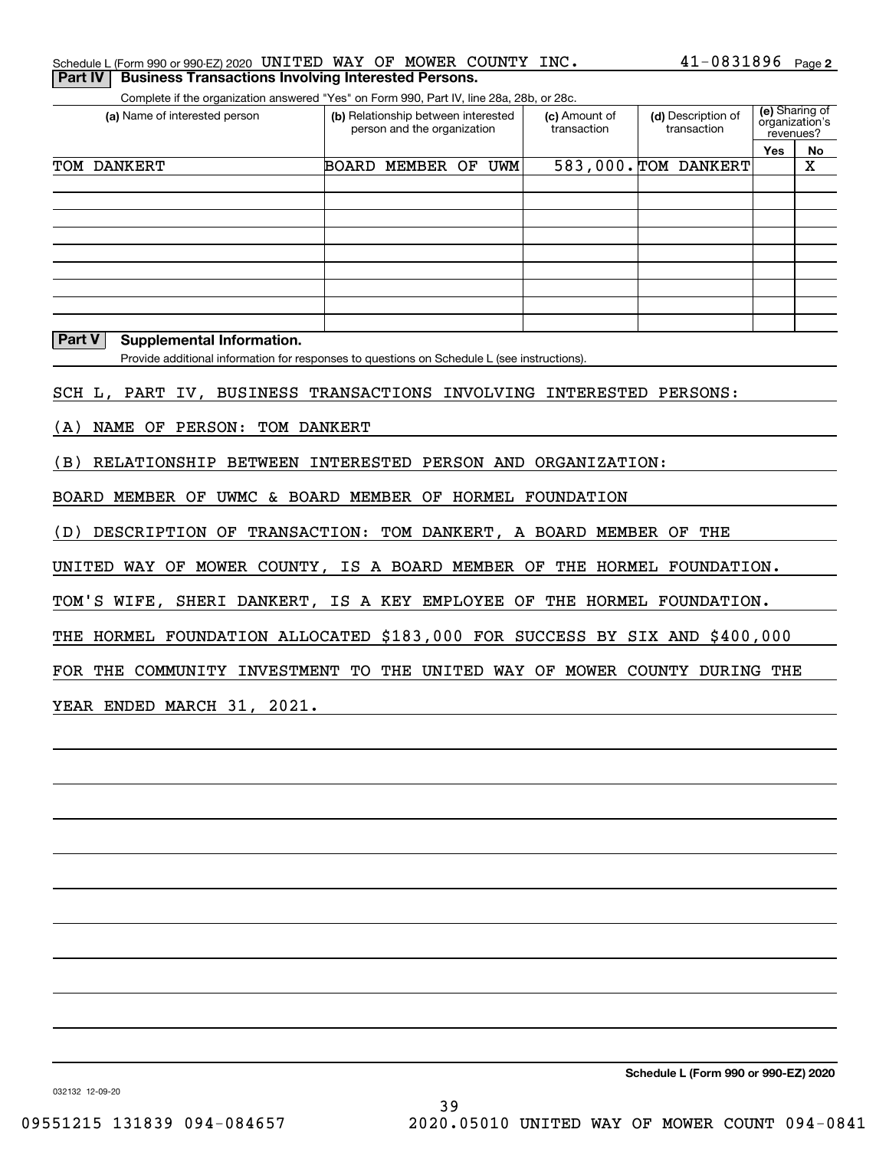|  | Schedule L (Form 990 or 990-EZ) 2020 UNITED WAY OF MOWER COUNTY INC. |  |  |  | $41 - 0831896$ Page 2 |  |
|--|----------------------------------------------------------------------|--|--|--|-----------------------|--|
|  | <b>Part IV Business Transactions Involving Interested Persons.</b>   |  |  |  |                       |  |

Complete if the organization answered "Yes" on Form 990, Part IV, line 28a, 28b, or 28c.

| (a) Name of interested person |       | (b) Relationship between interested<br>person and the organization |  | (c) Amount of<br>transaction |  | (d) Description of<br>transaction | revenues? | (e) Sharing of<br>organization's |
|-------------------------------|-------|--------------------------------------------------------------------|--|------------------------------|--|-----------------------------------|-----------|----------------------------------|
|                               |       |                                                                    |  |                              |  |                                   | Yes       | No                               |
| DANKERT<br>MOT                | BOARD | MEMBER OF                                                          |  | UWM                          |  | 583,000. TOM DANKERT              |           | х                                |
|                               |       |                                                                    |  |                              |  |                                   |           |                                  |
|                               |       |                                                                    |  |                              |  |                                   |           |                                  |
|                               |       |                                                                    |  |                              |  |                                   |           |                                  |
|                               |       |                                                                    |  |                              |  |                                   |           |                                  |
|                               |       |                                                                    |  |                              |  |                                   |           |                                  |
|                               |       |                                                                    |  |                              |  |                                   |           |                                  |
|                               |       |                                                                    |  |                              |  |                                   |           |                                  |
|                               |       |                                                                    |  |                              |  |                                   |           |                                  |
|                               |       |                                                                    |  |                              |  |                                   |           |                                  |

### **Part V Supplemental Information.**

Provide additional information for responses to questions on Schedule L (see instructions).

SCH L, PART IV, BUSINESS TRANSACTIONS INVOLVING INTERESTED PERSONS:

(A) NAME OF PERSON: TOM DANKERT

(B) RELATIONSHIP BETWEEN INTERESTED PERSON AND ORGANIZATION:

BOARD MEMBER OF UWMC & BOARD MEMBER OF HORMEL FOUNDATION

(D) DESCRIPTION OF TRANSACTION: TOM DANKERT, A BOARD MEMBER OF THE

UNITED WAY OF MOWER COUNTY, IS A BOARD MEMBER OF THE HORMEL FOUNDATION.

TOM'S WIFE, SHERI DANKERT, IS A KEY EMPLOYEE OF THE HORMEL FOUNDATION.

THE HORMEL FOUNDATION ALLOCATED \$183,000 FOR SUCCESS BY SIX AND \$400,000

FOR THE COMMUNITY INVESTMENT TO THE UNITED WAY OF MOWER COUNTY DURING THE

YEAR ENDED MARCH 31, 2021.

**Schedule L (Form 990 or 990-EZ) 2020**

032132 12-09-20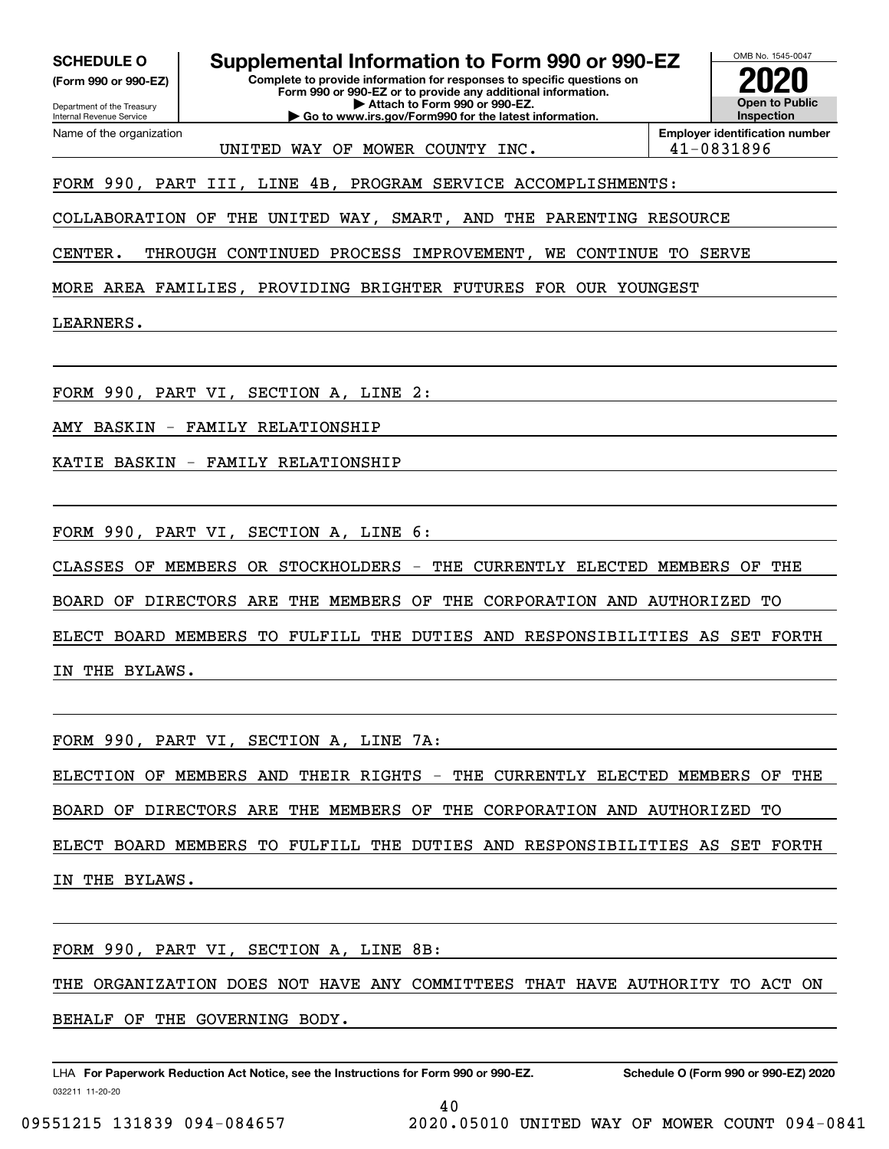**(Form 990 or 990-EZ)**

Department of the Treasury Internal Revenue Service Name of the organization

**SCHEDULE O Supplemental Information to Form 990 or 990-EZ**

**Complete to provide information for responses to specific questions on Form 990 or 990-EZ or to provide any additional information. | Attach to Form 990 or 990-EZ. | Go to www.irs.gov/Form990 for the latest information.**



UNITED WAY OF MOWER COUNTY INC. 41-0831896

FORM 990, PART III, LINE 4B, PROGRAM SERVICE ACCOMPLISHMENTS:

COLLABORATION OF THE UNITED WAY, SMART, AND THE PARENTING RESOURCE

CENTER. THROUGH CONTINUED PROCESS IMPROVEMENT, WE CONTINUE TO SERVE

MORE AREA FAMILIES, PROVIDING BRIGHTER FUTURES FOR OUR YOUNGEST

LEARNERS.

FORM 990, PART VI, SECTION A, LINE 2:

AMY BASKIN - FAMILY RELATIONSHIP

KATIE BASKIN - FAMILY RELATIONSHIP

FORM 990, PART VI, SECTION A, LINE 6:

CLASSES OF MEMBERS OR STOCKHOLDERS - THE CURRENTLY ELECTED MEMBERS OF THE

BOARD OF DIRECTORS ARE THE MEMBERS OF THE CORPORATION AND AUTHORIZED TO

ELECT BOARD MEMBERS TO FULFILL THE DUTIES AND RESPONSIBILITIES AS SET FORTH

IN THE BYLAWS.

FORM 990, PART VI, SECTION A, LINE 7A: ELECTION OF MEMBERS AND THEIR RIGHTS - THE CURRENTLY ELECTED MEMBERS OF THE BOARD OF DIRECTORS ARE THE MEMBERS OF THE CORPORATION AND AUTHORIZED TO ELECT BOARD MEMBERS TO FULFILL THE DUTIES AND RESPONSIBILITIES AS SET FORTH IN THE BYLAWS.

FORM 990, PART VI, SECTION A, LINE 8B:

THE ORGANIZATION DOES NOT HAVE ANY COMMITTEES THAT HAVE AUTHORITY TO ACT ON

BEHALF OF THE GOVERNING BODY.

032211 11-20-20 LHA For Paperwork Reduction Act Notice, see the Instructions for Form 990 or 990-EZ. Schedule O (Form 990 or 990-EZ) 2020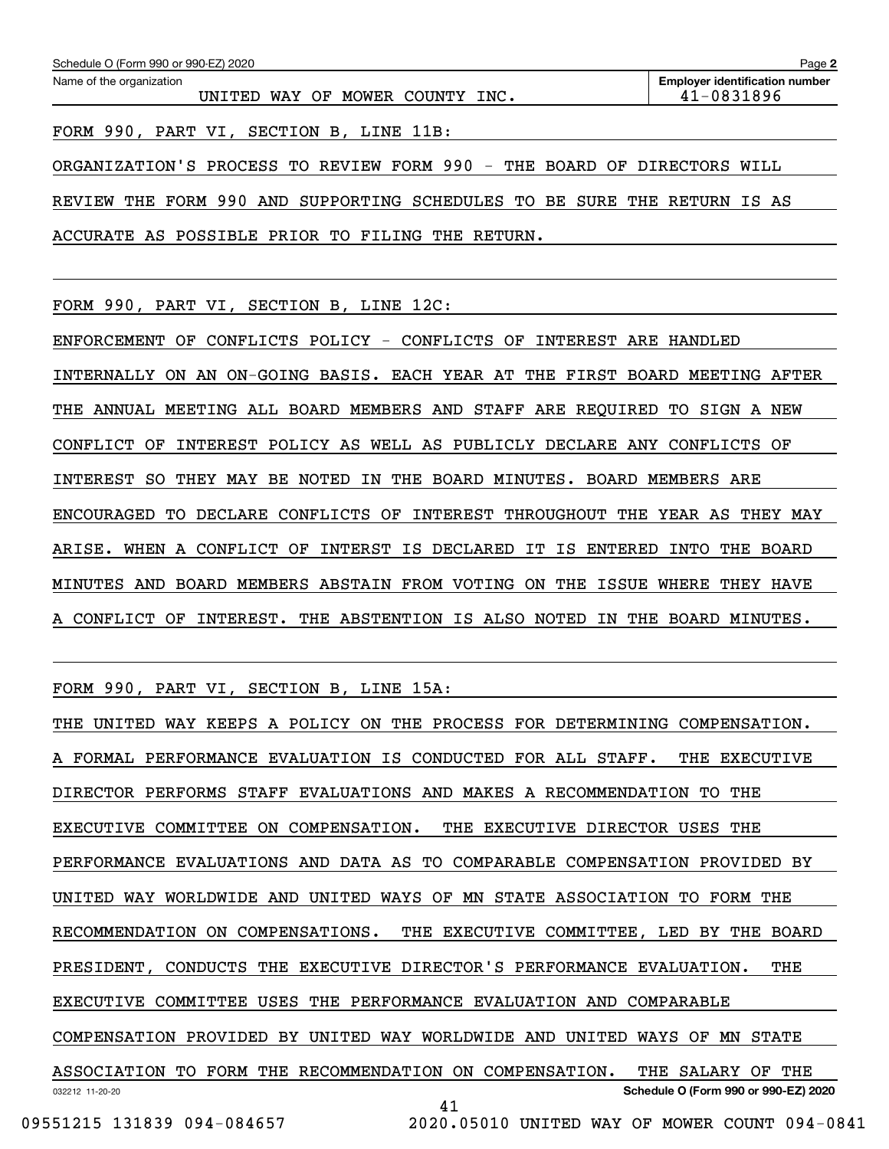| Schedule O (Form 990 or 990-EZ) 2020<br>Page 2                          |                                                         |  |  |  |  |  |  |
|-------------------------------------------------------------------------|---------------------------------------------------------|--|--|--|--|--|--|
| Name of the organization<br>UNITED WAY OF MOWER COUNTY INC.             | <b>Employer identification number</b><br>$41 - 0831896$ |  |  |  |  |  |  |
| FORM 990, PART VI, SECTION B, LINE 11B:                                 |                                                         |  |  |  |  |  |  |
| ORGANIZATION'S PROCESS TO REVIEW FORM 990 - THE BOARD OF DIRECTORS WILL |                                                         |  |  |  |  |  |  |

REVIEW THE FORM 990 AND SUPPORTING SCHEDULES TO BE SURE THE RETURN IS AS

ACCURATE AS POSSIBLE PRIOR TO FILING THE RETURN.

FORM 990, PART VI, SECTION B, LINE 12C:

ENFORCEMENT OF CONFLICTS POLICY - CONFLICTS OF INTEREST ARE HANDLED INTERNALLY ON AN ON-GOING BASIS. EACH YEAR AT THE FIRST BOARD MEETING AFTER THE ANNUAL MEETING ALL BOARD MEMBERS AND STAFF ARE REQUIRED TO SIGN A NEW CONFLICT OF INTEREST POLICY AS WELL AS PUBLICLY DECLARE ANY CONFLICTS OF INTEREST SO THEY MAY BE NOTED IN THE BOARD MINUTES. BOARD MEMBERS ARE ENCOURAGED TO DECLARE CONFLICTS OF INTEREST THROUGHOUT THE YEAR AS THEY MAY ARISE. WHEN A CONFLICT OF INTERST IS DECLARED IT IS ENTERED INTO THE BOARD MINUTES AND BOARD MEMBERS ABSTAIN FROM VOTING ON THE ISSUE WHERE THEY HAVE A CONFLICT OF INTEREST. THE ABSTENTION IS ALSO NOTED IN THE BOARD MINUTES.

FORM 990, PART VI, SECTION B, LINE 15A:

032212 11-20-20 **Schedule O (Form 990 or 990-EZ) 2020** THE UNITED WAY KEEPS A POLICY ON THE PROCESS FOR DETERMINING COMPENSATION. A FORMAL PERFORMANCE EVALUATION IS CONDUCTED FOR ALL STAFF. THE EXECUTIVE DIRECTOR PERFORMS STAFF EVALUATIONS AND MAKES A RECOMMENDATION TO THE EXECUTIVE COMMITTEE ON COMPENSATION. THE EXECUTIVE DIRECTOR USES THE PERFORMANCE EVALUATIONS AND DATA AS TO COMPARABLE COMPENSATION PROVIDED BY UNITED WAY WORLDWIDE AND UNITED WAYS OF MN STATE ASSOCIATION TO FORM THE RECOMMENDATION ON COMPENSATIONS. THE EXECUTIVE COMMITTEE, LED BY THE BOARD PRESIDENT, CONDUCTS THE EXECUTIVE DIRECTOR'S PERFORMANCE EVALUATION. THE EXECUTIVE COMMITTEE USES THE PERFORMANCE EVALUATION AND COMPARABLE COMPENSATION PROVIDED BY UNITED WAY WORLDWIDE AND UNITED WAYS OF MN STATE ASSOCIATION TO FORM THE RECOMMENDATION ON COMPENSATION. THE SALARY OF THE 41 09551215 131839 094-084657 2020.05010 UNITED WAY OF MOWER COUNT 094-0841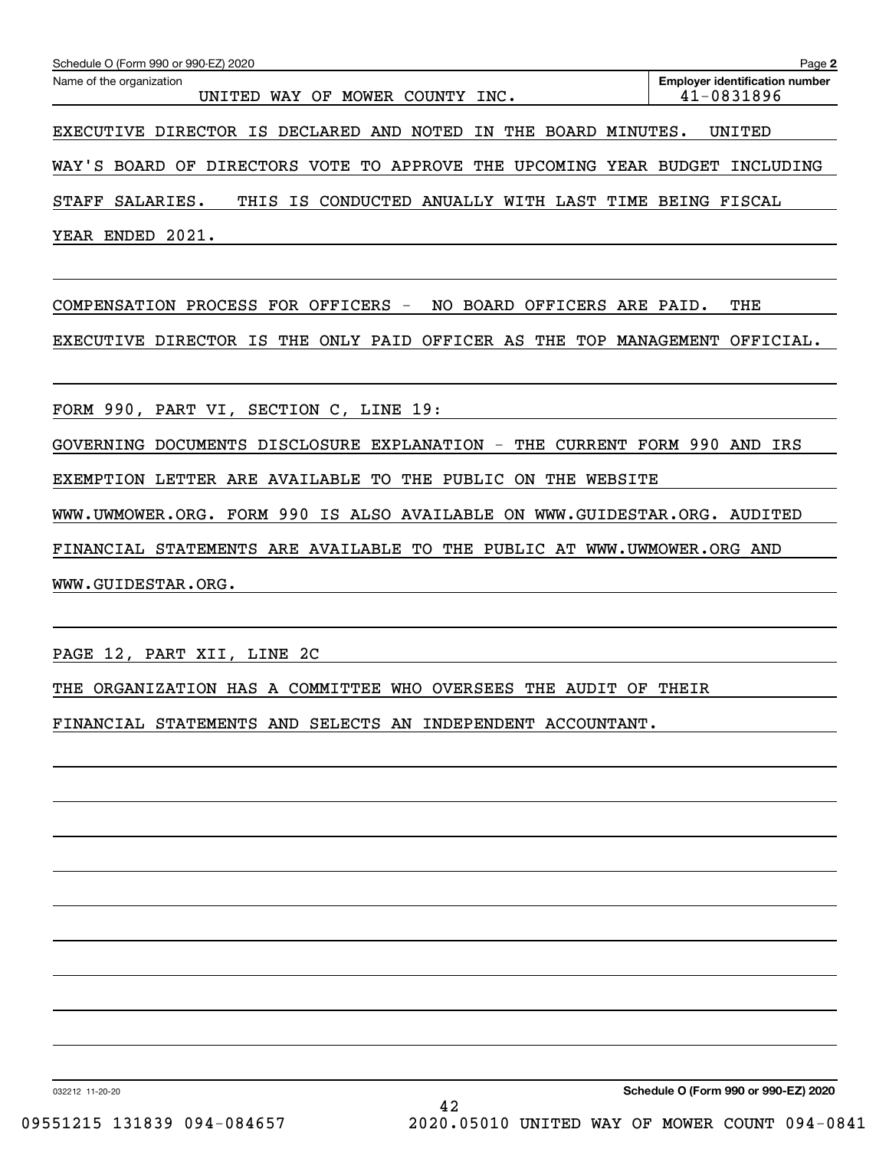| Schedule O (Form 990 or 990-EZ) 2020                                        | Page 2                                              |
|-----------------------------------------------------------------------------|-----------------------------------------------------|
| Name of the organization<br>UNITED WAY OF MOWER COUNTY INC.                 | <b>Emplover identification number</b><br>41-0831896 |
|                                                                             |                                                     |
| EXECUTIVE DIRECTOR IS DECLARED AND NOTED<br>IN THE BOARD MINUTES.           | UNITED                                              |
| WAY'S BOARD OF DIRECTORS VOTE TO APPROVE THE UPCOMING YEAR BUDGET INCLUDING |                                                     |
| THIS IS CONDUCTED ANUALLY WITH LAST TIME BEING FISCAL<br>STAFF SALARIES.    |                                                     |
| YEAR ENDED 2021.                                                            |                                                     |
|                                                                             |                                                     |
| COMPENSATION PROCESS FOR OFFICERS -<br>NO BOARD OFFICERS ARE PAID.          | THE                                                 |
| THE ONLY PAID OFFICER AS THE TOP MANAGEMENT<br>EXECUTIVE DIRECTOR IS        | OFFICIAL.                                           |
|                                                                             |                                                     |
| FORM 990, PART VI, SECTION C, LINE 19:                                      |                                                     |
| GOVERNING DOCUMENTS DISCLOSURE EXPLANATION - THE CURRENT FORM 990 AND IRS   |                                                     |
| EXEMPTION LETTER ARE AVAILABLE TO THE PUBLIC ON THE WEBSITE                 |                                                     |
| WWW.UWMOWER.ORG. FORM 990 IS ALSO AVAILABLE ON WWW.GUIDESTAR.ORG. AUDITED   |                                                     |
| FINANCIAL STATEMENTS ARE AVAILABLE TO THE PUBLIC AT WWW.UWMOWER.ORG AND     |                                                     |
| WWW.GUIDESTAR.ORG.                                                          |                                                     |
|                                                                             |                                                     |
| PAGE 12, PART XII, LINE 2C                                                  |                                                     |

THE ORGANIZATION HAS A COMMITTEE WHO OVERSEES THE AUDIT OF THEIR

FINANCIAL STATEMENTS AND SELECTS AN INDEPENDENT ACCOUNTANT.

032212 11-20-20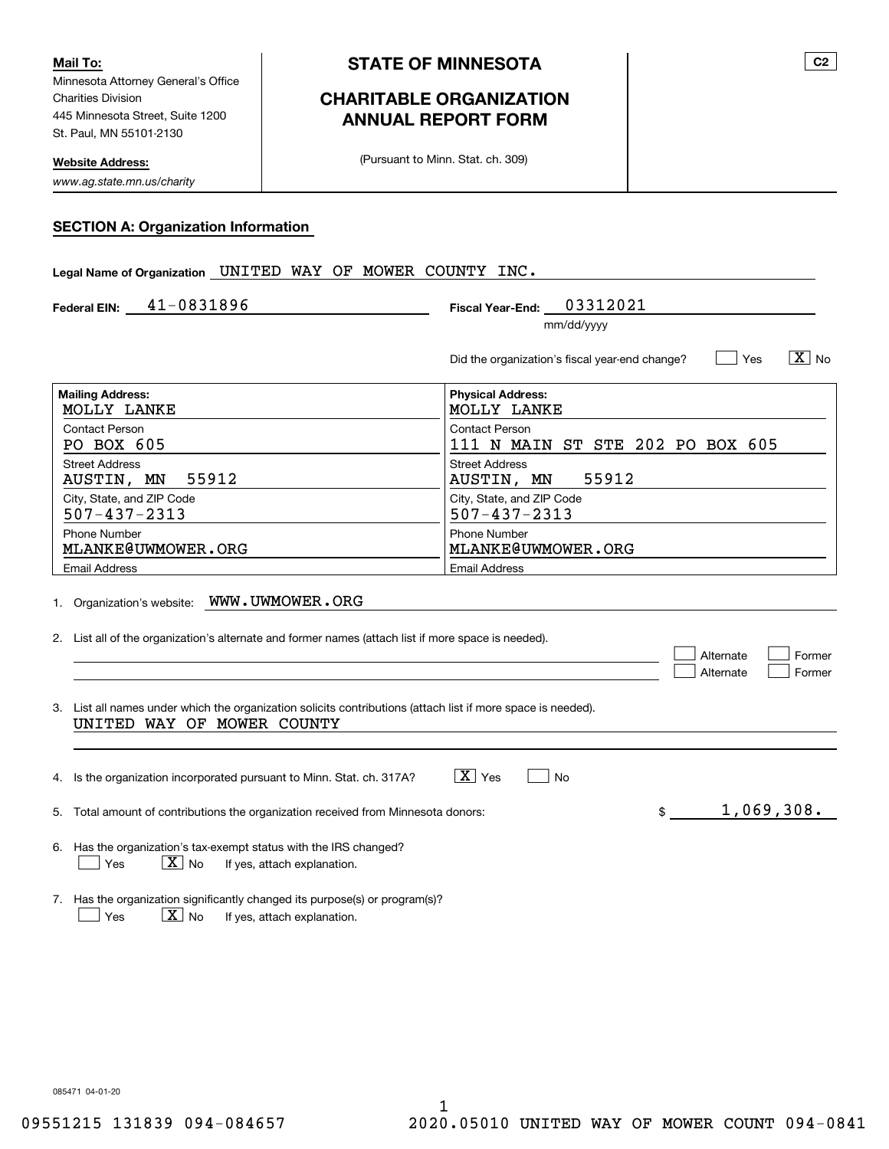Minnesota Attorney General's Office Charities Division 445 Minnesota Street, Suite 1200 St. Paul, MN 55101-2130 **Mail To:**

**Website Address:**

*www.ag.state.mn.us/charity*

# **CHARITABLE ORGANIZATION ANNUAL REPORT FORM**

(Pursuant to Minn. Stat. ch. 309)

### **SECTION A: Organization Information**

| Legal Name of Organization UNITED WAY OF MOWER COUNTY INC.                                                                                                                                                                                                                                      |                                                                            |
|-------------------------------------------------------------------------------------------------------------------------------------------------------------------------------------------------------------------------------------------------------------------------------------------------|----------------------------------------------------------------------------|
| 41-0831896<br>Federal EIN:                                                                                                                                                                                                                                                                      | 03312021<br><b>Fiscal Year-End:</b><br>mm/dd/yyyy                          |
|                                                                                                                                                                                                                                                                                                 | $ \mathbf{X} $ No<br>Yes<br>Did the organization's fiscal year-end change? |
| <b>Mailing Address:</b><br>MOLLY LANKE                                                                                                                                                                                                                                                          | <b>Physical Address:</b><br>MOLLY LANKE                                    |
| <b>Contact Person</b><br>PO BOX 605                                                                                                                                                                                                                                                             | <b>Contact Person</b><br>111 N MAIN ST STE 202 PO BOX 605                  |
| <b>Street Address</b><br>55912<br>AUSTIN, MN                                                                                                                                                                                                                                                    | <b>Street Address</b><br>55912<br>AUSTIN, MN                               |
| City, State, and ZIP Code<br>$507 - 437 - 2313$                                                                                                                                                                                                                                                 | City, State, and ZIP Code<br>507-437-2313                                  |
| Phone Number<br>MLANKE@UWMOWER.ORG                                                                                                                                                                                                                                                              | Phone Number<br>MLANKE@UWMOWER.ORG                                         |
| <b>Email Address</b>                                                                                                                                                                                                                                                                            | <b>Email Address</b>                                                       |
| 1. Organization's website: WWW.UWMOWER.ORG<br>2. List all of the organization's alternate and former names (attach list if more space is needed).<br>3. List all names under which the organization solicits contributions (attach list if more space is needed).<br>UNITED WAY OF MOWER COUNTY | Alternate<br>Former<br>Alternate<br>Former                                 |
| 4. Is the organization incorporated pursuant to Minn. Stat. ch. 317A?                                                                                                                                                                                                                           | $ \overline{X} $ Yes<br><b>No</b>                                          |
| 5. Total amount of contributions the organization received from Minnesota donors:                                                                                                                                                                                                               | 1,069,308.<br>$\mathsf{\$}$                                                |
| 6. Has the organization's tax-exempt status with the IRS changed?<br>$\overline{X}$ No<br>Yes<br>If yes, attach explanation.                                                                                                                                                                    |                                                                            |
| 7. Has the organization significantly changed its purpose(s) or program(s)?<br>$X $ No<br>Yes<br>If yes, attach explanation.                                                                                                                                                                    |                                                                            |

085471 04-01-20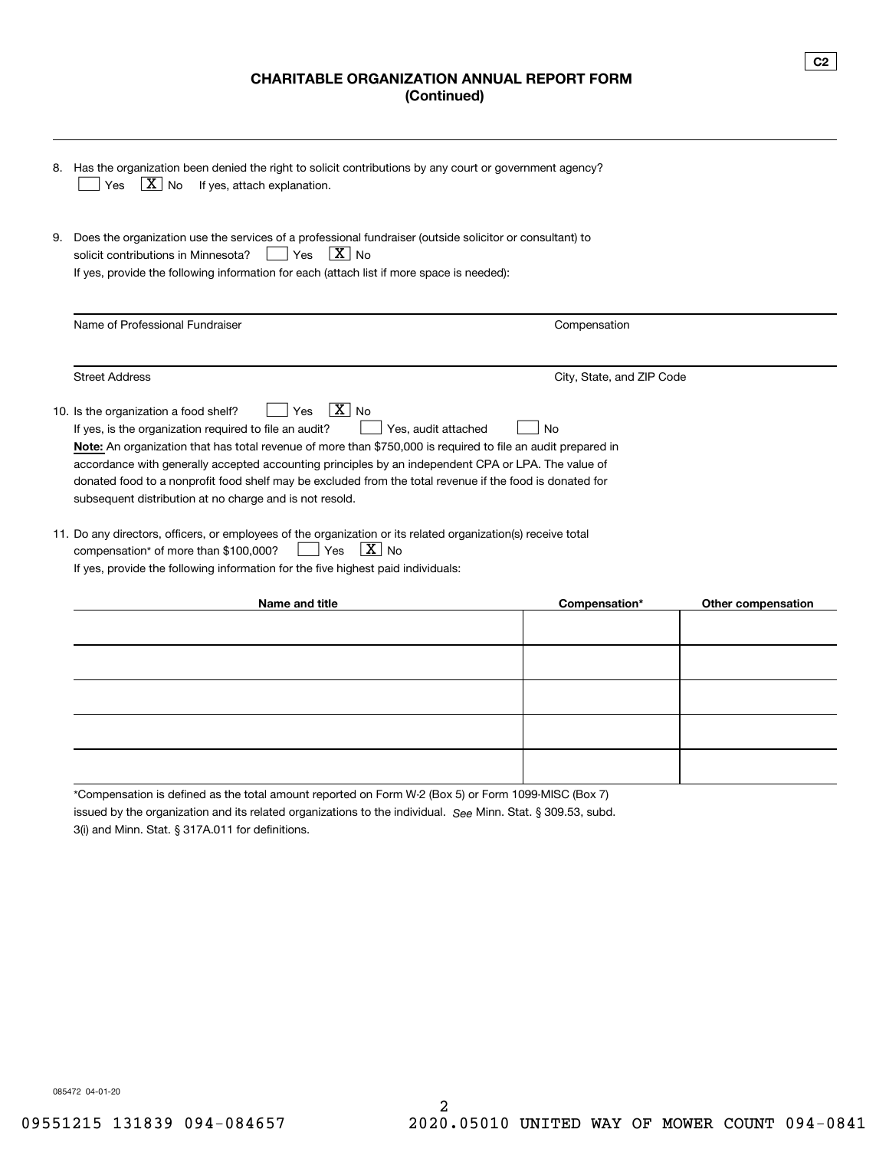## **CHARITABLE ORGANIZATION ANNUAL REPORT FORM (Continued)**

|                                                                                                                                                                                                                                                                                | 8. Has the organization been denied the right to solicit contributions by any court or government agency?<br>$\boxed{\text{X}}$ No<br>If yes, attach explanation.<br><b>Yes</b>                                                                                                                                                                                                                                                                                                                                                                |                           |  |  |  |  |  |  |  |
|--------------------------------------------------------------------------------------------------------------------------------------------------------------------------------------------------------------------------------------------------------------------------------|------------------------------------------------------------------------------------------------------------------------------------------------------------------------------------------------------------------------------------------------------------------------------------------------------------------------------------------------------------------------------------------------------------------------------------------------------------------------------------------------------------------------------------------------|---------------------------|--|--|--|--|--|--|--|
| Does the organization use the services of a professional fundraiser (outside solicitor or consultant) to<br>9.<br>$ X _{\text{No}}$<br>solicit contributions in Minnesota?<br>Yes<br>If yes, provide the following information for each (attach list if more space is needed): |                                                                                                                                                                                                                                                                                                                                                                                                                                                                                                                                                |                           |  |  |  |  |  |  |  |
|                                                                                                                                                                                                                                                                                | Name of Professional Fundraiser                                                                                                                                                                                                                                                                                                                                                                                                                                                                                                                | Compensation              |  |  |  |  |  |  |  |
|                                                                                                                                                                                                                                                                                | <b>Street Address</b>                                                                                                                                                                                                                                                                                                                                                                                                                                                                                                                          | City, State, and ZIP Code |  |  |  |  |  |  |  |
|                                                                                                                                                                                                                                                                                | X <br>10. Is the organization a food shelf?<br><b>No</b><br>Yes<br>If yes, is the organization required to file an audit?<br>Yes, audit attached<br>Note: An organization that has total revenue of more than \$750,000 is required to file an audit prepared in<br>accordance with generally accepted accounting principles by an independent CPA or LPA. The value of<br>donated food to a nonprofit food shelf may be excluded from the total revenue if the food is donated for<br>subsequent distribution at no charge and is not resold. | No                        |  |  |  |  |  |  |  |
|                                                                                                                                                                                                                                                                                | 11. Do any directors, officers, or employees of the organization or its related organization(s) receive total<br>$X _{\text{No}}$<br>compensation* of more than \$100,000?<br>Yes<br>If yes, provide the following information for the five highest paid individuals:                                                                                                                                                                                                                                                                          |                           |  |  |  |  |  |  |  |
|                                                                                                                                                                                                                                                                                | Name and title<br>Compensation*<br>Other compensation                                                                                                                                                                                                                                                                                                                                                                                                                                                                                          |                           |  |  |  |  |  |  |  |
|                                                                                                                                                                                                                                                                                |                                                                                                                                                                                                                                                                                                                                                                                                                                                                                                                                                |                           |  |  |  |  |  |  |  |
|                                                                                                                                                                                                                                                                                |                                                                                                                                                                                                                                                                                                                                                                                                                                                                                                                                                |                           |  |  |  |  |  |  |  |

\*Compensation is defined as the total amount reported on Form W-2 (Box 5) or Form 1099-MISC (Box 7)

issued by the organization and its related organizations to the individual. S<sub>ee</sub> Minn. Stat. § 309.53, subd.

3(i) and Minn. Stat. § 317A.011 for definitions.

085472 04-01-20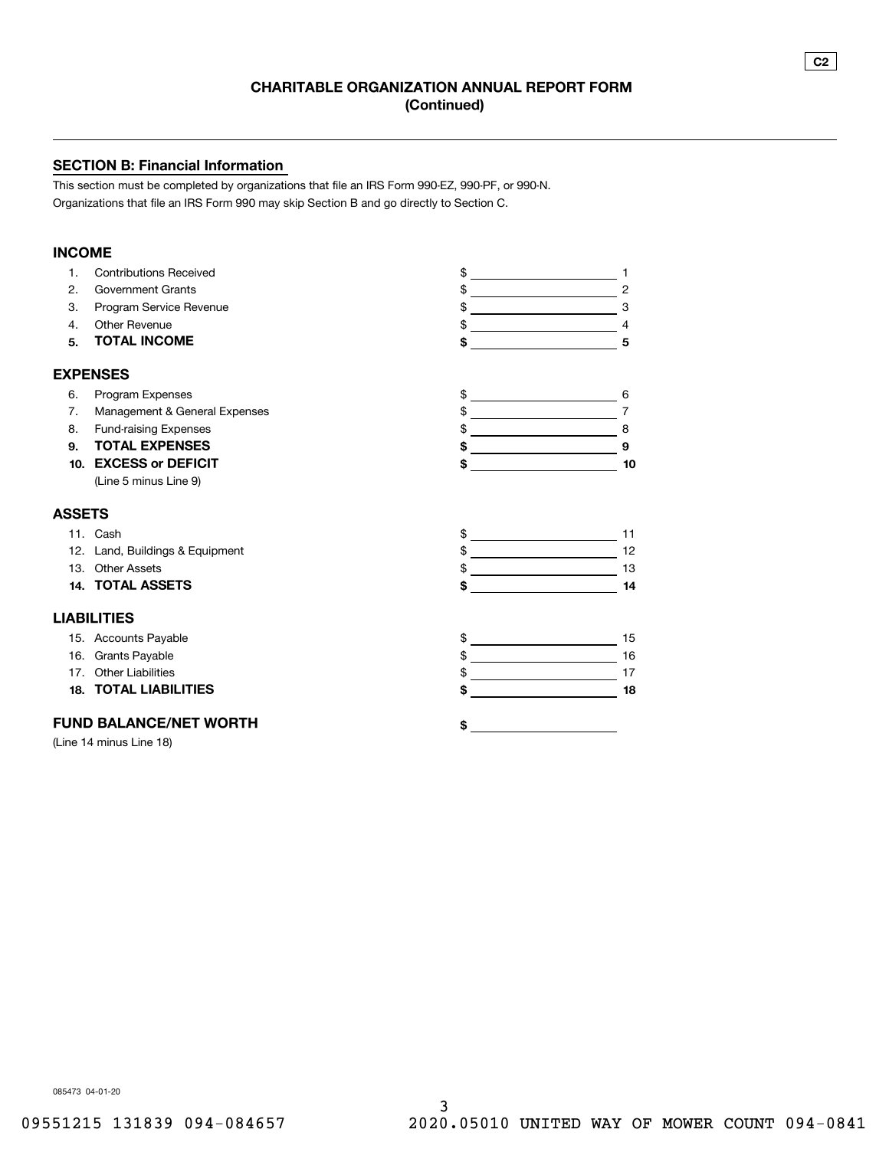### **SECTION B: Financial Information**

This section must be completed by organizations that file an IRS Form 990-EZ, 990-PF, or 990-N. Organizations that file an IRS Form 990 may skip Section B and go directly to Section C.

### **INCOME**

| $\mathbf{1}$ . | <b>Contributions Received</b>   | \$                                                        |                                                                                             |
|----------------|---------------------------------|-----------------------------------------------------------|---------------------------------------------------------------------------------------------|
| 2.             | <b>Government Grants</b>        | \$                                                        | $\overline{c}$                                                                              |
| 3.             | Program Service Revenue         | \$                                                        | 3<br><u> 1989 - Johann Barn, fransk politik (</u>                                           |
| 4.             | Other Revenue                   |                                                           |                                                                                             |
| 5.             | <b>TOTAL INCOME</b>             | \$                                                        | 5                                                                                           |
|                | <b>EXPENSES</b>                 |                                                           |                                                                                             |
| 6.             | Program Expenses                |                                                           | 6                                                                                           |
| 7 <sub>1</sub> | Management & General Expenses   | \$<br><u> 1989 - Andrea Station Barbara, amerikan per</u> | $\overline{7}$                                                                              |
| 8.             | <b>Fund-raising Expenses</b>    | \$                                                        | $\begin{array}{c c} \hline \begin{array}{ccc} \hline \end{array} & 8 \\ \hline \end{array}$ |
| 9.             | <b>TOTAL EXPENSES</b>           |                                                           | 9                                                                                           |
| 10.            | <b>EXCESS or DEFICIT</b>        | \$                                                        | 10<br><u> 1990 - Jan Barbara III, martx</u>                                                 |
|                | (Line 5 minus Line 9)           |                                                           |                                                                                             |
| <b>ASSETS</b>  |                                 |                                                           |                                                                                             |
|                | 11. Cash                        | $\mathsf{\$}$                                             | 11                                                                                          |
|                | 12. Land, Buildings & Equipment |                                                           | 12                                                                                          |
|                | 13. Other Assets                |                                                           | 13                                                                                          |
|                | 14. TOTAL ASSETS                | \$                                                        | 14                                                                                          |
|                | <b>LIABILITIES</b>              |                                                           |                                                                                             |
|                | 15. Accounts Payable            | <u> 1980 - Johann Barbara, martxa a</u>                   | 15                                                                                          |
|                | 16. Grants Payable              | $\frac{1}{2}$                                             | 16                                                                                          |
|                | 17. Other Liabilities           |                                                           | 17                                                                                          |
|                | <b>18. TOTAL LIABILITIES</b>    | \$                                                        | 18<br><u> 1980 - Jan Salaman Salaman (</u>                                                  |
|                | <b>FUND BALANCE/NET WORTH</b>   | \$                                                        |                                                                                             |
|                | (Line 14 minus Line 18)         |                                                           |                                                                                             |

085473 04-01-20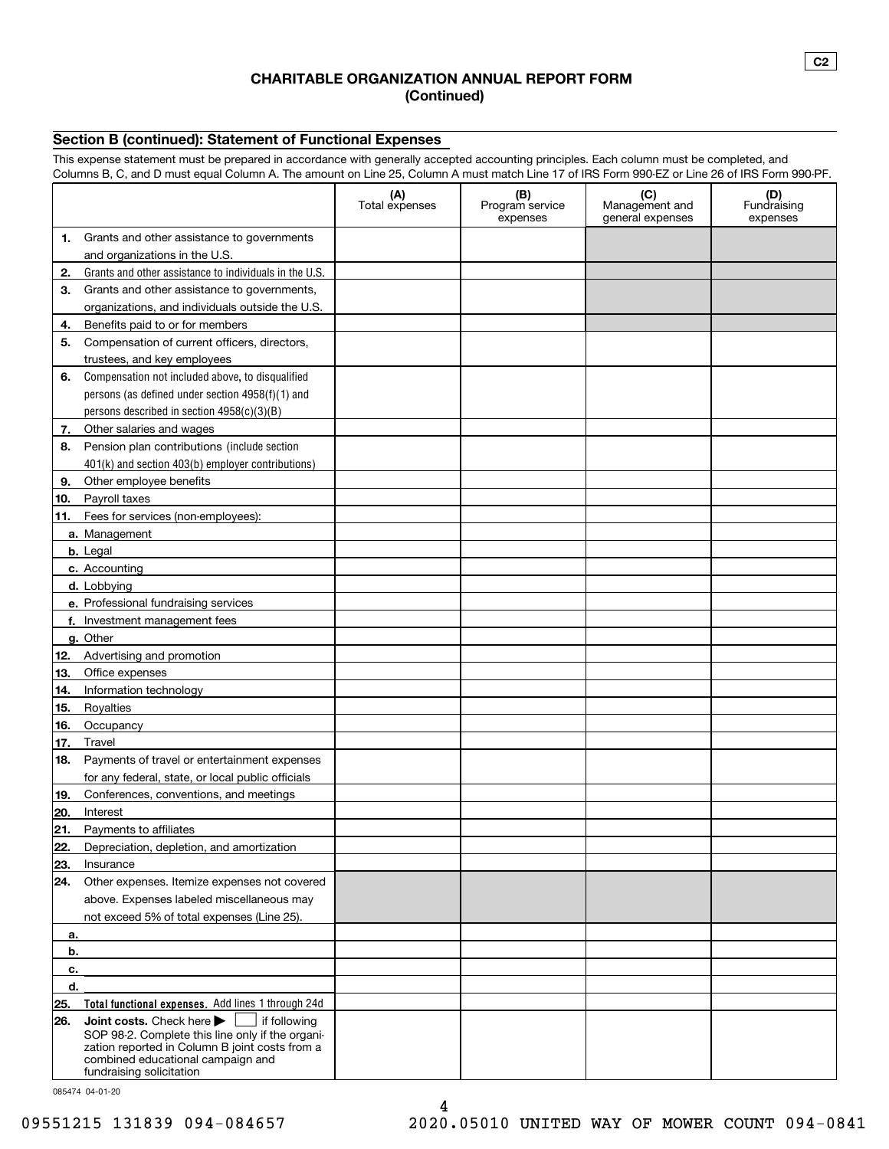### **CHARITABLE ORGANIZATION ANNUAL REPORT FORM (Continued)**

### **Section B (continued): Statement of Functional Expenses**

This expense statement must be prepared in accordance with generally accepted accounting principles. Each column must be completed, and Columns B, C, and D must equal Column A. The amount on Line 25, Column A must match Line 17 of IRS Form 990-EZ or Line 26 of IRS Form 990-PF.

|             | ovidiniis D, O, dha D mast egaar oolaniir) t. The ameant on Eine 20, Oolaniir) t mast materi Eine Tr or into Ferni ooo EZ                                           | (A)<br>Total expenses | (B)<br>Program service<br>expenses | (C)<br>Management and<br>general expenses | (D)<br>Fundraising<br>expenses |
|-------------|---------------------------------------------------------------------------------------------------------------------------------------------------------------------|-----------------------|------------------------------------|-------------------------------------------|--------------------------------|
| 1.          | Grants and other assistance to governments                                                                                                                          |                       |                                    |                                           |                                |
|             | and organizations in the U.S.                                                                                                                                       |                       |                                    |                                           |                                |
| 2.          | Grants and other assistance to individuals in the U.S.                                                                                                              |                       |                                    |                                           |                                |
| З.          | Grants and other assistance to governments,                                                                                                                         |                       |                                    |                                           |                                |
|             | organizations, and individuals outside the U.S.                                                                                                                     |                       |                                    |                                           |                                |
| 4.          | Benefits paid to or for members                                                                                                                                     |                       |                                    |                                           |                                |
| 5.          | Compensation of current officers, directors,                                                                                                                        |                       |                                    |                                           |                                |
|             | trustees, and key employees                                                                                                                                         |                       |                                    |                                           |                                |
| 6.          | Compensation not included above, to disqualified                                                                                                                    |                       |                                    |                                           |                                |
|             | persons (as defined under section 4958(f)(1) and                                                                                                                    |                       |                                    |                                           |                                |
|             | persons described in section 4958(c)(3)(B)                                                                                                                          |                       |                                    |                                           |                                |
| 7.          | Other salaries and wages                                                                                                                                            |                       |                                    |                                           |                                |
| 8.          | Pension plan contributions (include section                                                                                                                         |                       |                                    |                                           |                                |
|             | 401(k) and section 403(b) employer contributions)                                                                                                                   |                       |                                    |                                           |                                |
| 9.          | Other employee benefits                                                                                                                                             |                       |                                    |                                           |                                |
| 10.         | Payroll taxes                                                                                                                                                       |                       |                                    |                                           |                                |
| 11.         | Fees for services (non-employees):                                                                                                                                  |                       |                                    |                                           |                                |
|             | a. Management                                                                                                                                                       |                       |                                    |                                           |                                |
|             | b. Legal                                                                                                                                                            |                       |                                    |                                           |                                |
|             | c. Accounting                                                                                                                                                       |                       |                                    |                                           |                                |
|             | d. Lobbying                                                                                                                                                         |                       |                                    |                                           |                                |
|             | e. Professional fundraising services                                                                                                                                |                       |                                    |                                           |                                |
|             | f. Investment management fees                                                                                                                                       |                       |                                    |                                           |                                |
|             | g. Other                                                                                                                                                            |                       |                                    |                                           |                                |
| 12.         | Advertising and promotion                                                                                                                                           |                       |                                    |                                           |                                |
| 13.         | Office expenses                                                                                                                                                     |                       |                                    |                                           |                                |
| 14.         | Information technology                                                                                                                                              |                       |                                    |                                           |                                |
| 15.         | Royalties                                                                                                                                                           |                       |                                    |                                           |                                |
| 16.         | Occupancy                                                                                                                                                           |                       |                                    |                                           |                                |
| 17.         | Travel                                                                                                                                                              |                       |                                    |                                           |                                |
| 18.         | Payments of travel or entertainment expenses                                                                                                                        |                       |                                    |                                           |                                |
|             | for any federal, state, or local public officials                                                                                                                   |                       |                                    |                                           |                                |
| 19.         | Conferences, conventions, and meetings                                                                                                                              |                       |                                    |                                           |                                |
| 20.         | Interest                                                                                                                                                            |                       |                                    |                                           |                                |
| 21.<br> 22. | Payments to affiliates                                                                                                                                              |                       |                                    |                                           |                                |
| 23.         | Depreciation, depletion, and amortization                                                                                                                           |                       |                                    |                                           |                                |
| 24.         | Insurance<br>Other expenses. Itemize expenses not covered                                                                                                           |                       |                                    |                                           |                                |
|             | above. Expenses labeled miscellaneous may                                                                                                                           |                       |                                    |                                           |                                |
|             | not exceed 5% of total expenses (Line 25).                                                                                                                          |                       |                                    |                                           |                                |
|             |                                                                                                                                                                     |                       |                                    |                                           |                                |
| a.          |                                                                                                                                                                     |                       |                                    |                                           |                                |
| b.<br>c.    |                                                                                                                                                                     |                       |                                    |                                           |                                |
| d.          |                                                                                                                                                                     |                       |                                    |                                           |                                |
| 25.         | Total functional expenses. Add lines 1 through 24d                                                                                                                  |                       |                                    |                                           |                                |
| 26.         | Joint costs. Check here<br>if following                                                                                                                             |                       |                                    |                                           |                                |
|             | SOP 98-2. Complete this line only if the organi-<br>zation reported in Column B joint costs from a<br>combined educational campaign and<br>fundraising solicitation |                       |                                    |                                           |                                |

085474 04-01-20

**C2**